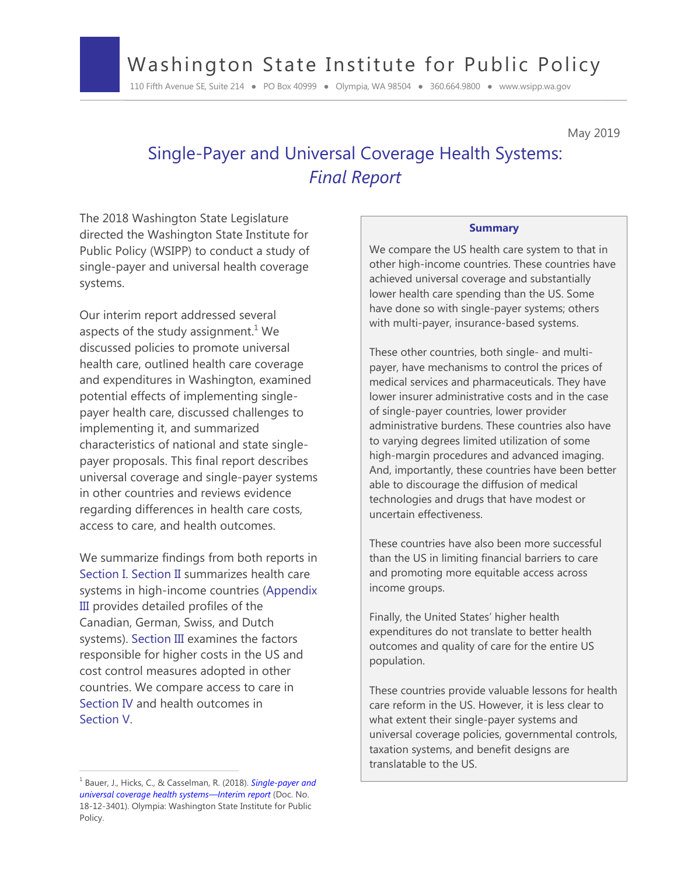# Washington State Institute for Public Policy

110 Fifth Avenue SE, Suite 214 ● PO Box 40999 ● Olympia, WA 98504 ● 360.664.9800 ● www.wsipp.wa.gov

May 2019

# Single-Payer and Universal Coverage Health Systems: *Final Report*

The 2018 Washington State Legislature directed the Washington State Institute for Public Policy (WSIPP) to conduct a study of single-payer and universal health coverage systems.

Our interim report addressed several aspects of the study assignment.<sup>1</sup> We discussed policies to promote universal health care, outlined health care coverage and expenditures in Washington, examined potential effects of implementing singlepayer health care, discussed challenges to implementing it, and summarized characteristics of national and state singlepayer proposals. This final report describes universal coverage and single-payer systems in other countries and reviews evidence regarding differences in health care costs, access to care, and health outcomes.

We summarize findings from both reports in Section I. Section II summarizes health care systems in high-income countries (Appendix III provides detailed profiles of the Canadian, German, Swiss, and Dutch systems). Section III examines the factors responsible for higher costs in the US and cost control measures adopted in other countries. We compare access to care in Section IV and health outcomes in Section V.

 $\overline{a}$ 

#### **Summary**

We compare the US health care system to that in other high-income countries. These countries have achieved universal coverage and substantially lower health care spending than the US. Some have done so with single-payer systems; others with multi-payer, insurance-based systems.

These other countries, both single- and multipayer, have mechanisms to control the prices of medical services and pharmaceuticals. They have lower insurer administrative costs and in the case of single-payer countries, lower provider administrative burdens. These countries also have to varying degrees limited utilization of some high-margin procedures and advanced imaging. And, importantly, these countries have been better able to discourage the diffusion of medical technologies and drugs that have modest or uncertain effectiveness.

These countries have also been more successful than the US in limiting financial barriers to care and promoting more equitable access across income groups.

Finally, the United States' higher health expenditures do not translate to better health outcomes and quality of care for the entire US population.

These countries provide valuable lessons for health care reform in the US. However, it is less clear to what extent their single-payer systems and universal coverage policies, governmental controls, taxation systems, and benefit designs are translatable to the US.

<sup>1</sup> Bauer, J., Hicks, C., & Casselman, R. (2018). *[Single-payer and](http://www.wsipp.wa.gov/ReportFile/1692/Wsipp_Single-Payer-and-Universal-Coverage-Health-Systems-Interim-Report_Report.pdf)  [universal coverage health systems](http://www.wsipp.wa.gov/ReportFile/1692/Wsipp_Single-Payer-and-Universal-Coverage-Health-Systems-Interim-Report_Report.pdf)—Interi*m *report* (Doc. No. 18-12-3401). Olympia: Washington State Institute for Public Policy.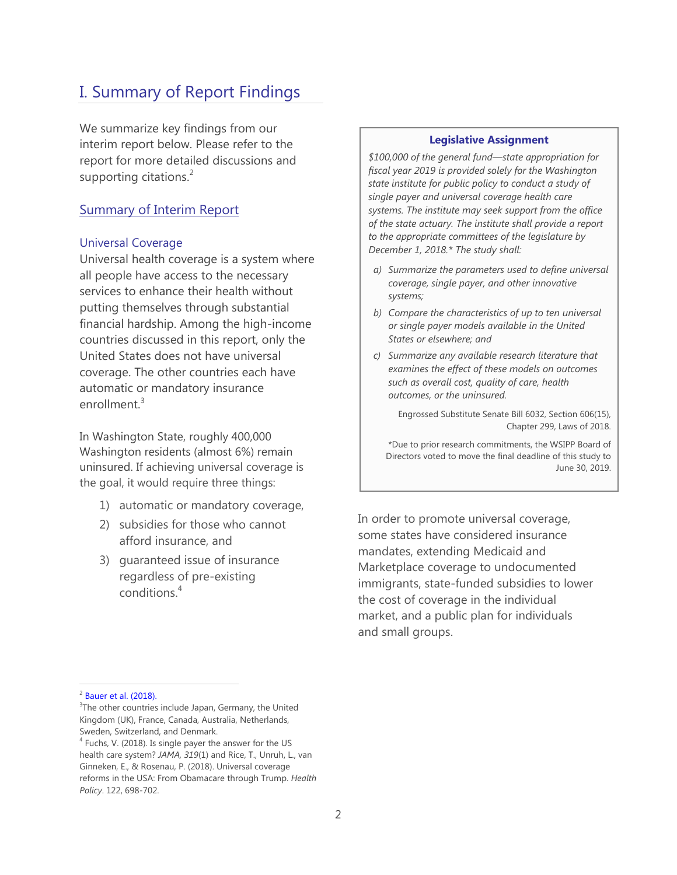# I. Summary of Report Findings

We summarize key findings from our interim report below. Please refer to the report for more detailed discussions and supporting citations.<sup>2</sup>

## Summary of Interim Report

#### Universal Coverage

Universal health coverage is a system where all people have access to the necessary services to enhance their health without putting themselves through substantial financial hardship. Among the high-income countries discussed in this report, only the United States does not have universal coverage. The other countries each have automatic or mandatory insurance enrollment.<sup>3</sup>

In Washington State, roughly 400,000 Washington residents (almost 6%) remain uninsured. If achieving universal coverage is the goal, it would require three things:

- 1) automatic or mandatory coverage,
- 2) subsidies for those who cannot afford insurance, and
- 3) guaranteed issue of insurance regardless of pre-existing conditions.<sup>4</sup>

#### **Legislative Assignment**

*\$100,000 of the general fund—state appropriation for fiscal year 2019 is provided solely for the Washington state institute for public policy to conduct a study of single payer and universal coverage health care systems. The institute may seek support from the office of the state actuary. The institute shall provide a report to the appropriate committees of the legislature by December 1, 2018.\* The study shall:* 

- *a) Summarize the parameters used to define universal coverage, single payer, and other innovative systems;*
- *b) Compare the characteristics of up to ten universal or single payer models available in the United States or elsewhere; and*
- *c) Summarize any available research literature that examines the effect of these models on outcomes such as overall cost, quality of care, health outcomes, or the uninsured.*

Engrossed Substitute Senate Bill 6032, Section 606(15), Chapter 299, Laws of 2018.

\*Due to prior research commitments, the WSIPP Board of Directors voted to move the final deadline of this study to June 30, 2019.

In order to promote universal coverage, some states have considered insurance mandates, extending Medicaid and Marketplace coverage to undocumented immigrants, state-funded subsidies to lower the cost of coverage in the individual market, and a public plan for individuals and small groups.

 $2^2$  [Bauer](http://www.wsipp.wa.gov/ReportFile/1692/Wsipp_Single-Payer-and-Universal-Coverage-Health-Systems-Interim-Report_Report.pdf) et al. (2018).

<sup>&</sup>lt;sup>3</sup>The other countries include Japan, Germany, the United Kingdom (UK), France, Canada, Australia, Netherlands, Sweden, Switzerland, and Denmark.

<sup>&</sup>lt;sup>4</sup> Fuchs, V. (2018). Is single payer the answer for the US health care system? *JAMA, 319*(1) and Rice, T., Unruh, L., van Ginneken, E., & Rosenau, P. (2018). Universal coverage reforms in the USA: From Obamacare through Trump. *Health Policy*. 122, 698-702.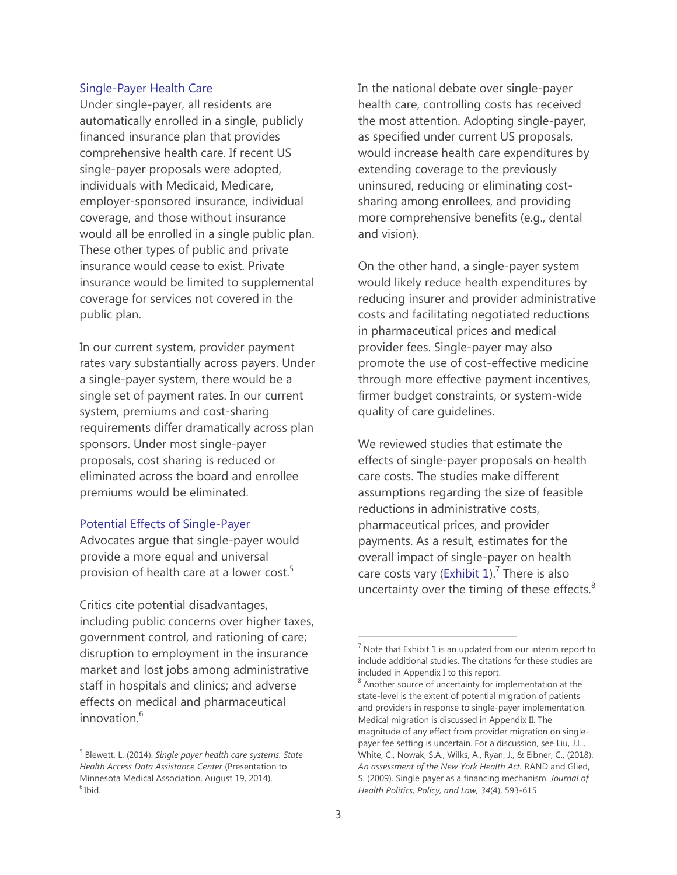#### Single-Payer Health Care

Under single-payer, all residents are automatically enrolled in a single, publicly financed insurance plan that provides comprehensive health care. If recent US single-payer proposals were adopted, individuals with Medicaid, Medicare, employer-sponsored insurance, individual coverage, and those without insurance would all be enrolled in a single public plan. These other types of public and private insurance would cease to exist. Private insurance would be limited to supplemental coverage for services not covered in the public plan.

In our current system, provider payment rates vary substantially across payers. Under a single-payer system, there would be a single set of payment rates. In our current system, premiums and cost-sharing requirements differ dramatically across plan sponsors. Under most single-payer proposals, cost sharing is reduced or eliminated across the board and enrollee premiums would be eliminated.

#### Potential Effects of Single-Payer

Advocates argue that single-payer would provide a more equal and universal provision of health care at a lower cost.<sup>5</sup>

Critics cite potential disadvantages, including public concerns over higher taxes, government control, and rationing of care; disruption to employment in the insurance market and lost jobs among administrative staff in hospitals and clinics; and adverse effects on medical and pharmaceutical innovation.<sup>6</sup>

In the national debate over single-payer health care, controlling costs has received the most attention. Adopting single-payer, as specified under current US proposals, would increase health care expenditures by extending coverage to the previously uninsured, reducing or eliminating costsharing among enrollees, and providing more comprehensive benefits (e.g., dental and vision).

On the other hand, a single-payer system would likely reduce health expenditures by reducing insurer and provider administrative costs and facilitating negotiated reductions in pharmaceutical prices and medical provider fees. Single-payer may also promote the use of cost-effective medicine through more effective payment incentives, firmer budget constraints, or system-wide quality of care guidelines.

We reviewed studies that estimate the effects of single-payer proposals on health care costs. The studies make different assumptions regarding the size of feasible reductions in administrative costs, pharmaceutical prices, and provider payments. As a result, estimates for the overall impact of single-payer on health care costs vary (Exhibit 1).<sup>7</sup> There is also uncertainty over the timing of these effects. $8$ 

<sup>5</sup> Blewett, L. (2014). *Single payer health care systems. State Health Access Data Assistance Center* (Presentation to Minnesota Medical Association, August 19, 2014). 6 Ibid.

 $7$  Note that Exhibit 1 is an updated from our interim report to include additional studies. The citations for these studies are included in Appendix I to this report.

<sup>&</sup>lt;sup>8</sup> Another source of uncertainty for implementation at the state-level is the extent of potential migration of patients and providers in response to single-payer implementation. Medical migration is discussed in Appendix II. The magnitude of any effect from provider migration on singlepayer fee setting is uncertain. For a discussion, see Liu, J.L., White, C., Nowak, S.A., Wilks, A., Ryan, J., & Eibner, C., (2018). *An assessment of the New York Health Act.* RAND and Glied, S. (2009). Single payer as a financing mechanism. *Journal of Health Politics, Policy, and Law, 34*(4), 593-615.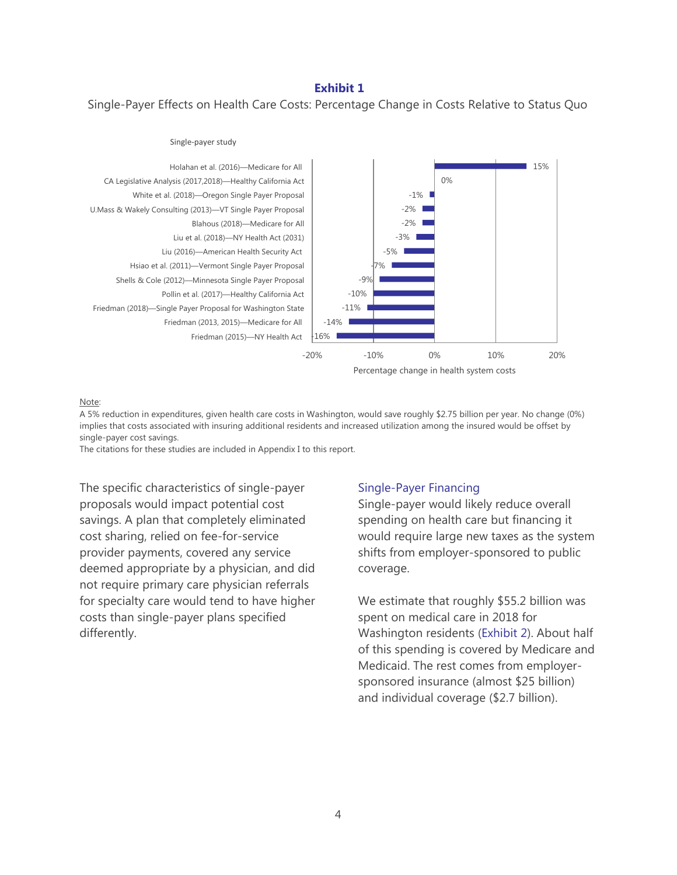#### **Exhibit 1**

Single-Payer Effects on Health Care Costs: Percentage Change in Costs Relative to Status Quo



#### Note:

A 5% reduction in expenditures, given health care costs in Washington, would save roughly \$2.75 billion per year. No change (0%) implies that costs associated with insuring additional residents and increased utilization among the insured would be offset by single-payer cost savings.

The citations for these studies are included in Appendix I to this report.

The specific characteristics of single-payer proposals would impact potential cost savings. A plan that completely eliminated cost sharing, relied on fee-for-service provider payments, covered any service deemed appropriate by a physician, and did not require primary care physician referrals for specialty care would tend to have higher costs than single-payer plans specified differently.

#### Single-Payer Financing

Single-payer would likely reduce overall spending on health care but financing it would require large new taxes as the system shifts from employer-sponsored to public coverage.

We estimate that roughly \$55.2 billion was spent on medical care in 2018 for Washington residents (Exhibit 2). About half of this spending is covered by Medicare and Medicaid. The rest comes from employersponsored insurance (almost \$25 billion) and individual coverage (\$2.7 billion).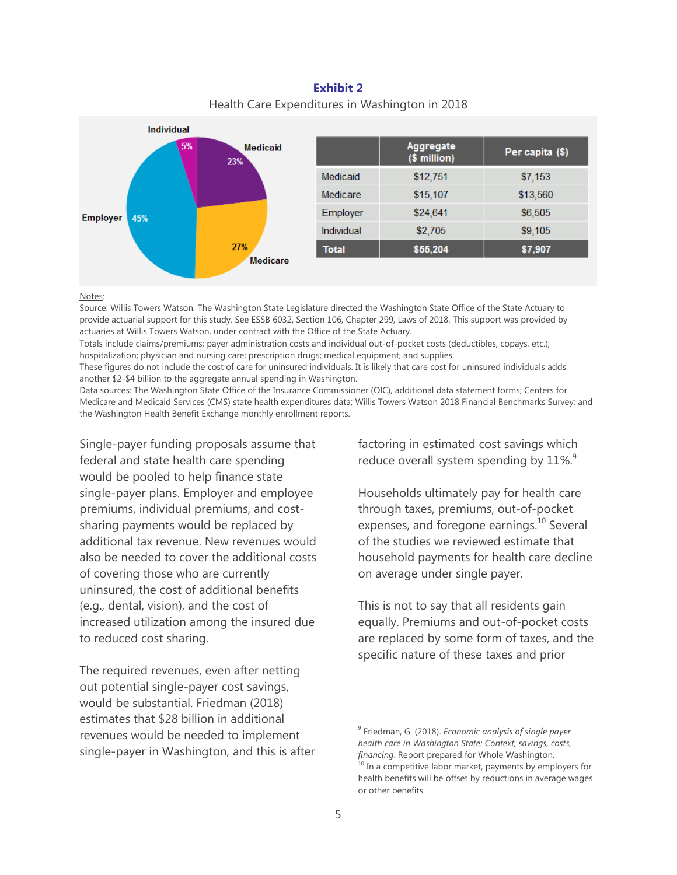**Exhibit 2**  Health Care Expenditures in Washington in 2018



#### Notes:

Source: Willis Towers Watson. The Washington State Legislature directed the Washington State Office of the State Actuary to provide actuarial support for this study. See ESSB 6032, Section 106, Chapter 299, Laws of 2018. This support was provided by actuaries at Willis Towers Watson, under contract with the Office of the State Actuary.

Totals include claims/premiums; payer administration costs and individual out-of-pocket costs (deductibles, copays, etc.); hospitalization; physician and nursing care; prescription drugs; medical equipment; and supplies.

These figures do not include the cost of care for uninsured individuals. It is likely that care cost for uninsured individuals adds another \$2-\$4 billion to the aggregate annual spending in Washington.

Data sources: The Washington State Office of the Insurance Commissioner (OIC), additional data statement forms; Centers for Medicare and Medicaid Services (CMS) state health expenditures data; Willis Towers Watson 2018 Financial Benchmarks Survey; and the Washington Health Benefit Exchange monthly enrollment reports.

Single-payer funding proposals assume that federal and state health care spending would be pooled to help finance state single-payer plans. Employer and employee premiums, individual premiums, and costsharing payments would be replaced by additional tax revenue. New revenues would also be needed to cover the additional costs of covering those who are currently uninsured, the cost of additional benefits (e.g., dental, vision), and the cost of increased utilization among the insured due to reduced cost sharing.

The required revenues, even after netting out potential single-payer cost savings, would be substantial. Friedman (2018) estimates that \$28 billion in additional revenues would be needed to implement single-payer in Washington, and this is after factoring in estimated cost savings which reduce overall system spending by  $11\%$ .

Households ultimately pay for health care through taxes, premiums, out-of-pocket expenses, and foregone earnings.<sup>10</sup> Several of the studies we reviewed estimate that household payments for health care decline on average under single payer.

This is not to say that all residents gain equally. Premiums and out-of-pocket costs are replaced by some form of taxes, and the specific nature of these taxes and prior

<sup>9</sup> Friedman, G. (2018). *Economic analysis of single payer health care in Washington State: Context, savings, costs, financing*. Report prepared for Whole Washington.

<sup>&</sup>lt;sup>10</sup> In a competitive labor market, payments by employers for health benefits will be offset by reductions in average wages or other benefits.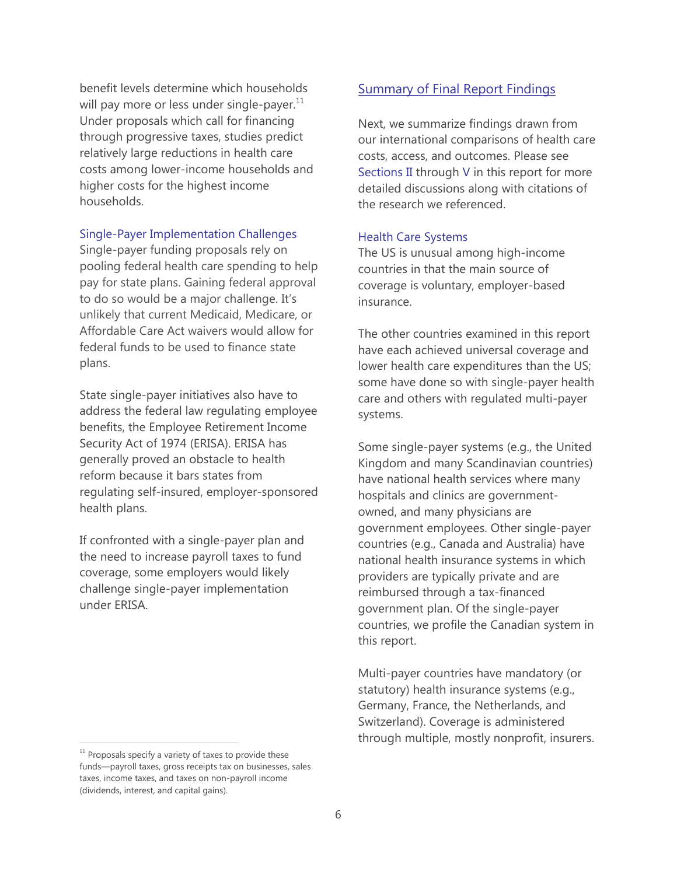benefit levels determine which households will pay more or less under single-payer. $^{11}$ Under proposals which call for financing through progressive taxes, studies predict relatively large reductions in health care costs among lower-income households and higher costs for the highest income households.

#### Single-Payer Implementation Challenges

Single-payer funding proposals rely on pooling federal health care spending to help pay for state plans. Gaining federal approval to do so would be a major challenge. It's unlikely that current Medicaid, Medicare, or Affordable Care Act waivers would allow for federal funds to be used to finance state plans.

State single-payer initiatives also have to address the federal law regulating employee benefits, the Employee Retirement Income Security Act of 1974 (ERISA). ERISA has generally proved an obstacle to health reform because it bars states from regulating self-insured, employer-sponsored health plans.

If confronted with a single-payer plan and the need to increase payroll taxes to fund coverage, some employers would likely challenge single-payer implementation under ERISA.

#### $11$  Proposals specify a variety of taxes to provide these funds—payroll taxes, gross receipts tax on businesses, sales taxes, income taxes, and taxes on non-payroll income (dividends, interest, and capital gains).

## Summary of Final Report Findings

Next, we summarize findings drawn from our international comparisons of health care costs, access, and outcomes. Please see Sections II through V in this report for more detailed discussions along with citations of the research we referenced.

#### Health Care Systems

The US is unusual among high-income countries in that the main source of coverage is voluntary, employer-based insurance.

The other countries examined in this report have each achieved universal coverage and lower health care expenditures than the US; some have done so with single-payer health care and others with regulated multi-payer systems.

Some single-payer systems (e.g., the United Kingdom and many Scandinavian countries) have national health services where many hospitals and clinics are governmentowned, and many physicians are government employees. Other single-payer countries (e.g., Canada and Australia) have national health insurance systems in which providers are typically private and are reimbursed through a tax-financed government plan. Of the single-payer countries, we profile the Canadian system in this report.

Multi-payer countries have mandatory (or statutory) health insurance systems (e.g., Germany, France, the Netherlands, and Switzerland). Coverage is administered through multiple, mostly nonprofit, insurers.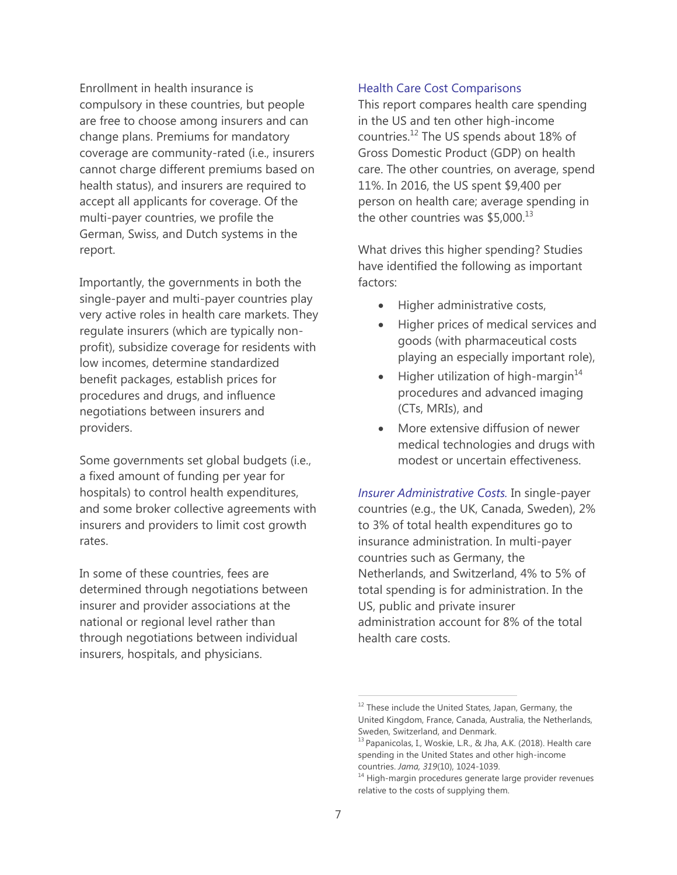Enrollment in health insurance is compulsory in these countries, but people are free to choose among insurers and can change plans. Premiums for mandatory coverage are community-rated (i.e., insurers cannot charge different premiums based on health status), and insurers are required to accept all applicants for coverage. Of the multi-payer countries, we profile the German, Swiss, and Dutch systems in the report.

Importantly, the governments in both the single-payer and multi-payer countries play very active roles in health care markets. They regulate insurers (which are typically nonprofit), subsidize coverage for residents with low incomes, determine standardized benefit packages, establish prices for procedures and drugs, and influence negotiations between insurers and providers.

Some governments set global budgets (i.e., a fixed amount of funding per year for hospitals) to control health expenditures, and some broker collective agreements with insurers and providers to limit cost growth rates.

In some of these countries, fees are determined through negotiations between insurer and provider associations at the national or regional level rather than through negotiations between individual insurers, hospitals, and physicians.

### Health Care Cost Comparisons

This report compares health care spending in the US and ten other high-income countries. $^{12}$  The US spends about 18% of Gross Domestic Product (GDP) on health care. The other countries, on average, spend 11%. In 2016, the US spent \$9,400 per person on health care; average spending in the other countries was  $$5,000.<sup>13</sup>$ 

What drives this higher spending? Studies have identified the following as important factors:

- Higher administrative costs,
- Higher prices of medical services and goods (with pharmaceutical costs playing an especially important role),
- Higher utilization of high-margin $14$ procedures and advanced imaging (CTs, MRIs), and
- More extensive diffusion of newer medical technologies and drugs with modest or uncertain effectiveness.

*Insurer Administrative Costs.* In single-payer countries (e.g., the UK, Canada, Sweden), 2% to 3% of total health expenditures go to insurance administration. In multi-payer countries such as Germany, the Netherlands, and Switzerland, 4% to 5% of total spending is for administration. In the US, public and private insurer administration account for 8% of the total health care costs.

 $12$  These include the United States, Japan, Germany, the United Kingdom, France, Canada, Australia, the Netherlands, Sweden, Switzerland, and Denmark.

<sup>&</sup>lt;sup>13</sup> Papanicolas, I., Woskie, L.R., & Jha, A.K. (2018). Health care spending in the United States and other high-income countries. *Jama, 319*(10), 1024-1039.

<sup>&</sup>lt;sup>14</sup> High-margin procedures generate large provider revenues relative to the costs of supplying them.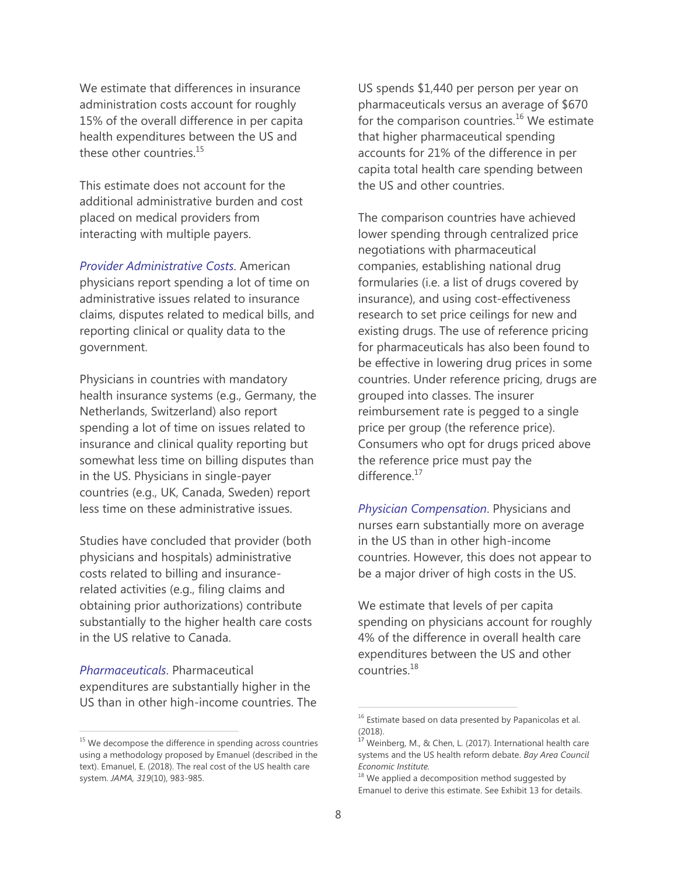We estimate that differences in insurance administration costs account for roughly 15% of the overall difference in per capita health expenditures between the US and these other countries.<sup>15</sup>

This estimate does not account for the additional administrative burden and cost placed on medical providers from interacting with multiple payers.

*Provider Administrative Costs*. American physicians report spending a lot of time on administrative issues related to insurance claims, disputes related to medical bills, and reporting clinical or quality data to the government.

Physicians in countries with mandatory health insurance systems (e.g., Germany, the Netherlands, Switzerland) also report spending a lot of time on issues related to insurance and clinical quality reporting but somewhat less time on billing disputes than in the US. Physicians in single-payer countries (e.g., UK, Canada, Sweden) report less time on these administrative issues.

Studies have concluded that provider (both physicians and hospitals) administrative costs related to billing and insurancerelated activities (e.g., filing claims and obtaining prior authorizations) contribute substantially to the higher health care costs in the US relative to Canada.

*Pharmaceuticals*. Pharmaceutical expenditures are substantially higher in the US than in other high-income countries. The

 $\overline{a}$ 

US spends \$1,440 per person per year on pharmaceuticals versus an average of \$670 for the comparison countries.<sup>16</sup> We estimate that higher pharmaceutical spending accounts for 21% of the difference in per capita total health care spending between the US and other countries.

The comparison countries have achieved lower spending through centralized price negotiations with pharmaceutical companies, establishing national drug formularies (i.e. a list of drugs covered by insurance), and using cost-effectiveness research to set price ceilings for new and existing drugs. The use of reference pricing for pharmaceuticals has also been found to be effective in lowering drug prices in some countries. Under reference pricing, drugs are grouped into classes. The insurer reimbursement rate is pegged to a single price per group (the reference price). Consumers who opt for drugs priced above the reference price must pay the difference.<sup>17</sup>

*Physician Compensation*. Physicians and nurses earn substantially more on average in the US than in other high-income countries. However, this does not appear to be a major driver of high costs in the US.

We estimate that levels of per capita spending on physicians account for roughly 4% of the difference in overall health care expenditures between the US and other countries.<sup>18</sup>

<sup>&</sup>lt;sup>15</sup> We decompose the difference in spending across countries using a methodology proposed by Emanuel (described in the text). Emanuel, E. (2018). The real cost of the US health care system. *JAMA, 319*(10), 983-985.

 $16$  Estimate based on data presented by Papanicolas et al. (2018).

<sup>&</sup>lt;sup>17</sup> Weinberg, M., & Chen, L. (2017). International health care systems and the US health reform debate. *Bay Area Council Economic Institute.*

 $18$  We applied a decomposition method suggested by Emanuel to derive this estimate. See Exhibit 13 for details.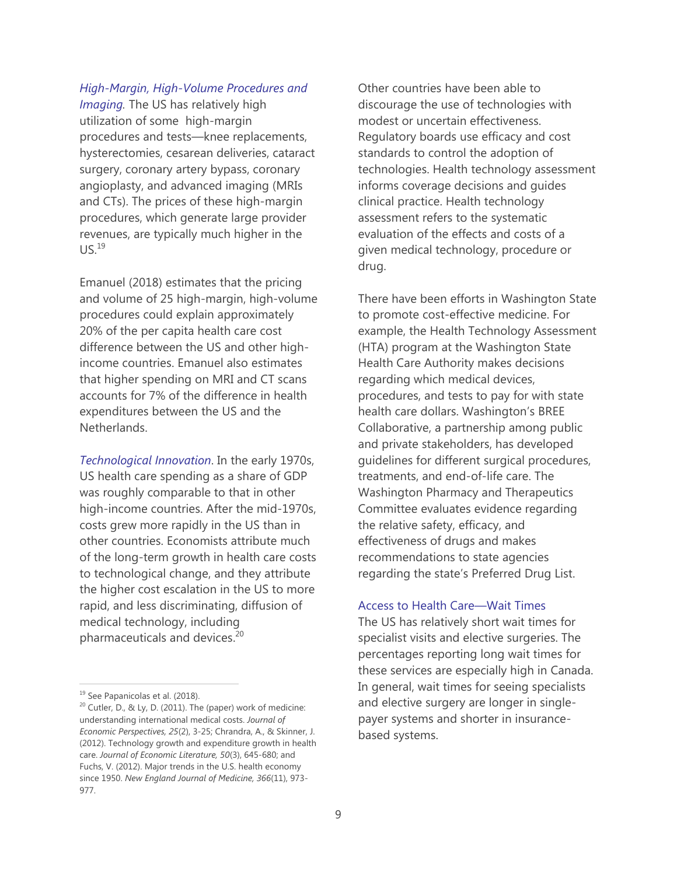#### *High-Margin, High-Volume Procedures and Imaging.* The US has relatively high

utilization of some high-margin procedures and tests—knee replacements, hysterectomies, cesarean deliveries, cataract surgery, coronary artery bypass, coronary angioplasty, and advanced imaging (MRIs and CTs). The prices of these high-margin procedures, which generate large provider revenues, are typically much higher in the  $US.<sup>19</sup>$ 

Emanuel (2018) estimates that the pricing and volume of 25 high-margin, high-volume procedures could explain approximately 20% of the per capita health care cost difference between the US and other highincome countries. Emanuel also estimates that higher spending on MRI and CT scans accounts for 7% of the difference in health expenditures between the US and the **Netherlands** 

*Technological Innovation*. In the early 1970s, US health care spending as a share of GDP was roughly comparable to that in other high-income countries. After the mid-1970s, costs grew more rapidly in the US than in other countries. Economists attribute much of the long-term growth in health care costs to technological change, and they attribute the higher cost escalation in the US to more rapid, and less discriminating, diffusion of medical technology, including pharmaceuticals and devices.<sup>20</sup>

Other countries have been able to discourage the use of technologies with modest or uncertain effectiveness. Regulatory boards use efficacy and cost standards to control the adoption of technologies. Health technology assessment informs coverage decisions and guides clinical practice. Health technology assessment refers to the systematic evaluation of the effects and costs of a given medical technology, procedure or drug.

There have been efforts in Washington State to promote cost-effective medicine. For example, the Health Technology Assessment (HTA) program at the Washington State Health Care Authority makes decisions regarding which medical devices, procedures, and tests to pay for with state health care dollars. Washington's BREE Collaborative, a partnership among public and private stakeholders, has developed guidelines for different surgical procedures, treatments, and end-of-life care. The Washington Pharmacy and Therapeutics Committee evaluates evidence regarding the relative safety, efficacy, and effectiveness of drugs and makes recommendations to state agencies regarding the state's Preferred Drug List.

#### Access to Health Care—Wait Times

The US has relatively short wait times for specialist visits and elective surgeries. The percentages reporting long wait times for these services are especially high in Canada. In general, wait times for seeing specialists and elective surgery are longer in singlepayer systems and shorter in insurancebased systems.

<sup>&</sup>lt;sup>19</sup> See Papanicolas et al. (2018).

 $20$  Cutler, D., & Ly, D. (2011). The (paper) work of medicine: understanding international medical costs. *Journal of Economic Perspectives, 25*(2), 3-25; Chrandra, A., & Skinner, J. (2012). Technology growth and expenditure growth in health care. *Journal of Economic Literature, 50*(3), 645-680; and Fuchs, V. (2012). Major trends in the U.S. health economy since 1950. *New England Journal of Medicine, 366*(11), 973- 977.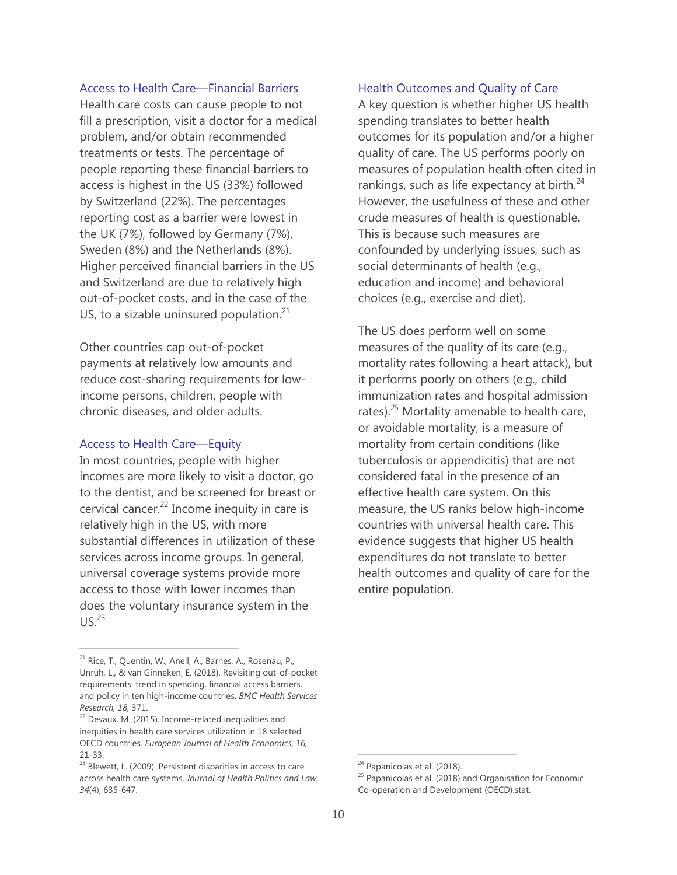#### Access to Health Care—Financial Barriers

Health care costs can cause people to not fill a prescription, visit a doctor for a medical problem, and/or obtain recommended treatments or tests. The percentage of people reporting these financial barriers to access is highest in the US (33%) followed by Switzerland (22%). The percentages reporting cost as a barrier were lowest in the UK (7%), followed by Germany (7%), Sweden (8%) and the Netherlands (8%). Higher perceived financial barriers in the US and Switzerland are due to relatively high out-of-pocket costs, and in the case of the US, to a sizable uninsured population. $21$ 

Other countries cap out-of-pocket payments at relatively low amounts and reduce cost-sharing requirements for lowincome persons, children, people with chronic diseases, and older adults.

#### Access to Health Care—Equity

In most countries, people with higher incomes are more likely to visit a doctor, go to the dentist, and be screened for breast or cervical cancer.<sup>22</sup> Income inequity in care is relatively high in the US, with more substantial differences in utilization of these services across income groups. In general, universal coverage systems provide more access to those with lower incomes than does the voluntary insurance system in the  $US<sup>23</sup>$ 

### Health Outcomes and Quality of Care

A key question is whether higher US health spending translates to better health outcomes for its population and/or a higher quality of care. The US performs poorly on measures of population health often cited in rankings, such as life expectancy at birth. $24$ However, the usefulness of these and other crude measures of health is questionable. This is because such measures are confounded by underlying issues, such as social determinants of health (e.g., education and income) and behavioral choices (e.g., exercise and diet).

The US does perform well on some measures of the quality of its care (e.g., mortality rates following a heart attack), but it performs poorly on others (e.g., child immunization rates and hospital admission rates). $25$  Mortality amenable to health care, or avoidable mortality, is a measure of mortality from certain conditions (like tuberculosis or appendicitis) that are not considered fatal in the presence of an effective health care system. On this measure, the US ranks below high-income countries with universal health care. This evidence suggests that higher US health expenditures do not translate to better health outcomes and quality of care for the entire population.

<sup>&</sup>lt;sup>21</sup> Rice, T., Quentin, W., Anell, A., Barnes, A., Rosenau, P., Unruh, L., & van Ginneken, E. (2018). Revisiting out-of-pocket requirements: trend in spending, financial access barriers, and policy in ten high-income countries. *BMC Health Services Research, 18, 371.*<br><sup>22</sup> Devaux, M. (2015). Income-related inequalities and

inequities in health care services utilization in 18 selected OECD countries. *European Journal of Health Economics, 16,* 21-33.

 $23$  Blewett, L. (2009). Persistent disparities in access to care across health care systems. *Journal of Health Politics and Law*, *34*(4), 635-647.

<sup>&</sup>lt;sup>24</sup> Papanicolas et al. (2018).

 $25$  Papanicolas et al. (2018) and Organisation for Economic Co-operation and Development (OECD).stat.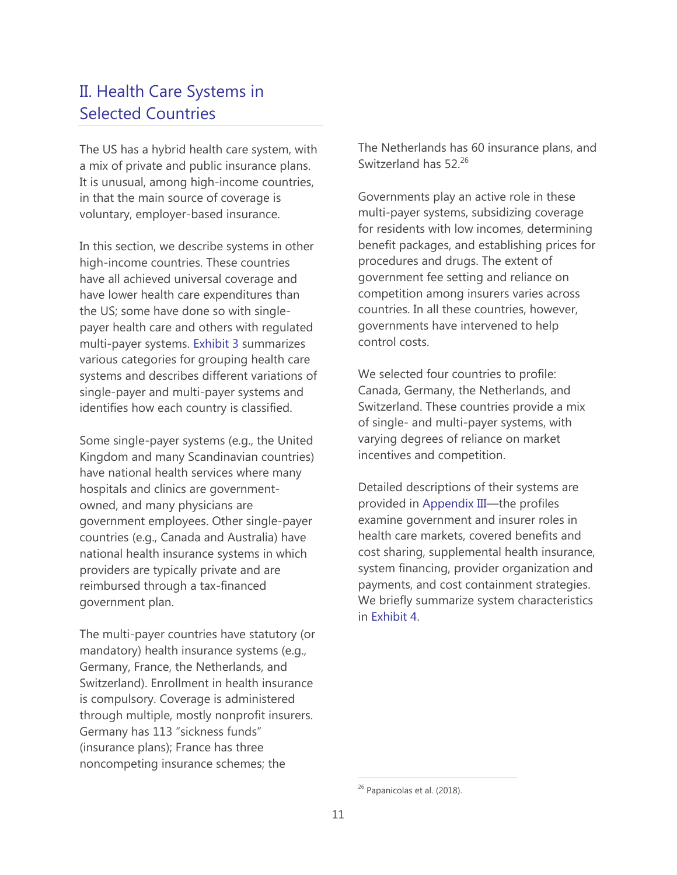# II. Health Care Systems in Selected Countries

The US has a hybrid health care system, with a mix of private and public insurance plans. It is unusual, among high-income countries, in that the main source of coverage is voluntary, employer-based insurance.

In this section, we describe systems in other high-income countries. These countries have all achieved universal coverage and have lower health care expenditures than the US; some have done so with singlepayer health care and others with regulated multi-payer systems. Exhibit 3 summarizes various categories for grouping health care systems and describes different variations of single-payer and multi-payer systems and identifies how each country is classified.

Some single-payer systems (e.g., the United Kingdom and many Scandinavian countries) have national health services where many hospitals and clinics are governmentowned, and many physicians are government employees. Other single-payer countries (e.g., Canada and Australia) have national health insurance systems in which providers are typically private and are reimbursed through a tax-financed government plan.

The multi-payer countries have statutory (or mandatory) health insurance systems (e.g., Germany, France, the Netherlands, and Switzerland). Enrollment in health insurance is compulsory. Coverage is administered through multiple, mostly nonprofit insurers. Germany has 113 "sickness funds" (insurance plans); France has three noncompeting insurance schemes; the

The Netherlands has 60 insurance plans, and Switzerland has 52.<sup>26</sup>

Governments play an active role in these multi-payer systems, subsidizing coverage for residents with low incomes, determining benefit packages, and establishing prices for procedures and drugs. The extent of government fee setting and reliance on competition among insurers varies across countries. In all these countries, however, governments have intervened to help control costs.

We selected four countries to profile: Canada, Germany, the Netherlands, and Switzerland. These countries provide a mix of single- and multi-payer systems, with varying degrees of reliance on market incentives and competition.

Detailed descriptions of their systems are provided in Appendix III—the profiles examine government and insurer roles in health care markets, covered benefits and cost sharing, supplemental health insurance, system financing, provider organization and payments, and cost containment strategies. We briefly summarize system characteristics in Exhibit 4.

<sup>&</sup>lt;sup>26</sup> Papanicolas et al. (2018).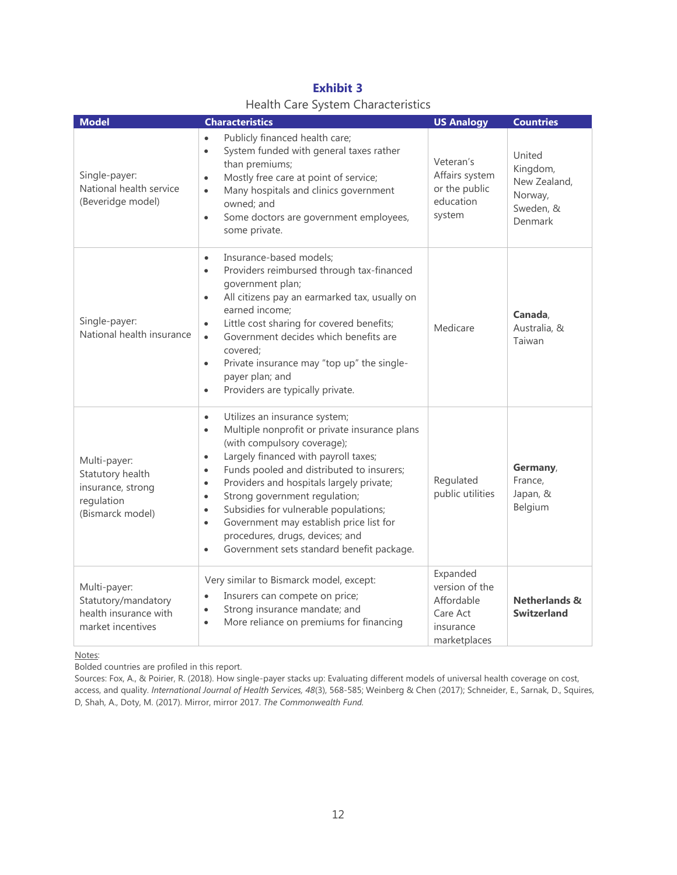| <b>Exhibit 3</b> |  |                                           |  |  |  |  |
|------------------|--|-------------------------------------------|--|--|--|--|
|                  |  | <b>Health Care System Characteristics</b> |  |  |  |  |

| <b>Model</b>                                                                            | <b>Characteristics</b>                                                                                                                                                                                                                                                                                                                                                                                                                                                                                                                                                   | <b>US Analogy</b>                                                                 | <b>Countries</b>                                                      |
|-----------------------------------------------------------------------------------------|--------------------------------------------------------------------------------------------------------------------------------------------------------------------------------------------------------------------------------------------------------------------------------------------------------------------------------------------------------------------------------------------------------------------------------------------------------------------------------------------------------------------------------------------------------------------------|-----------------------------------------------------------------------------------|-----------------------------------------------------------------------|
| Single-payer:<br>National health service<br>(Beveridge model)                           | Publicly financed health care;<br>$\bullet$<br>System funded with general taxes rather<br>$\bullet$<br>than premiums;<br>Mostly free care at point of service;<br>$\bullet$<br>Many hospitals and clinics government<br>$\bullet$<br>owned; and<br>Some doctors are government employees,<br>$\bullet$<br>some private.                                                                                                                                                                                                                                                  | Veteran's<br>Affairs system<br>or the public<br>education<br>system               | United<br>Kingdom,<br>New Zealand,<br>Norway,<br>Sweden, &<br>Denmark |
| Single-payer:<br>National health insurance                                              | Insurance-based models;<br>$\bullet$<br>Providers reimbursed through tax-financed<br>$\bullet$<br>government plan;<br>All citizens pay an earmarked tax, usually on<br>$\bullet$<br>earned income;<br>Little cost sharing for covered benefits;<br>$\bullet$<br>Government decides which benefits are<br>$\bullet$<br>covered;<br>Private insurance may "top up" the single-<br>$\bullet$<br>payer plan; and<br>Providers are typically private.<br>$\bullet$                                                                                                            | Medicare                                                                          | Canada,<br>Australia, &<br>Taiwan                                     |
| Multi-payer:<br>Statutory health<br>insurance, strong<br>regulation<br>(Bismarck model) | Utilizes an insurance system;<br>$\bullet$<br>Multiple nonprofit or private insurance plans<br>$\bullet$<br>(with compulsory coverage);<br>Largely financed with payroll taxes;<br>$\bullet$<br>Funds pooled and distributed to insurers;<br>$\bullet$<br>Providers and hospitals largely private;<br>$\bullet$<br>Strong government regulation;<br>$\bullet$<br>Subsidies for vulnerable populations;<br>$\bullet$<br>Government may establish price list for<br>$\bullet$<br>procedures, drugs, devices; and<br>Government sets standard benefit package.<br>$\bullet$ | Regulated<br>public utilities                                                     | Germany,<br>France,<br>Japan, &<br>Belgium                            |
| Multi-payer:<br>Statutory/mandatory<br>health insurance with<br>market incentives       | Very similar to Bismarck model, except:<br>Insurers can compete on price;<br>$\bullet$<br>Strong insurance mandate; and<br>$\bullet$<br>More reliance on premiums for financing<br>$\bullet$                                                                                                                                                                                                                                                                                                                                                                             | Expanded<br>version of the<br>Affordable<br>Care Act<br>insurance<br>marketplaces | <b>Netherlands &amp;</b><br><b>Switzerland</b>                        |

Notes:

Bolded countries are profiled in this report.

Sources: Fox, A., & Poirier, R. (2018). How single-payer stacks up: Evaluating different models of universal health coverage on cost, access, and quality. *International Journal of Health Services, 48*(3), 568-585; Weinberg & Chen (2017); Schneider, E., Sarnak, D., Squires, D, Shah, A., Doty, M. (2017). Mirror, mirror 2017. *The Commonwealth Fund.*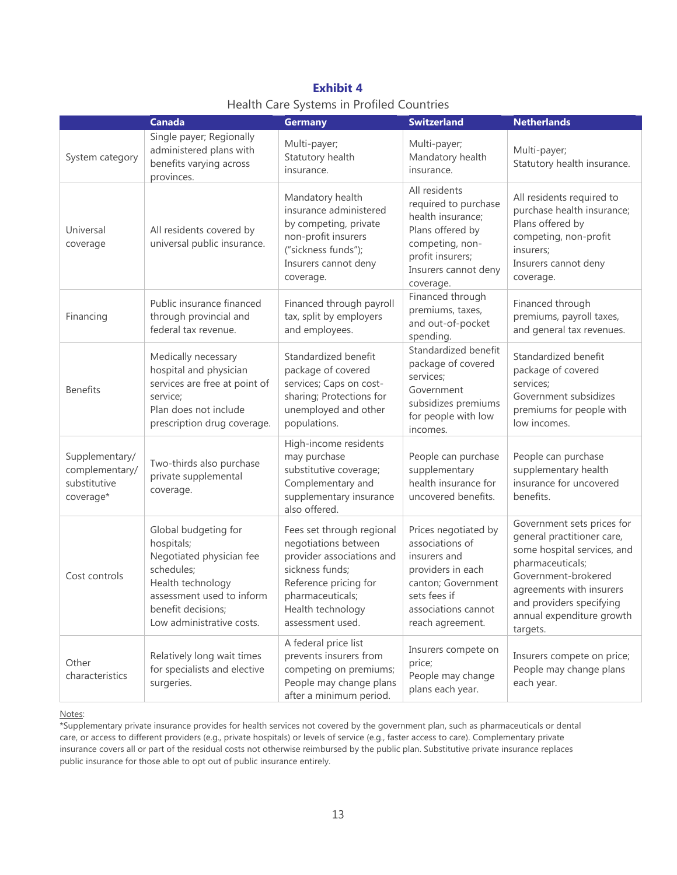|                                                               | <b>Canada</b>                                                                                                                                                                     | <b>Germany</b>                                                                                                                                                                          | <b>Switzerland</b>                                                                                                                                            | <b>Netherlands</b>                                                                                                                                                                                                                  |  |
|---------------------------------------------------------------|-----------------------------------------------------------------------------------------------------------------------------------------------------------------------------------|-----------------------------------------------------------------------------------------------------------------------------------------------------------------------------------------|---------------------------------------------------------------------------------------------------------------------------------------------------------------|-------------------------------------------------------------------------------------------------------------------------------------------------------------------------------------------------------------------------------------|--|
| System category                                               | Single payer; Regionally<br>administered plans with<br>benefits varying across<br>provinces.                                                                                      | Multi-payer;<br>Statutory health<br>insurance.                                                                                                                                          | Multi-payer;<br>Mandatory health<br>insurance.                                                                                                                | Multi-payer;<br>Statutory health insurance.                                                                                                                                                                                         |  |
| Universal<br>coverage                                         | All residents covered by<br>universal public insurance.                                                                                                                           | Mandatory health<br>insurance administered<br>by competing, private<br>non-profit insurers<br>("sickness funds");<br>Insurers cannot deny<br>coverage.                                  | All residents<br>required to purchase<br>health insurance;<br>Plans offered by<br>competing, non-<br>profit insurers;<br>Insurers cannot deny<br>coverage.    | All residents required to<br>purchase health insurance;<br>Plans offered by<br>competing, non-profit<br>insurers;<br>Insurers cannot deny<br>coverage.                                                                              |  |
| Financing                                                     | Public insurance financed<br>through provincial and<br>federal tax revenue.                                                                                                       | Financed through payroll<br>tax, split by employers<br>and employees.                                                                                                                   | Financed through<br>premiums, taxes,<br>and out-of-pocket<br>spending.                                                                                        | Financed through<br>premiums, payroll taxes,<br>and general tax revenues.                                                                                                                                                           |  |
| <b>Benefits</b>                                               | Medically necessary<br>hospital and physician<br>services are free at point of<br>service;<br>Plan does not include<br>prescription drug coverage.                                | Standardized benefit<br>package of covered<br>services; Caps on cost-<br>sharing; Protections for<br>unemployed and other<br>populations.                                               | Standardized benefit<br>package of covered<br>services;<br>Government<br>subsidizes premiums<br>for people with low<br>incomes.                               | Standardized benefit<br>package of covered<br>services;<br>Government subsidizes<br>premiums for people with<br>low incomes.                                                                                                        |  |
| Supplementary/<br>complementary/<br>substitutive<br>coverage* | Two-thirds also purchase<br>private supplemental<br>coverage.                                                                                                                     | High-income residents<br>may purchase<br>substitutive coverage;<br>Complementary and<br>supplementary insurance<br>also offered.                                                        | People can purchase<br>supplementary<br>health insurance for<br>uncovered benefits.                                                                           | People can purchase<br>supplementary health<br>insurance for uncovered<br>benefits.                                                                                                                                                 |  |
| Cost controls                                                 | Global budgeting for<br>hospitals;<br>Negotiated physician fee<br>schedules;<br>Health technology<br>assessment used to inform<br>benefit decisions;<br>Low administrative costs. | Fees set through regional<br>negotiations between<br>provider associations and<br>sickness funds;<br>Reference pricing for<br>pharmaceuticals;<br>Health technology<br>assessment used. | Prices negotiated by<br>associations of<br>insurers and<br>providers in each<br>canton; Government<br>sets fees if<br>associations cannot<br>reach agreement. | Government sets prices for<br>general practitioner care,<br>some hospital services, and<br>pharmaceuticals;<br>Government-brokered<br>agreements with insurers<br>and providers specifying<br>annual expenditure growth<br>targets. |  |
| Other<br>characteristics                                      | Relatively long wait times<br>for specialists and elective<br>surgeries.                                                                                                          | A federal price list<br>prevents insurers from<br>competing on premiums;<br>People may change plans                                                                                     | Insurers compete on<br>price;<br>People may change<br>plans each year.                                                                                        | Insurers compete on price;<br>People may change plans<br>each year.                                                                                                                                                                 |  |

**Exhibit 4** Health Care Systems in Profiled Countries

Notes:

\*Supplementary private insurance provides for health services not covered by the government plan, such as pharmaceuticals or dental care, or access to different providers (e.g., private hospitals) or levels of service (e.g., faster access to care). Complementary private insurance covers all or part of the residual costs not otherwise reimbursed by the public plan. Substitutive private insurance replaces public insurance for those able to opt out of public insurance entirely.

after a minimum period.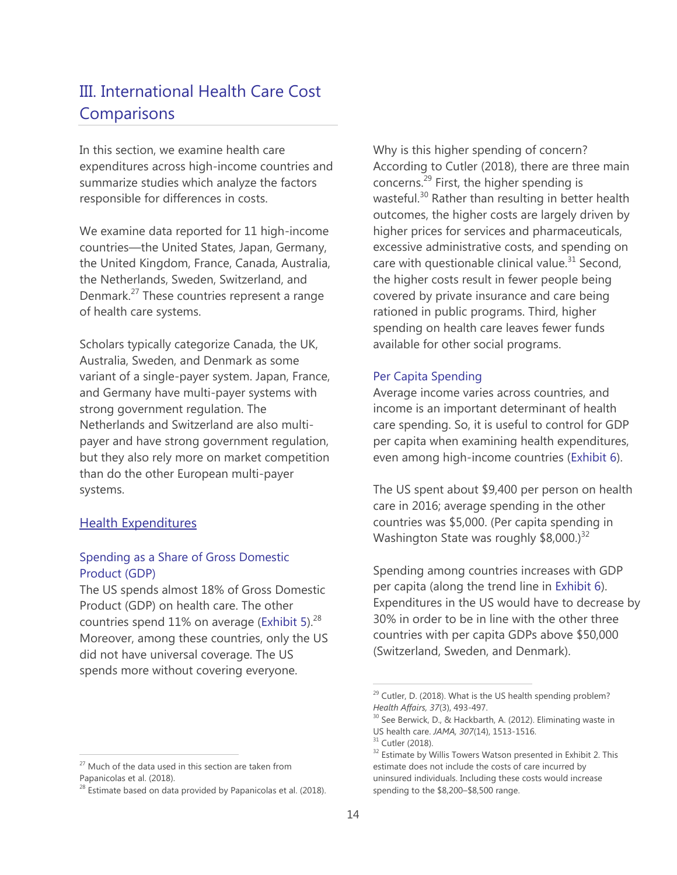# III. International Health Care Cost **Comparisons**

In this section, we examine health care expenditures across high-income countries and summarize studies which analyze the factors responsible for differences in costs.

We examine data reported for 11 high-income countries—the United States, Japan, Germany, the United Kingdom, France, Canada, Australia, the Netherlands, Sweden, Switzerland, and Denmark.<sup>27</sup> These countries represent a range of health care systems.

Scholars typically categorize Canada, the UK, Australia, Sweden, and Denmark as some variant of a single-payer system. Japan, France, and Germany have multi-payer systems with strong government regulation. The Netherlands and Switzerland are also multipayer and have strong government regulation, but they also rely more on market competition than do the other European multi-payer systems.

## Health Expenditures

 $\overline{a}$ 

## Spending as a Share of Gross Domestic Product (GDP)

The US spends almost 18% of Gross Domestic Product (GDP) on health care. The other countries spend 11% on average (Exhibit 5).<sup>28</sup> Moreover, among these countries, only the US did not have universal coverage. The US spends more without covering everyone.

Why is this higher spending of concern? According to Cutler (2018), there are three main concerns.<sup>29</sup> First, the higher spending is wasteful.<sup>30</sup> Rather than resulting in better health outcomes, the higher costs are largely driven by higher prices for services and pharmaceuticals, excessive administrative costs, and spending on care with questionable clinical value. $31$  Second, the higher costs result in fewer people being covered by private insurance and care being rationed in public programs. Third, higher spending on health care leaves fewer funds available for other social programs.

### Per Capita Spending

Average income varies across countries, and income is an important determinant of health care spending. So, it is useful to control for GDP per capita when examining health expenditures, even among high-income countries (Exhibit 6).

The US spent about \$9,400 per person on health care in 2016; average spending in the other countries was \$5,000. (Per capita spending in Washington State was roughly  $$8,000$ .)<sup>32</sup>

Spending among countries increases with GDP per capita (along the trend line in Exhibit 6). Expenditures in the US would have to decrease by 30% in order to be in line with the other three countries with per capita GDPs above \$50,000 (Switzerland, Sweden, and Denmark).

<sup>&</sup>lt;sup>29</sup> Cutler, D. (2018). What is the US health spending problem? *Health Affairs, 37*(3), 493-497.

<sup>&</sup>lt;sup>30</sup> See Berwick, D., & Hackbarth, A. (2012). Eliminating waste in US health care. *JAMA, 307*(14), 1513-1516.

<sup>&</sup>lt;sup>31</sup> Cutler (2018).

<sup>&</sup>lt;sup>32</sup> Estimate by Willis Towers Watson presented in Exhibit 2. This estimate does not include the costs of care incurred by uninsured individuals. Including these costs would increase spending to the \$8,200–\$8,500 range.

 $27$  Much of the data used in this section are taken from Papanicolas et al. (2018).

 $28$  Estimate based on data provided by Papanicolas et al. (2018).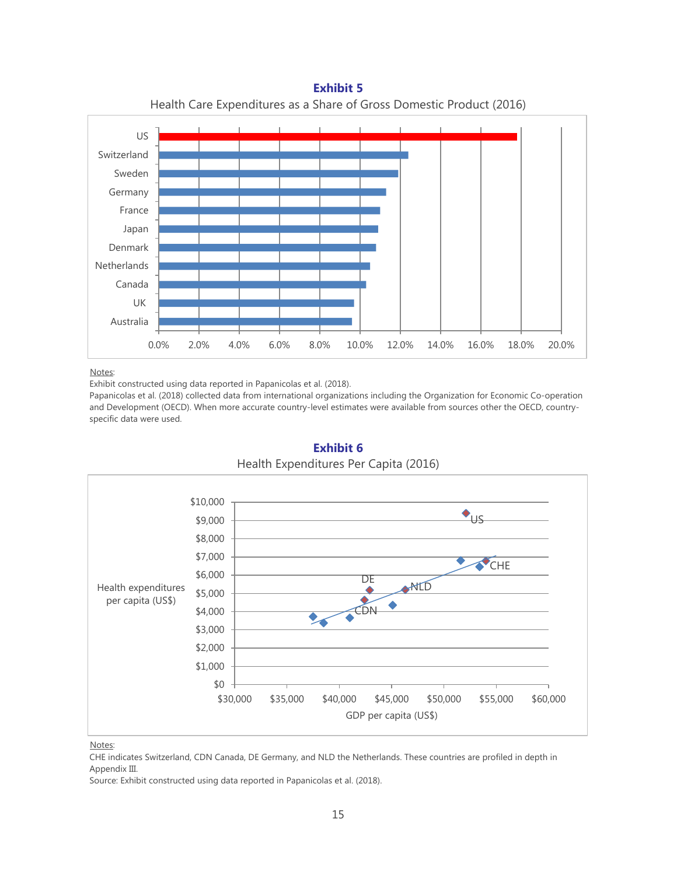**Netherlands** Denmark Japan France Germany Sweden Switzerland US



#### Notes:

Australia UK Canada

Exhibit constructed using data reported in Papanicolas et al. (2018).

Papanicolas et al. (2018) collected data from international organizations including the Organization for Economic Co-operation and Development (OECD). When more accurate country-level estimates were available from sources other the OECD, countryspecific data were used.

0.0% 2.0% 4.0% 6.0% 8.0% 10.0% 12.0% 14.0% 16.0% 18.0% 20.0%



## **Exhibit 6** Health Expenditures Per Capita (2016)

#### Notes:

CHE indicates Switzerland, CDN Canada, DE Germany, and NLD the Netherlands. These countries are profiled in depth in Appendix III.

Source: Exhibit constructed using data reported in Papanicolas et al. (2018).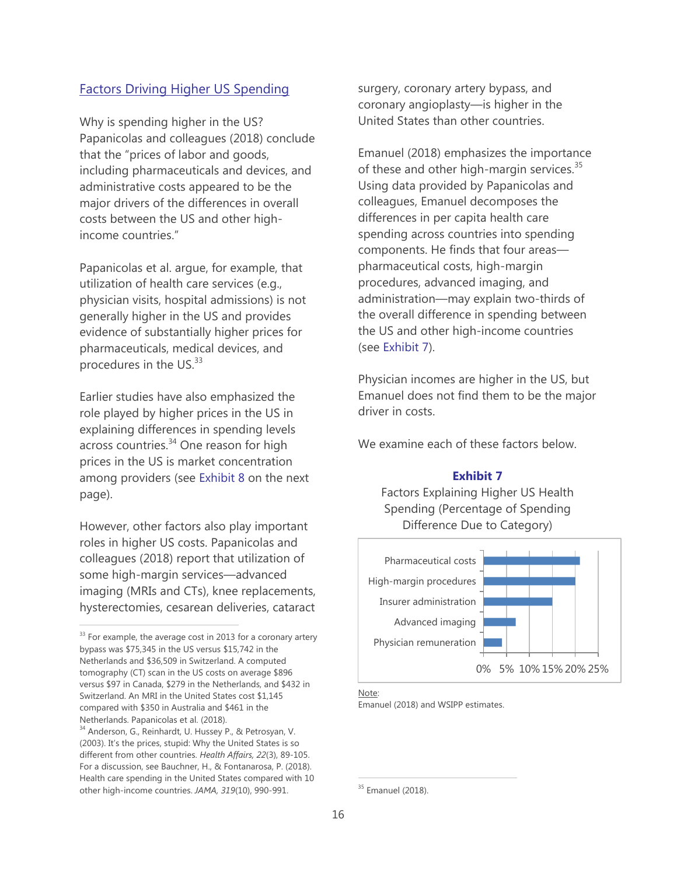## Factors Driving Higher US Spending

Why is spending higher in the US? Papanicolas and colleagues (2018) conclude that the "prices of labor and goods, including pharmaceuticals and devices, and administrative costs appeared to be the major drivers of the differences in overall costs between the US and other highincome countries."

Papanicolas et al. argue, for example, that utilization of health care services (e.g., physician visits, hospital admissions) is not generally higher in the US and provides evidence of substantially higher prices for pharmaceuticals, medical devices, and procedures in the US.<sup>33</sup>

Earlier studies have also emphasized the role played by higher prices in the US in explaining differences in spending levels across countries.<sup>34</sup> One reason for high prices in the US is market concentration among providers (see Exhibit 8 on the next page).

However, other factors also play important roles in higher US costs. Papanicolas and colleagues (2018) report that utilization of some high-margin services—advanced imaging (MRIs and CTs), knee replacements, hysterectomies, cesarean deliveries, cataract

surgery, coronary artery bypass, and coronary angioplasty—is higher in the United States than other countries.

Emanuel (2018) emphasizes the importance of these and other high-margin services.<sup>35</sup> Using data provided by Papanicolas and colleagues, Emanuel decomposes the differences in per capita health care spending across countries into spending components. He finds that four areas pharmaceutical costs, high-margin procedures, advanced imaging, and administration—may explain two-thirds of the overall difference in spending between the US and other high-income countries (see Exhibit 7).

Physician incomes are higher in the US, but Emanuel does not find them to be the major driver in costs.

We examine each of these factors below.

#### **Exhibit 7**

Factors Explaining Higher US Health Spending (Percentage of Spending Difference Due to Category)



Note:

Emanuel (2018) and WSIPP estimates.

 $33$  For example, the average cost in 2013 for a coronary artery bypass was \$75,345 in the US versus \$15,742 in the Netherlands and \$36,509 in Switzerland. A computed tomography (CT) scan in the US costs on average \$896 versus \$97 in Canada, \$279 in the Netherlands, and \$432 in Switzerland. An MRI in the United States cost \$1,145 compared with \$350 in Australia and \$461 in the Netherlands. Papanicolas et al. (2018).

<sup>&</sup>lt;sup>34</sup> Anderson, G., Reinhardt, U. Hussey P., & Petrosyan, V. (2003). It's the prices, stupid: Why the United States is so different from other countries. *Health Affairs, 22*(3), 89-105. For a discussion, see Bauchner, H., & Fontanarosa, P. (2018). Health care spending in the United States compared with 10 other high-income countries. *JAMA, 319*(10), 990-991.

<sup>&</sup>lt;sup>35</sup> Emanuel (2018).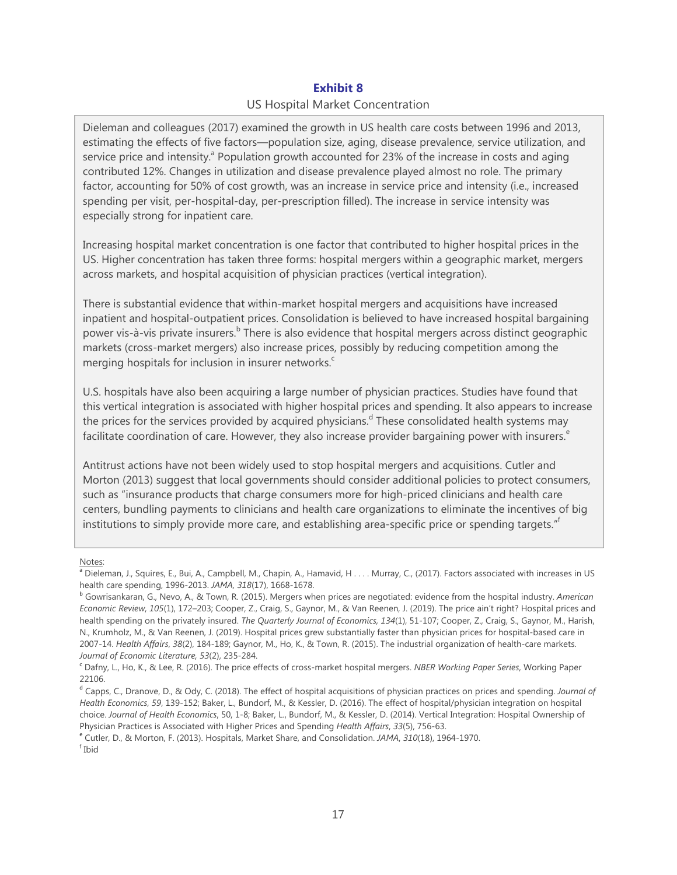## **Exhibit 8**  US Hospital Market Concentration

Dieleman and colleagues (2017) examined the growth in US health care costs between 1996 and 2013, estimating the effects of five factors—population size, aging, disease prevalence, service utilization, and service price and intensity.<sup>a</sup> Population growth accounted for 23% of the increase in costs and aging contributed 12%. Changes in utilization and disease prevalence played almost no role. The primary factor, accounting for 50% of cost growth, was an increase in service price and intensity (i.e., increased spending per visit, per-hospital-day, per-prescription filled). The increase in service intensity was especially strong for inpatient care.

Increasing hospital market concentration is one factor that contributed to higher hospital prices in the US. Higher concentration has taken three forms: hospital mergers within a geographic market, mergers across markets, and hospital acquisition of physician practices (vertical integration).

There is substantial evidence that within-market hospital mergers and acquisitions have increased inpatient and hospital-outpatient prices. Consolidation is believed to have increased hospital bargaining power vis-à-vis private insurers.<sup>b</sup> There is also evidence that hospital mergers across distinct geographic markets (cross-market mergers) also increase prices, possibly by reducing competition among the merging hospitals for inclusion in insurer networks.<sup>c</sup>

U.S. hospitals have also been acquiring a large number of physician practices. Studies have found that this vertical integration is associated with higher hospital prices and spending. It also appears to increase the prices for the services provided by acquired physicians.<sup>d</sup> These consolidated health systems may facilitate coordination of care. However, they also increase provider bargaining power with insurers.<sup>e</sup>

Antitrust actions have not been widely used to stop hospital mergers and acquisitions. Cutler and Morton (2013) suggest that local governments should consider additional policies to protect consumers, such as "insurance products that charge consumers more for high-priced clinicians and health care centers, bundling payments to clinicians and health care organizations to eliminate the incentives of big institutions to simply provide more care, and establishing area-specific price or spending targets."

Notes:

<sup>e</sup> Cutler, D., & Morton, F. (2013). Hospitals, Market Share, and Consolidation. *JAMA*, *310*(18), 1964-1970.

f Ibid

<sup>&</sup>lt;sup>a</sup> Dieleman, J., Squires, E., Bui, A., Campbell, M., Chapin, A., Hamavid, H . . . . Murray, C., (2017). Factors associated with increases in US health care spending, 1996-2013. *JAMA, 318*(17), 1668-1678.<br><sup>b</sup> Gowrisankaran, G., Nevo, A., & Town, R. (2015). Mergers when prices are negotiated: evidence from the hospital industry. *American* 

*Economic Review*, *105*(1), 172–203; Cooper, Z., Craig, S., Gaynor, M., & Van Reenen, J. (2019). The price ain't right? Hospital prices and health spending on the privately insured. *The Quarterly Journal of Economics, 134*(1), 51-107; Cooper, Z., Craig, S., Gaynor, M., Harish, N., Krumholz, M., & Van Reenen, J. (2019). Hospital prices grew substantially faster than physician prices for hospital-based care in 2007-14. *Health Affairs*, *38*(2), 184-189; Gaynor, M., Ho, K., & Town, R. (2015). The industrial organization of health-care markets. *Journal of Economic Literature, 53*(2), 235-284.

<sup>c</sup> Dafny, L., Ho, K., & Lee, R. (2016). The price effects of cross-market hospital mergers. *NBER Working Paper Series*, Working Paper 22106.

<sup>d</sup> Capps, C., Dranove, D., & Ody, C. (2018). The effect of hospital acquisitions of physician practices on prices and spending. *Journal of Health Economics*, *59*, 139-152; Baker, L., Bundorf, M., & Kessler, D. (2016). The effect of hospital/physician integration on hospital choice. *Journal of Health Economics*, 50, 1-8; Baker, L., Bundorf, M., & Kessler, D. (2014). Vertical Integration: Hospital Ownership of Physician Practices is Associated with Higher Prices and Spending *Health Affairs*, *33*(5), 756-63.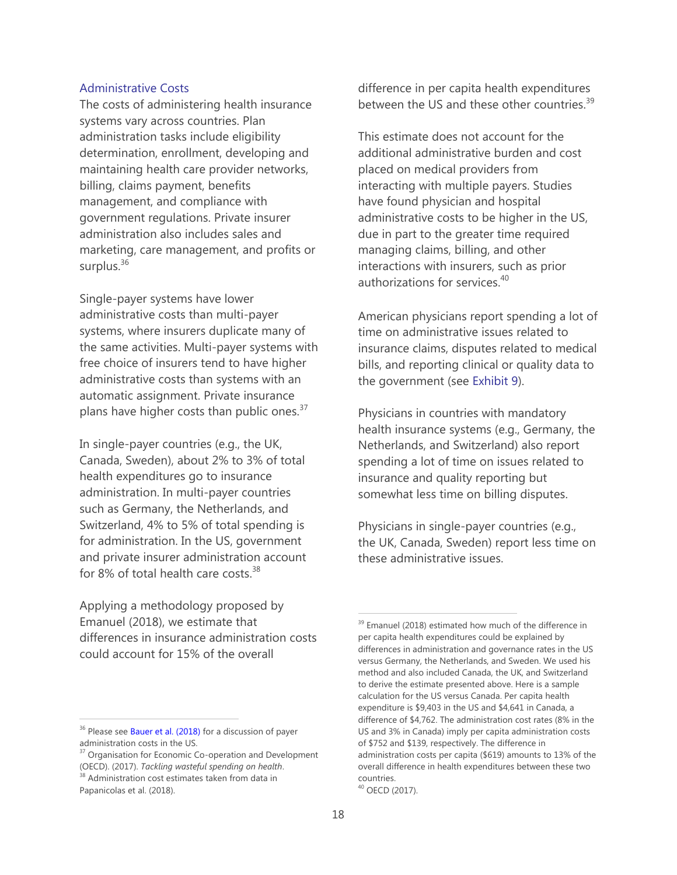#### Administrative Costs

The costs of administering health insurance systems vary across countries. Plan administration tasks include eligibility determination, enrollment, developing and maintaining health care provider networks, billing, claims payment, benefits management, and compliance with government regulations. Private insurer administration also includes sales and marketing, care management, and profits or surplus. $36$ 

Single-payer systems have lower administrative costs than multi-payer systems, where insurers duplicate many of the same activities. Multi-payer systems with free choice of insurers tend to have higher administrative costs than systems with an automatic assignment. Private insurance plans have higher costs than public ones.<sup>37</sup>

In single-payer countries (e.g., the UK, Canada, Sweden), about 2% to 3% of total health expenditures go to insurance administration. In multi-payer countries such as Germany, the Netherlands, and Switzerland, 4% to 5% of total spending is for administration. In the US, government and private insurer administration account for 8% of total health care costs.<sup>38</sup>

Applying a methodology proposed by Emanuel (2018), we estimate that differences in insurance administration costs could account for 15% of the overall

 $\overline{a}$ 

difference in per capita health expenditures between the US and these other countries.<sup>39</sup>

This estimate does not account for the additional administrative burden and cost placed on medical providers from interacting with multiple payers. Studies have found physician and hospital administrative costs to be higher in the US, due in part to the greater time required managing claims, billing, and other interactions with insurers, such as prior authorizations for services.<sup>40</sup>

American physicians report spending a lot of time on administrative issues related to insurance claims, disputes related to medical bills, and reporting clinical or quality data to the government (see Exhibit 9).

Physicians in countries with mandatory health insurance systems (e.g., Germany, the Netherlands, and Switzerland) also report spending a lot of time on issues related to insurance and quality reporting but somewhat less time on billing disputes.

Physicians in single-payer countries (e.g., the UK, Canada, Sweden) report less time on these administrative issues.

<sup>&</sup>lt;sup>36</sup> Please see [Bauer et al. \(2018\)](http://www.wsipp.wa.gov/ReportFile/1692/Wsipp_Single-Payer-and-Universal-Coverage-Health-Systems-Interim-Report_Report.pdf) for a discussion of payer administration costs in the US.

<sup>&</sup>lt;sup>37</sup> Organisation for Economic Co-operation and Development (OECD). (2017). *Tackling wasteful spending on health*. <sup>38</sup> Administration cost estimates taken from data in Papanicolas et al. (2018).

<sup>&</sup>lt;sup>39</sup> Emanuel (2018) estimated how much of the difference in per capita health expenditures could be explained by differences in administration and governance rates in the US versus Germany, the Netherlands, and Sweden. We used his method and also included Canada, the UK, and Switzerland to derive the estimate presented above. Here is a sample calculation for the US versus Canada. Per capita health expenditure is \$9,403 in the US and \$4,641 in Canada, a difference of \$4,762. The administration cost rates (8% in the US and 3% in Canada) imply per capita administration costs of \$752 and \$139, respectively. The difference in administration costs per capita (\$619) amounts to 13% of the overall difference in health expenditures between these two countries.

<sup>40</sup> OECD (2017).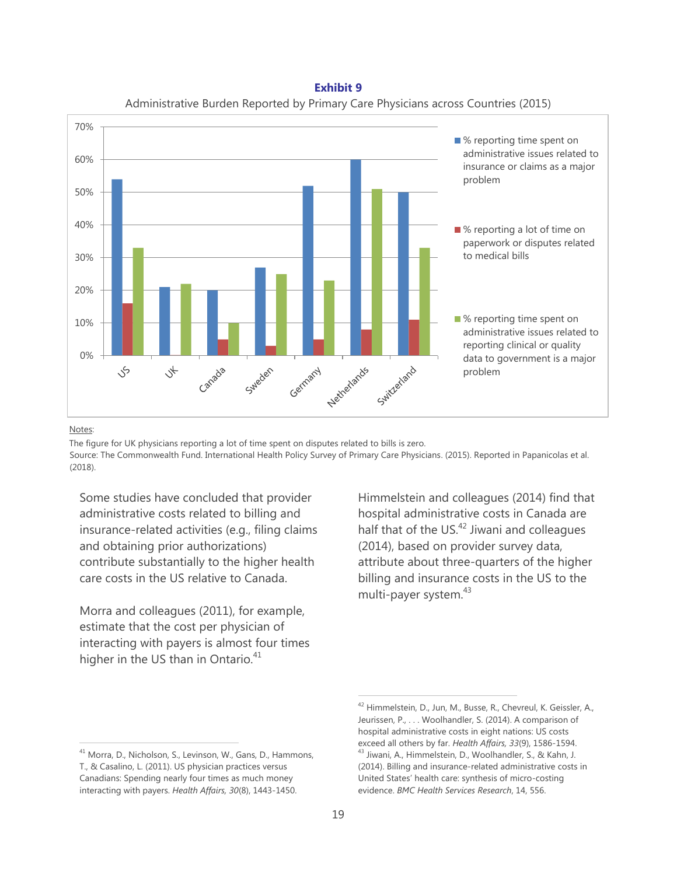**Exhibit 9** Administrative Burden Reported by Primary Care Physicians across Countries (2015)



#### Notes:

 $\overline{a}$ 

The figure for UK physicians reporting a lot of time spent on disputes related to bills is zero. Source: The Commonwealth Fund. International Health Policy Survey of Primary Care Physicians. (2015). Reported in Papanicolas et al. (2018).

Some studies have concluded that provider administrative costs related to billing and insurance-related activities (e.g., filing claims and obtaining prior authorizations) contribute substantially to the higher health care costs in the US relative to Canada.

Morra and colleagues (2011), for example, estimate that the cost per physician of interacting with payers is almost four times higher in the US than in Ontario.<sup>41</sup>

Himmelstein and colleagues (2014) find that hospital administrative costs in Canada are half that of the US.<sup>42</sup> Jiwani and colleagues (2014), based on provider survey data, attribute about three-quarters of the higher billing and insurance costs in the US to the multi-payer system.<sup>43</sup>

<sup>&</sup>lt;sup>41</sup> Morra, D., Nicholson, S., Levinson, W., Gans, D., Hammons, T., & Casalino, L. (2011). US physician practices versus Canadians: Spending nearly four times as much money interacting with payers. *Health Affairs, 30*(8), 1443-1450.

<sup>&</sup>lt;sup>42</sup> Himmelstein, D., Jun, M., Busse, R., Chevreul, K. Geissler, A., Jeurissen, P., . . . Woolhandler, S. (2014). A comparison of hospital administrative costs in eight nations: US costs exceed all others by far. *Health Affairs, 33*(9), 1586-1594. <sup>43</sup> Jiwani, A., Himmelstein, D., Woolhandler, S., & Kahn, J. (2014). Billing and insurance-related administrative costs in United States' health care: synthesis of micro-costing evidence. *BMC Health Services Research*, 14, 556.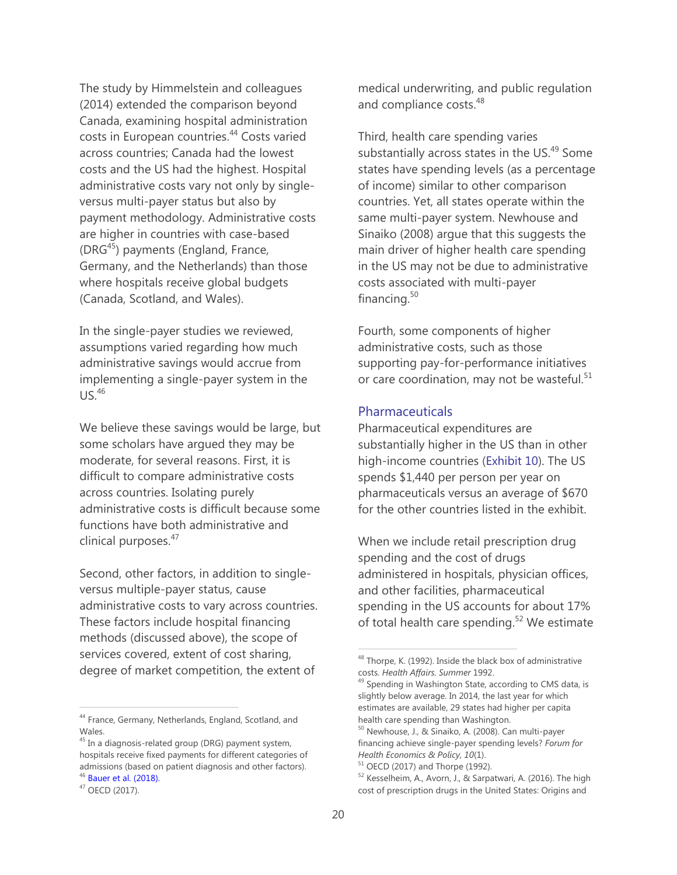The study by Himmelstein and colleagues (2014) extended the comparison beyond Canada, examining hospital administration costs in European countries.<sup>44</sup> Costs varied across countries; Canada had the lowest costs and the US had the highest. Hospital administrative costs vary not only by singleversus multi-payer status but also by payment methodology. Administrative costs are higher in countries with case-based  $(DRG<sup>45</sup>)$  payments (England, France, Germany, and the Netherlands) than those where hospitals receive global budgets (Canada, Scotland, and Wales).

In the single-payer studies we reviewed, assumptions varied regarding how much administrative savings would accrue from implementing a single-payer system in the  $US.<sup>46</sup>$ 

We believe these savings would be large, but some scholars have argued they may be moderate, for several reasons. First, it is difficult to compare administrative costs across countries. Isolating purely administrative costs is difficult because some functions have both administrative and clinical purposes.<sup>47</sup>

Second, other factors, in addition to singleversus multiple-payer status, cause administrative costs to vary across countries. These factors include hospital financing methods (discussed above), the scope of services covered, extent of cost sharing, degree of market competition, the extent of

44 France, Germany, Netherlands, England, Scotland, and Wales.

 $\overline{a}$ 

medical underwriting, and public regulation and compliance costs.<sup>48</sup>

Third, health care spending varies substantially across states in the US.<sup>49</sup> Some states have spending levels (as a percentage of income) similar to other comparison countries. Yet, all states operate within the same multi-payer system. Newhouse and Sinaiko (2008) argue that this suggests the main driver of higher health care spending in the US may not be due to administrative costs associated with multi-payer financing.<sup>50</sup>

Fourth, some components of higher administrative costs, such as those supporting pay-for-performance initiatives or care coordination, may not be wasteful.<sup>51</sup>

#### Pharmaceuticals

Pharmaceutical expenditures are substantially higher in the US than in other high-income countries (Exhibit 10). The US spends \$1,440 per person per year on pharmaceuticals versus an average of \$670 for the other countries listed in the exhibit.

When we include retail prescription drug spending and the cost of drugs administered in hospitals, physician offices, and other facilities, pharmaceutical spending in the US accounts for about 17% of total health care spending.<sup>52</sup> We estimate

<sup>&</sup>lt;sup>45</sup> In a diagnosis-related group (DRG) payment system, hospitals receive fixed payments for different categories of admissions (based on patient diagnosis and other factors). <sup>46</sup> [Bauer](http://www.wsipp.wa.gov/ReportFile/1692/Wsipp_Single-Payer-and-Universal-Coverage-Health-Systems-Interim-Report_Report.pdf) et al. (2018).

<sup>47</sup> OECD (2017).

<sup>&</sup>lt;sup>48</sup> Thorpe, K. (1992). Inside the black box of administrative costs. *Health Affairs. Summer* 1992.

<sup>&</sup>lt;sup>49</sup> Spending in Washington State, according to CMS data, is slightly below average. In 2014, the last year for which estimates are available, 29 states had higher per capita health care spending than Washington.

<sup>50</sup> Newhouse, J., & Sinaiko, A. (2008). Can multi-payer financing achieve single-payer spending levels? *Forum for Health Economics & Policy, 10*(1).

<sup>51</sup> OECD (2017) and Thorpe (1992).

<sup>52</sup> Kesselheim, A., Avorn, J., & Sarpatwari, A. (2016). The high cost of prescription drugs in the United States: Origins and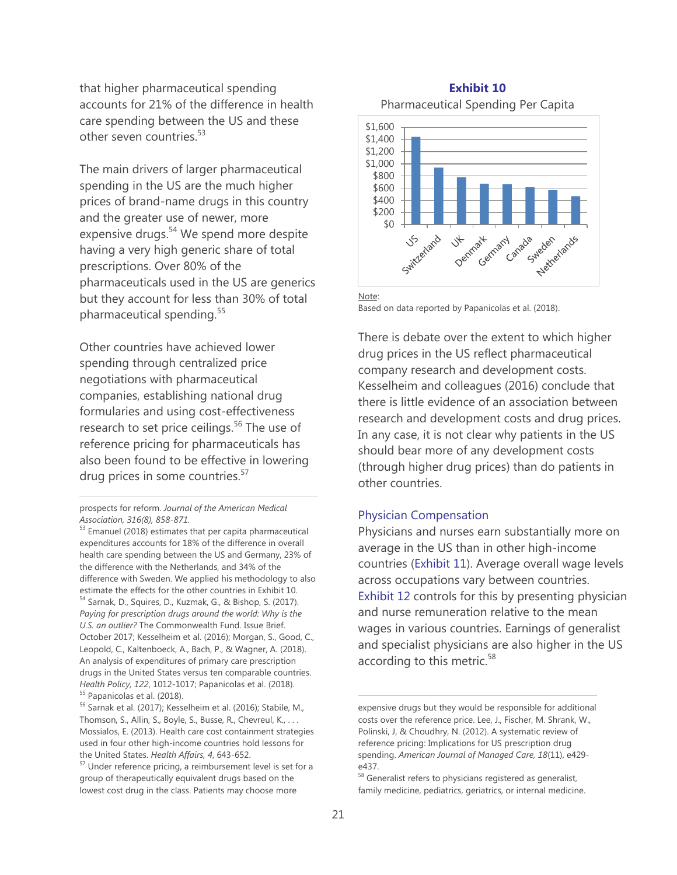that higher pharmaceutical spending accounts for 21% of the difference in health care spending between the US and these other seven countries<sup>53</sup>

The main drivers of larger pharmaceutical spending in the US are the much higher prices of brand-name drugs in this country and the greater use of newer, more expensive drugs.<sup>54</sup> We spend more despite having a very high generic share of total prescriptions. Over 80% of the pharmaceuticals used in the US are generics but they account for less than 30% of total pharmaceutical spending.<sup>55</sup>

Other countries have achieved lower spending through centralized price negotiations with pharmaceutical companies, establishing national drug formularies and using cost-effectiveness research to set price ceilings.<sup>56</sup> The use of reference pricing for pharmaceuticals has also been found to be effective in lowering drug prices in some countries.<sup>57</sup>

prospects for reform. *Journal of the American Medical Association, 316(8), 858-871.*

## **Exhibit 10** Pharmaceutical Spending Per Capita



Note: Based on data reported by Papanicolas et al. (2018).

There is debate over the extent to which higher drug prices in the US reflect pharmaceutical company research and development costs. Kesselheim and colleagues (2016) conclude that there is little evidence of an association between research and development costs and drug prices. In any case, it is not clear why patients in the US should bear more of any development costs (through higher drug prices) than do patients in other countries.

#### Physician Compensation

Physicians and nurses earn substantially more on average in the US than in other high-income countries (Exhibit 11). Average overall wage levels across occupations vary between countries. Exhibit 12 controls for this by presenting physician and nurse remuneration relative to the mean wages in various countries. Earnings of generalist and specialist physicians are also higher in the US according to this metric.<sup>58</sup>

 $53$  Emanuel (2018) estimates that per capita pharmaceutical expenditures accounts for 18% of the difference in overall health care spending between the US and Germany, 23% of the difference with the Netherlands, and 34% of the difference with Sweden. We applied his methodology to also estimate the effects for the other countries in Exhibit 10. <sup>54</sup> Sarnak, D., Squires, D., Kuzmak, G., & Bishop, S. (2017). *Paying for prescription drugs around the world: Why is the U.S. an outlier?* The Commonwealth Fund. Issue Brief. October 2017; Kesselheim et al. (2016); Morgan, S., Good, C., Leopold, C., Kaltenboeck, A., Bach, P., & Wagner, A. (2018). An analysis of expenditures of primary care prescription drugs in the United States versus ten comparable countries. *Health Policy, 122*, 1012-1017; Papanicolas et al. (2018). <sup>55</sup> Papanicolas et al. (2018).

<sup>&</sup>lt;sup>56</sup> Sarnak et al. (2017); Kesselheim et al. (2016); Stabile, M., Thomson, S., Allin, S., Boyle, S., Busse, R., Chevreul, K., . . . Mossialos, E. (2013). Health care cost containment strategies used in four other high-income countries hold lessons for the United States. *Health Affairs, 4*, 643-652.

<sup>&</sup>lt;sup>57</sup> Under reference pricing, a reimbursement level is set for a group of therapeutically equivalent drugs based on the lowest cost drug in the class. Patients may choose more

expensive drugs but they would be responsible for additional costs over the reference price. Lee, J., Fischer, M. Shrank, W., Polinski, J, & Choudhry, N. (2012). A systematic review of reference pricing: Implications for US prescription drug spending. *American Journal of Managed Care, 18*(11), e429 e437.

 $58$  Generalist refers to physicians registered as generalist, family medicine, pediatrics, geriatrics, or internal medicine.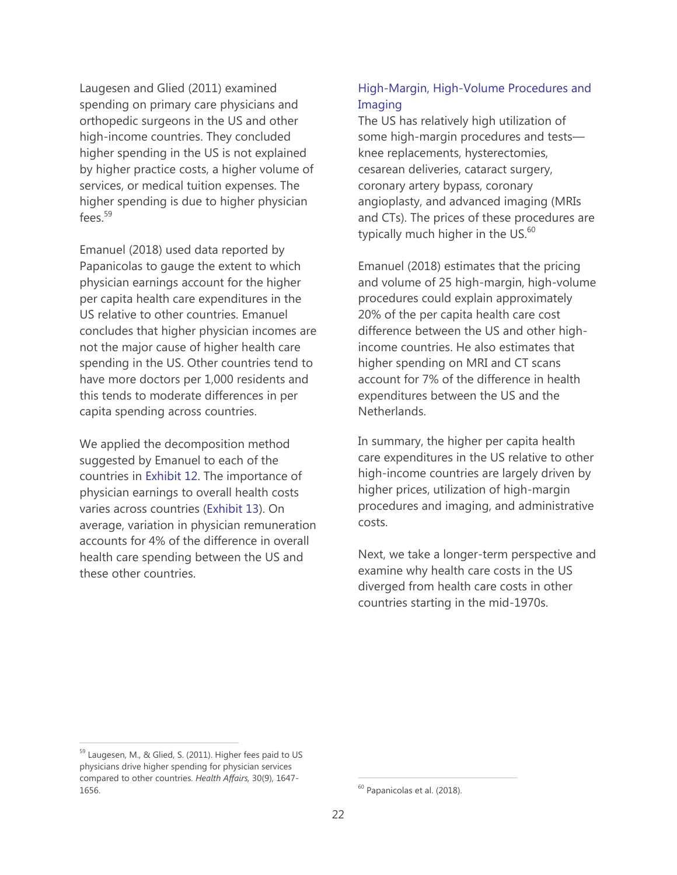Laugesen and Glied (2011) examined spending on primary care physicians and orthopedic surgeons in the US and other high-income countries. They concluded higher spending in the US is not explained by higher practice costs, a higher volume of services, or medical tuition expenses. The higher spending is due to higher physician fees. $^{59}$ 

Emanuel (2018) used data reported by Papanicolas to gauge the extent to which physician earnings account for the higher per capita health care expenditures in the US relative to other countries. Emanuel concludes that higher physician incomes are not the major cause of higher health care spending in the US. Other countries tend to have more doctors per 1,000 residents and this tends to moderate differences in per capita spending across countries.

We applied the decomposition method suggested by Emanuel to each of the countries in Exhibit 12. The importance of physician earnings to overall health costs varies across countries (Exhibit 13). On average, variation in physician remuneration accounts for 4% of the difference in overall health care spending between the US and these other countries.

# High-Margin, High-Volume Procedures and Imaging

The US has relatively high utilization of some high-margin procedures and tests knee replacements, hysterectomies, cesarean deliveries, cataract surgery, coronary artery bypass, coronary angioplasty, and advanced imaging (MRIs and CTs). The prices of these procedures are typically much higher in the US. $^{60}$ 

Emanuel (2018) estimates that the pricing and volume of 25 high-margin, high-volume procedures could explain approximately 20% of the per capita health care cost difference between the US and other highincome countries. He also estimates that higher spending on MRI and CT scans account for 7% of the difference in health expenditures between the US and the Netherlands.

In summary, the higher per capita health care expenditures in the US relative to other high-income countries are largely driven by higher prices, utilization of high-margin procedures and imaging, and administrative costs.

Next, we take a longer-term perspective and examine why health care costs in the US diverged from health care costs in other countries starting in the mid-1970s.

<sup>59</sup> Laugesen, M., & Glied, S. (2011). Higher fees paid to US physicians drive higher spending for physician services compared to other countries. *Health Affairs,* 30(9), 1647- 1656.

<sup>&</sup>lt;sup>60</sup> Papanicolas et al. (2018).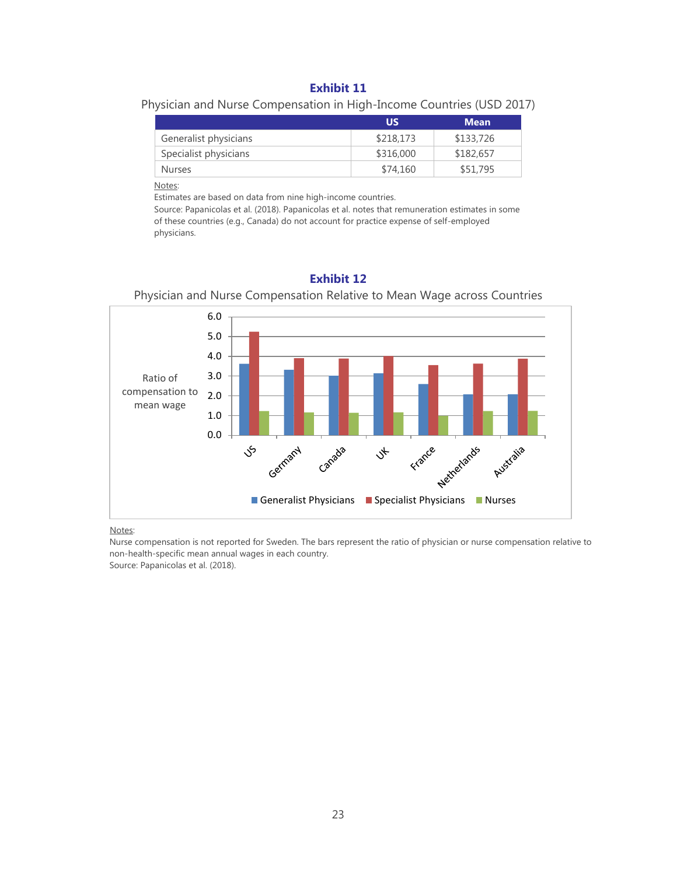#### **Exhibit 11**

Physician and Nurse Compensation in High-Income Countries (USD 2017)

|                       | US        | <b>Mean</b> |
|-----------------------|-----------|-------------|
| Generalist physicians | \$218,173 | \$133,726   |
| Specialist physicians | \$316,000 | \$182,657   |
| <b>Nurses</b>         | \$74.160  | \$51,795    |

Notes:

Estimates are based on data from nine high-income countries.

Source: Papanicolas et al. (2018). Papanicolas et al. notes that remuneration estimates in some of these countries (e.g., Canada) do not account for practice expense of self-employed physicians.



#### **Exhibit 12**

Physician and Nurse Compensation Relative to Mean Wage across Countries

#### Notes:

Nurse compensation is not reported for Sweden. The bars represent the ratio of physician or nurse compensation relative to non-health-specific mean annual wages in each country. Source: Papanicolas et al. (2018).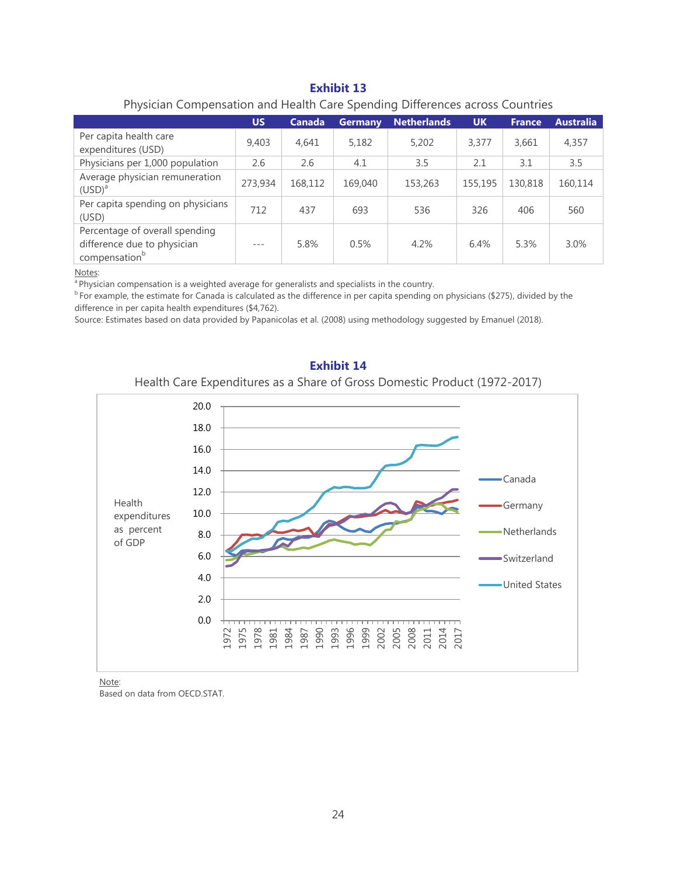#### **Exhibit 13**

### Physician Compensation and Health Care Spending Differences across Countries

|                                                                                            | <b>US</b> | Canada  | <b>Germany</b> | <b>Netherlands</b> | <b>UK</b> | <b>France</b> | <b>Australia</b> |
|--------------------------------------------------------------------------------------------|-----------|---------|----------------|--------------------|-----------|---------------|------------------|
| Per capita health care<br>expenditures (USD)                                               | 9,403     | 4,641   | 5,182          | 5,202              | 3,377     | 3,661         | 4,357            |
| Physicians per 1,000 population                                                            | 2.6       | 2.6     | 4.1            | 3.5                | 2.1       | 3.1           | 3.5              |
| Average physician remuneration<br>$(USD)^{a}$                                              | 273,934   | 168,112 | 169,040        | 153,263            | 155,195   | 130,818       | 160,114          |
| Per capita spending on physicians<br>(USD)                                                 | 712       | 437     | 693            | 536                | 326       | 406           | 560              |
| Percentage of overall spending<br>difference due to physician<br>compensation <sup>b</sup> |           | 5.8%    | 0.5%           | 4.2%               | 6.4%      | 5.3%          | 3.0%             |

Notes:

<sup>a</sup> Physician compensation is a weighted average for generalists and specialists in the country.

<sup>b</sup> For example, the estimate for Canada is calculated as the difference in per capita spending on physicians (\$275), divided by the difference in per capita health expenditures (\$4,762).

Source: Estimates based on data provided by Papanicolas et al. (2008) using methodology suggested by Emanuel (2018).



#### **Exhibit 14**

#### Health Care Expenditures as a Share of Gross Domestic Product (1972-2017)

Note:

Based on data from OECD.STAT.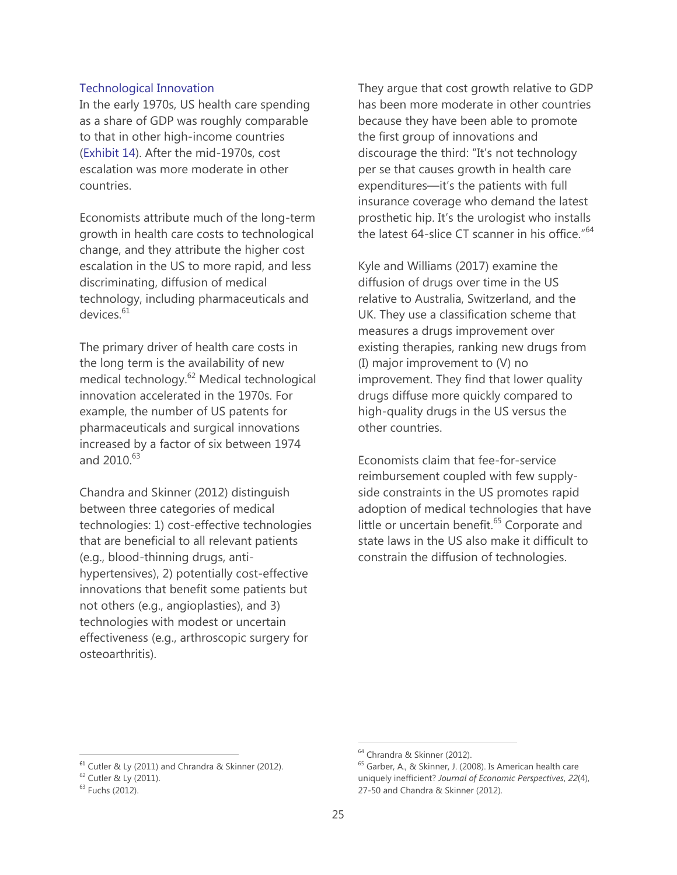#### Technological Innovation

In the early 1970s, US health care spending as a share of GDP was roughly comparable to that in other high-income countries (Exhibit 14). After the mid-1970s, cost escalation was more moderate in other countries.

Economists attribute much of the long-term growth in health care costs to technological change, and they attribute the higher cost escalation in the US to more rapid, and less discriminating, diffusion of medical technology, including pharmaceuticals and devices.<sup>61</sup>

The primary driver of health care costs in the long term is the availability of new medical technology.<sup>62</sup> Medical technological innovation accelerated in the 1970s. For example, the number of US patents for pharmaceuticals and surgical innovations increased by a factor of six between 1974 and  $2010^{63}$ 

Chandra and Skinner (2012) distinguish between three categories of medical technologies: 1) cost-effective technologies that are beneficial to all relevant patients (e.g., blood-thinning drugs, antihypertensives), 2) potentially cost-effective innovations that benefit some patients but not others (e.g., angioplasties), and 3) technologies with modest or uncertain effectiveness (e.g., arthroscopic surgery for osteoarthritis).

They argue that cost growth relative to GDP has been more moderate in other countries because they have been able to promote the first group of innovations and discourage the third: "It's not technology per se that causes growth in health care expenditures—it's the patients with full insurance coverage who demand the latest prosthetic hip. It's the urologist who installs the latest 64-slice CT scanner in his office.<sup>"64</sup>

Kyle and Williams (2017) examine the diffusion of drugs over time in the US relative to Australia, Switzerland, and the UK. They use a classification scheme that measures a drugs improvement over existing therapies, ranking new drugs from (I) major improvement to (V) no improvement. They find that lower quality drugs diffuse more quickly compared to high-quality drugs in the US versus the other countries.

Economists claim that fee-for-service reimbursement coupled with few supplyside constraints in the US promotes rapid adoption of medical technologies that have little or uncertain benefit.<sup>65</sup> Corporate and state laws in the US also make it difficult to constrain the diffusion of technologies.

 $\overline{a}$ 

<sup>61</sup> Cutler & Ly (2011) and Chrandra & Skinner (2012).

<sup>62</sup> Cutler & Ly (2011).

<sup>63</sup> Fuchs (2012).

<sup>64</sup> Chrandra & Skinner (2012).

<sup>65</sup> Garber, A., & Skinner, J. (2008). Is American health care uniquely inefficient? *Journal of Economic Perspectives*, *22*(4), 27-50 and Chandra & Skinner (2012).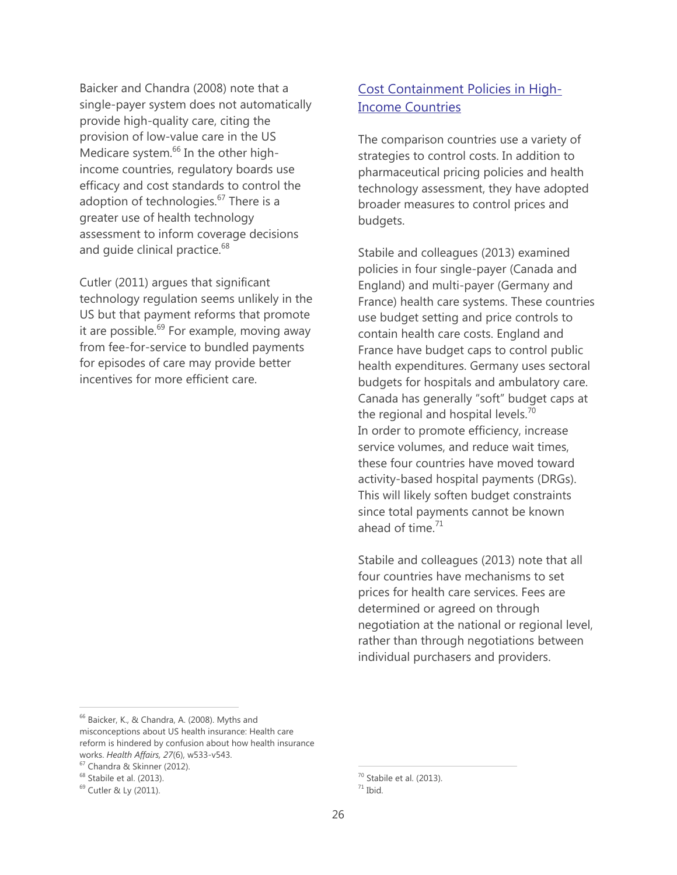Baicker and Chandra (2008) note that a single-payer system does not automatically provide high-quality care, citing the provision of low-value care in the US Medicare system.<sup>66</sup> In the other highincome countries, regulatory boards use efficacy and cost standards to control the adoption of technologies.<sup>67</sup> There is a greater use of health technology assessment to inform coverage decisions and quide clinical practice.<sup>68</sup>

Cutler (2011) argues that significant technology regulation seems unlikely in the US but that payment reforms that promote it are possible. $69$  For example, moving away from fee-for-service to bundled payments for episodes of care may provide better incentives for more efficient care.

# Cost Containment Policies in High-Income Countries

The comparison countries use a variety of strategies to control costs. In addition to pharmaceutical pricing policies and health technology assessment, they have adopted broader measures to control prices and budgets.

Stabile and colleagues (2013) examined policies in four single-payer (Canada and England) and multi-payer (Germany and France) health care systems. These countries use budget setting and price controls to contain health care costs. England and France have budget caps to control public health expenditures. Germany uses sectoral budgets for hospitals and ambulatory care. Canada has generally "soft" budget caps at the regional and hospital levels. $70$ In order to promote efficiency, increase service volumes, and reduce wait times, these four countries have moved toward activity-based hospital payments (DRGs). This will likely soften budget constraints since total payments cannot be known ahead of time. $71$ 

Stabile and colleagues (2013) note that all four countries have mechanisms to set prices for health care services. Fees are determined or agreed on through negotiation at the national or regional level, rather than through negotiations between individual purchasers and providers.

 $\overline{a}$ 

<sup>&</sup>lt;sup>66</sup> Baicker, K., & Chandra, A. (2008). Myths and misconceptions about US health insurance: Health care reform is hindered by confusion about how health insurance works. *Health Affairs, 27*(6), w533-v543.

<sup>67</sup> Chandra & Skinner (2012).

<sup>68</sup> Stabile et al. (2013).

<sup>69</sup> Cutler & Ly (2011).

 $70$  Stabile et al. (2013).

 $71$  Ibid.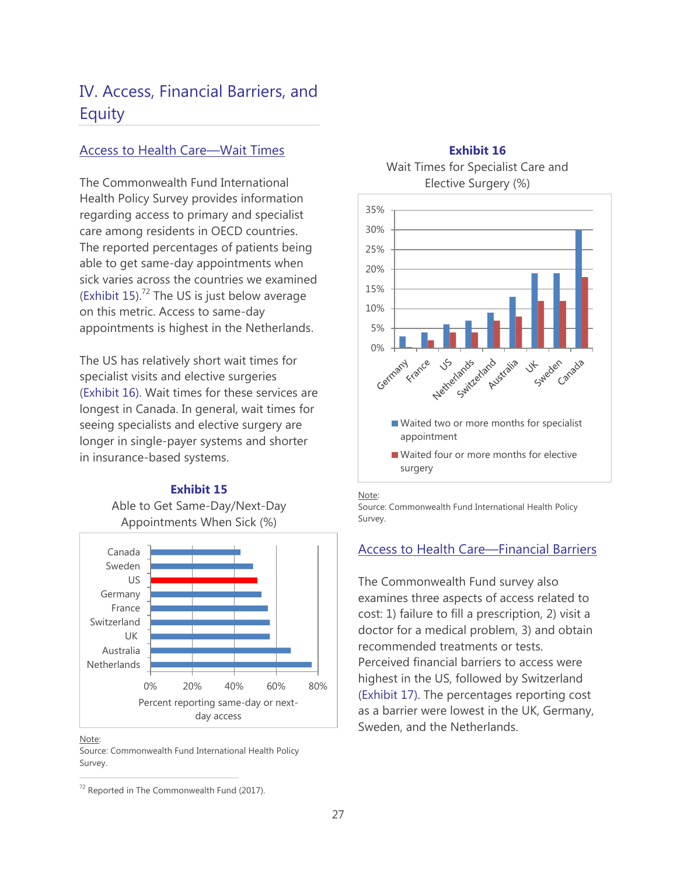# IV. Access, Financial Barriers, and **Equity**

## Access to Health Care—Wait Times

The Commonwealth Fund International Health Policy Survey provides information regarding access to primary and specialist care among residents in OECD countries. The reported percentages of patients being able to get same-day appointments when sick varies across the countries we examined (Exhibit 15). $72$  The US is just below average on this metric. Access to same-day appointments is highest in the Netherlands.

The US has relatively short wait times for specialist visits and elective surgeries (Exhibit 16). Wait times for these services are longest in Canada. In general, wait times for seeing specialists and elective surgery are longer in single-payer systems and shorter in insurance-based systems.

#### **Exhibit 15**

Able to Get Same-Day/Next-Day Appointments When Sick (%)



Note:

 $\overline{a}$ 

Source: Commonwealth Fund International Health Policy Survey.

**Exhibit 16** Wait Times for Specialist Care and Elective Surgery (%)



Note:

Source: Commonwealth Fund International Health Policy Survey.

## Access to Health Care—Financial Barriers

The Commonwealth Fund survey also examines three aspects of access related to cost: 1) failure to fill a prescription, 2) visit a doctor for a medical problem, 3) and obtain recommended treatments or tests.

Perceived financial barriers to access were highest in the US, followed by Switzerland (Exhibit 17). The percentages reporting cost as a barrier were lowest in the UK, Germany, Sweden, and the Netherlands.

 $72$  Reported in The Commonwealth Fund (2017).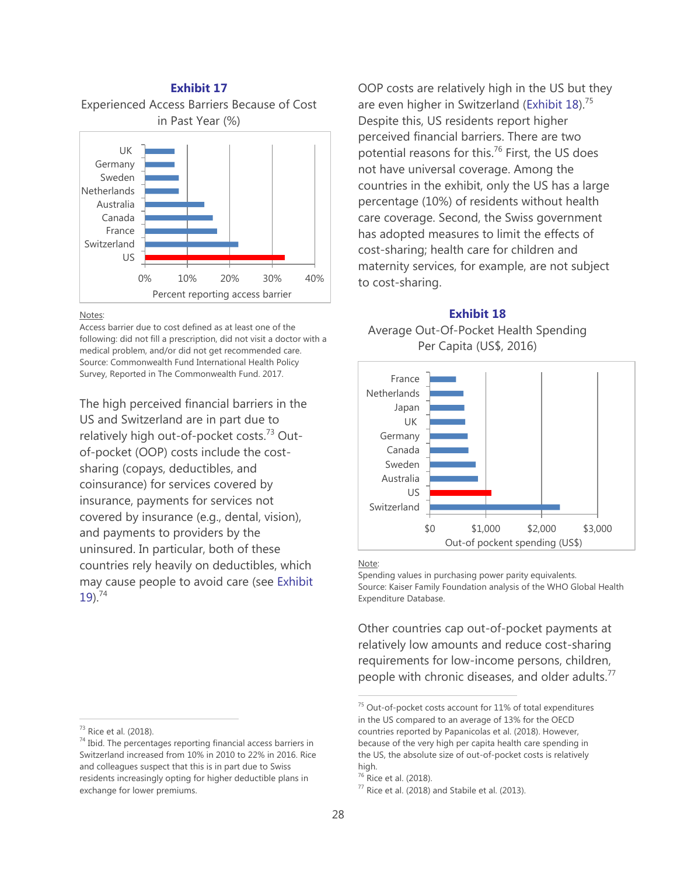# **Exhibit 17** Experienced Access Barriers Because of Cost in Past Year (%) 0% 10% 20% 30% 40% US Switzerland France Canada Australia **Netherlands** Sweden Germany UK

#### Notes:

Access barrier due to cost defined as at least one of the following: did not fill a prescription, did not visit a doctor with a medical problem, and/or did not get recommended care. Source: Commonwealth Fund International Health Policy Survey, Reported in The Commonwealth Fund. 2017.

Percent reporting access barrier

The high perceived financial barriers in the US and Switzerland are in part due to relatively high out-of-pocket costs.<sup>73</sup> Outof-pocket (OOP) costs include the costsharing (copays, deductibles, and coinsurance) for services covered by insurance, payments for services not covered by insurance (e.g., dental, vision), and payments to providers by the uninsured. In particular, both of these countries rely heavily on deductibles, which may cause people to avoid care (see Exhibit  $19)$ .<sup>74</sup>

<sup>73</sup> Rice et al. (2018).

OOP costs are relatively high in the US but they are even higher in Switzerland (Exhibit  $18$ ).<sup>75</sup> Despite this, US residents report higher perceived financial barriers. There are two potential reasons for this.<sup>76</sup> First, the US does not have universal coverage. Among the countries in the exhibit, only the US has a large percentage (10%) of residents without health care coverage. Second, the Swiss government has adopted measures to limit the effects of cost-sharing; health care for children and maternity services, for example, are not subject to cost-sharing.

# **Exhibit 18** Average Out-Of-Pocket Health Spending Per Capita (US\$, 2016)



#### Note:

Spending values in purchasing power parity equivalents. Source: Kaiser Family Foundation analysis of the WHO Global Health Expenditure Database.

Other countries cap out-of-pocket payments at relatively low amounts and reduce cost-sharing requirements for low-income persons, children, people with chronic diseases, and older adults. $^{77}$ 

 $74$  Ibid. The percentages reporting financial access barriers in Switzerland increased from 10% in 2010 to 22% in 2016. Rice and colleagues suspect that this is in part due to Swiss residents increasingly opting for higher deductible plans in exchange for lower premiums.

<sup>&</sup>lt;sup>75</sup> Out-of-pocket costs account for 11% of total expenditures in the US compared to an average of 13% for the OECD countries reported by Papanicolas et al. (2018). However, because of the very high per capita health care spending in the US, the absolute size of out-of-pocket costs is relatively high.

<sup>76</sup> Rice et al. (2018).

 $77$  Rice et al. (2018) and Stabile et al. (2013).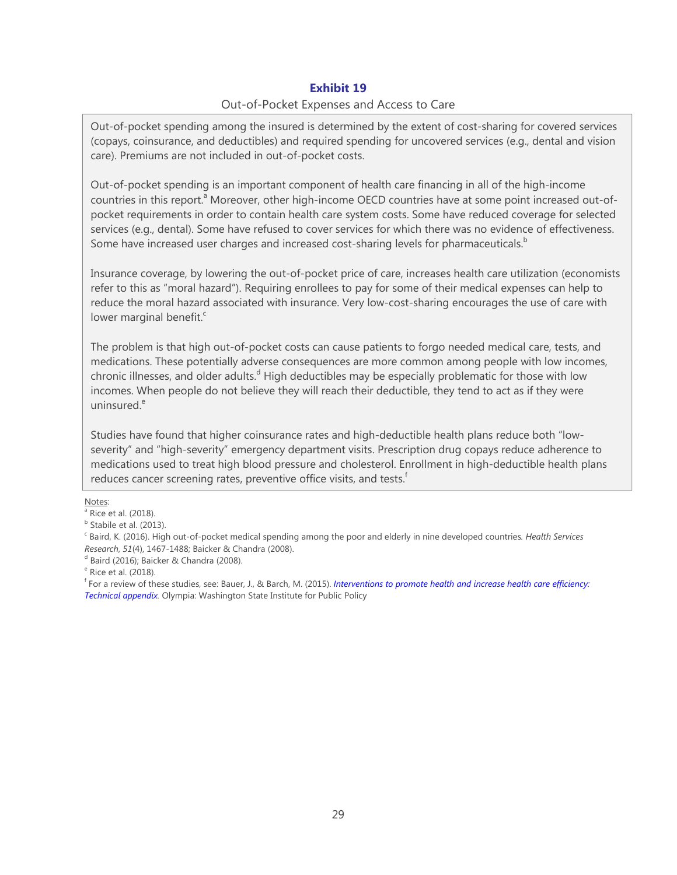### **Exhibit 19**

#### Out-of-Pocket Expenses and Access to Care

Out-of-pocket spending among the insured is determined by the extent of cost-sharing for covered services (copays, coinsurance, and deductibles) and required spending for uncovered services (e.g., dental and vision care). Premiums are not included in out-of-pocket costs.

Out-of-pocket spending is an important component of health care financing in all of the high-income countries in this report.<sup>a</sup> Moreover, other high-income OECD countries have at some point increased out-ofpocket requirements in order to contain health care system costs. Some have reduced coverage for selected services (e.g., dental). Some have refused to cover services for which there was no evidence of effectiveness. Some have increased user charges and increased cost-sharing levels for pharmaceuticals.<sup>b</sup>

Insurance coverage, by lowering the out-of-pocket price of care, increases health care utilization (economists refer to this as "moral hazard"). Requiring enrollees to pay for some of their medical expenses can help to reduce the moral hazard associated with insurance. Very low-cost-sharing encourages the use of care with lower marginal benefit. $\text{c}$ 

The problem is that high out-of-pocket costs can cause patients to forgo needed medical care, tests, and medications. These potentially adverse consequences are more common among people with low incomes, chronic illnesses, and older adults.<sup>d</sup> High deductibles may be especially problematic for those with low incomes. When people do not believe they will reach their deductible, they tend to act as if they were uninsured.<sup>e</sup>

Studies have found that higher coinsurance rates and high-deductible health plans reduce both "lowseverity" and "high-severity" emergency department visits. Prescription drug copays reduce adherence to medications used to treat high blood pressure and cholesterol. Enrollment in high-deductible health plans reduces cancer screening rates, preventive office visits, and tests.<sup>f</sup>

Notes:

<sup>&</sup>lt;sup>a</sup> Rice et al. (2018).

<sup>&</sup>lt;sup>b</sup> Stabile et al. (2013).

c Baird, K. (2016). High out-of-pocket medical spending among the poor and elderly in nine developed countries*. Health Services Research, 51(4), 1467-1488; Baicker & Chandra (2008).* 

 $d$  Baird (2016); Baicker & Chandra (2008).

<sup>&</sup>lt;sup>e</sup> Rice et al. (2018).

f For a review of these studies, see: Bauer, J., & Barch, M. (2015). *Interventions to promote health and increase health care efficiency: Technical appendix.* Olympia: Washington State Institute for Public Policy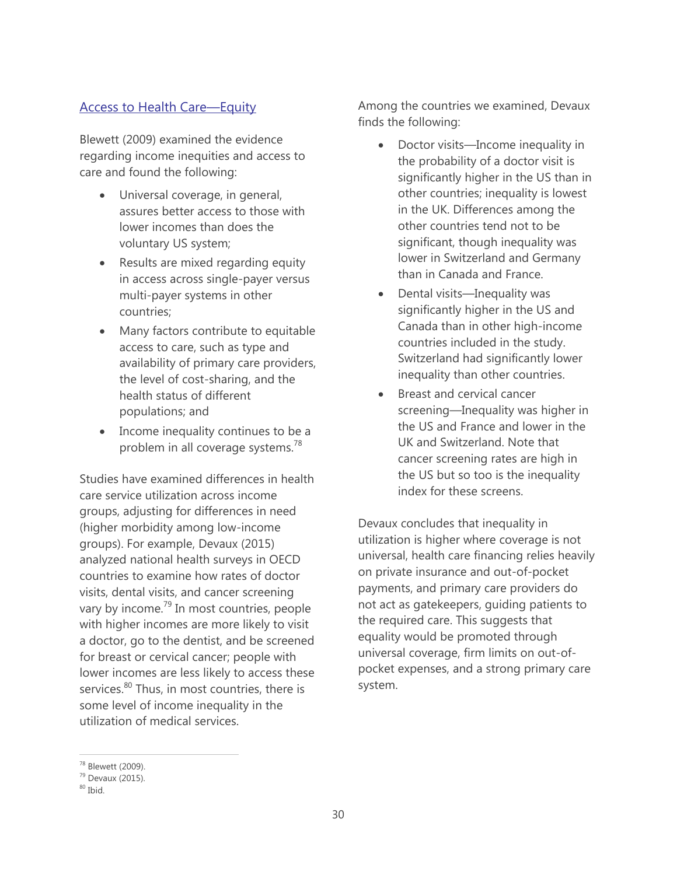# Access to Health Care—Equity

Blewett (2009) examined the evidence regarding income inequities and access to care and found the following:

- Universal coverage, in general, assures better access to those with lower incomes than does the voluntary US system;
- Results are mixed regarding equity in access across single-payer versus multi-payer systems in other countries;
- Many factors contribute to equitable access to care, such as type and availability of primary care providers, the level of cost-sharing, and the health status of different populations; and
- Income inequality continues to be a problem in all coverage systems.<sup>78</sup>

Studies have examined differences in health care service utilization across income groups, adjusting for differences in need (higher morbidity among low-income groups). For example, Devaux (2015) analyzed national health surveys in OECD countries to examine how rates of doctor visits, dental visits, and cancer screening vary by income.<sup>79</sup> In most countries, people with higher incomes are more likely to visit a doctor, go to the dentist, and be screened for breast or cervical cancer; people with lower incomes are less likely to access these services.<sup>80</sup> Thus, in most countries, there is some level of income inequality in the utilization of medical services.

Among the countries we examined, Devaux finds the following:

- Doctor visits—Income inequality in the probability of a doctor visit is significantly higher in the US than in other countries; inequality is lowest in the UK. Differences among the other countries tend not to be significant, though inequality was lower in Switzerland and Germany than in Canada and France.
- Dental visits—Inequality was significantly higher in the US and Canada than in other high-income countries included in the study. Switzerland had significantly lower inequality than other countries.
- Breast and cervical cancer screening—Inequality was higher in the US and France and lower in the UK and Switzerland. Note that cancer screening rates are high in the US but so too is the inequality index for these screens.

Devaux concludes that inequality in utilization is higher where coverage is not universal, health care financing relies heavily on private insurance and out-of-pocket payments, and primary care providers do not act as gatekeepers, guiding patients to the required care. This suggests that equality would be promoted through universal coverage, firm limits on out-ofpocket expenses, and a strong primary care system.

<sup>78</sup> Blewett (2009).

 $79$  Devaux (2015).

 $80$  Ihid.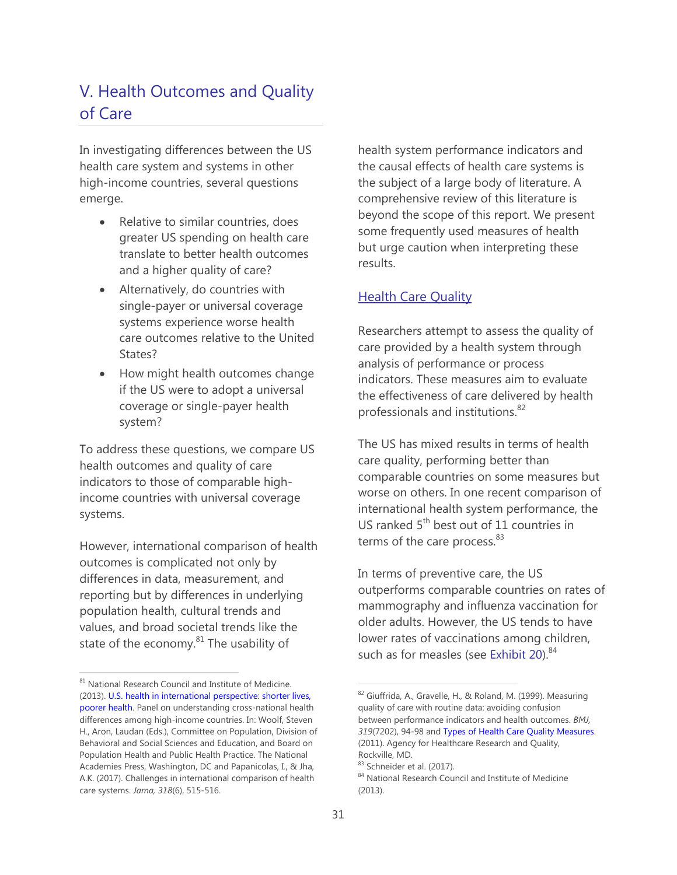# V. Health Outcomes and Quality of Care

In investigating differences between the US health care system and systems in other high-income countries, several questions emerge.

- Relative to similar countries, does greater US spending on health care translate to better health outcomes and a higher quality of care?
- Alternatively, do countries with single-payer or universal coverage systems experience worse health care outcomes relative to the United States?
- How might health outcomes change if the US were to adopt a universal coverage or single-payer health system?

To address these questions, we compare US health outcomes and quality of care indicators to those of comparable highincome countries with universal coverage systems.

However, international comparison of health outcomes is complicated not only by differences in data, measurement, and reporting but by differences in underlying population health, cultural trends and values, and broad societal trends like the state of the economy.<sup>81</sup> The usability of

health system performance indicators and the causal effects of health care systems is the subject of a large body of literature. A comprehensive review of this literature is beyond the scope of this report. We present some frequently used measures of health but urge caution when interpreting these results.

# **Health Care Quality**

Researchers attempt to assess the quality of care provided by a health system through analysis of performance or process indicators. These measures aim to evaluate the effectiveness of care delivered by health professionals and institutions.<sup>82</sup>

The US has mixed results in terms of health care quality, performing better than comparable countries on some measures but worse on others. In one recent comparison of international health system performance, the US ranked 5<sup>th</sup> best out of 11 countries in terms of the care process. $83$ 

In terms of preventive care, the US outperforms comparable countries on rates of mammography and influenza vaccination for older adults. However, the US tends to have lower rates of vaccinations among children, such as for measles (see Exhibit 20).<sup>84</sup>

 $^{81}$  National Research Council and Institute of Medicine. (2013). [U.S. health in international perspective: shorter lives,](https://www.ncbi.nlm.nih.gov/books/NBK115854/)  [poorer health.](https://www.ncbi.nlm.nih.gov/books/NBK115854/) Panel on understanding cross-national health differences among high-income countries. In: Woolf, Steven H., Aron, Laudan (Eds.), Committee on Population, Division of Behavioral and Social Sciences and Education, and Board on Population Health and Public Health Practice. The National Academies Press, Washington, DC and Papanicolas, I., & Jha, A.K. (2017). Challenges in international comparison of health care systems. *Jama, 318*(6), 515-516.

<sup>82</sup> Giuffrida, A., Gravelle, H., & Roland, M. (1999). Measuring quality of care with routine data: avoiding confusion between performance indicators and health outcomes. *BMJ, 319*(7202), 94-98 and [Types of Health Care Quality Measures.](https://www.ahrq.gov/talkingquality/measures/types.html)  (2011). Agency for Healthcare Research and Quality, Rockville, MD.

<sup>83</sup> Schneider et al. (2017).

<sup>84</sup> National Research Council and Institute of Medicine (2013).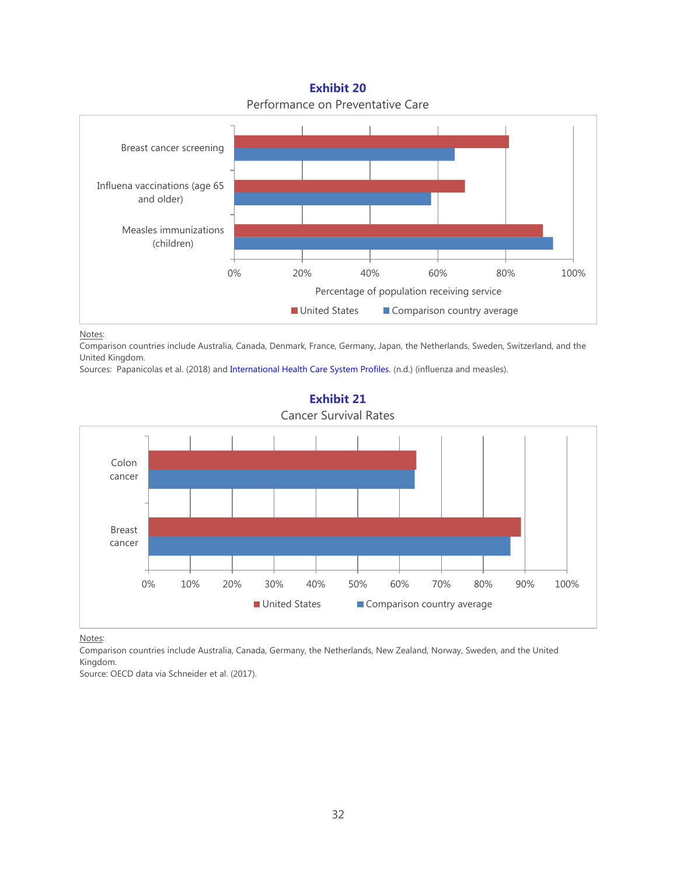0% 20% 40% 60% 80% 100% Measles immunizations (children) Influena vaccinations (age 65 and older) Breast cancer screening ■ United States ■ Comparison country average Percentage of population receiving service

**Exhibit 20** Performance on Preventative Care

Notes:

Comparison countries include Australia, Canada, Denmark, France, Germany, Japan, the Netherlands, Sweden, Switzerland, and the United Kingdom.

Sources: Papanicolas et al. (2018) an[d International Health Care System Profiles.](https://international.commonwealthfund.org/stats/) (n.d.) (influenza and measles).



**Exhibit 21**

Cancer Survival Rates

Notes:

Comparison countries include Australia, Canada, Germany, the Netherlands, New Zealand, Norway, Sweden, and the United Kingdom.

Source: OECD data via Schneider et al. (2017).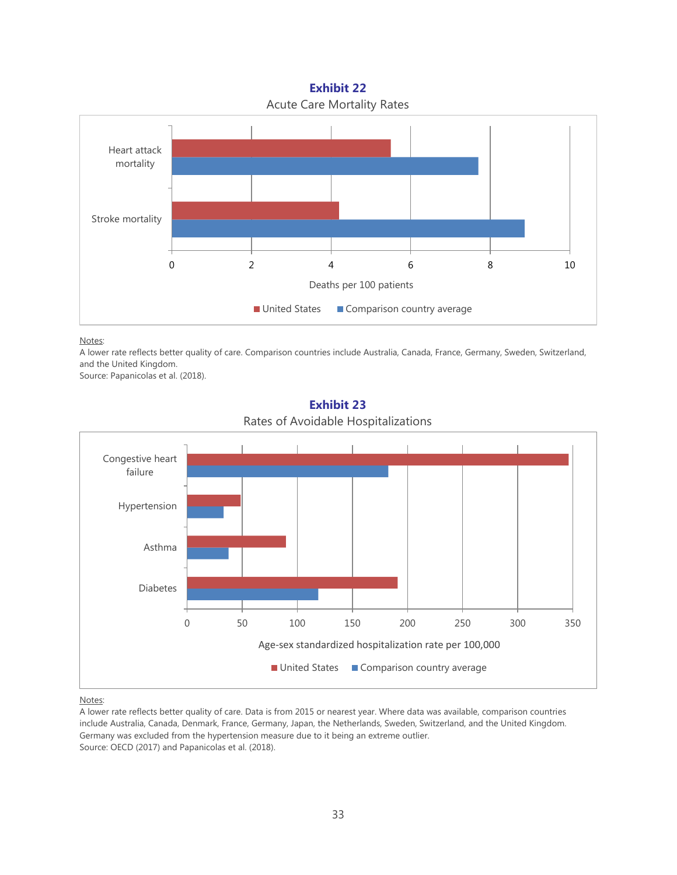# **Exhibit 22** Acute Care Mortality Rates



Notes:

A lower rate reflects better quality of care. Comparison countries include Australia, Canada, France, Germany, Sweden, Switzerland, and the United Kingdom.

Source: Papanicolas et al. (2018).



## **Exhibit 23** Rates of Avoidable Hospitalizations

#### Notes:

A lower rate reflects better quality of care. Data is from 2015 or nearest year. Where data was available, comparison countries include Australia, Canada, Denmark, France, Germany, Japan, the Netherlands, Sweden, Switzerland, and the United Kingdom. Germany was excluded from the hypertension measure due to it being an extreme outlier. Source: OECD (2017) and Papanicolas et al. (2018).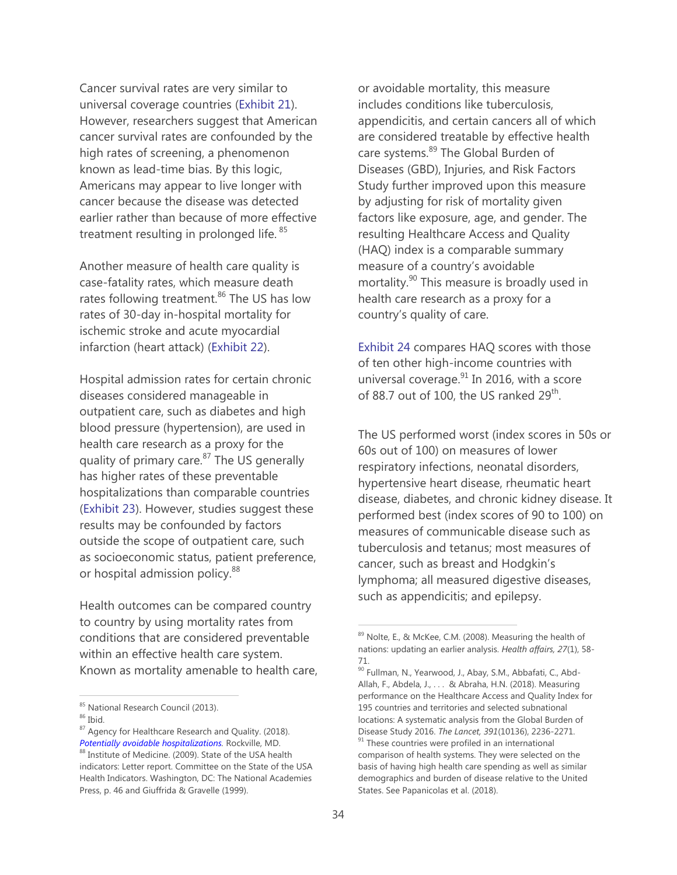Cancer survival rates are very similar to universal coverage countries (Exhibit 21). However, researchers suggest that American cancer survival rates are confounded by the high rates of screening, a phenomenon known as lead-time bias. By this logic, Americans may appear to live longer with cancer because the disease was detected earlier rather than because of more effective treatment resulting in prolonged life.<sup>85</sup>

Another measure of health care quality is case-fatality rates, which measure death rates following treatment.<sup>86</sup> The US has low rates of 30-day in-hospital mortality for ischemic stroke and acute myocardial infarction (heart attack) (Exhibit 22).

Hospital admission rates for certain chronic diseases considered manageable in outpatient care, such as diabetes and high blood pressure (hypertension), are used in health care research as a proxy for the quality of primary care. $87$  The US generally has higher rates of these preventable hospitalizations than comparable countries (Exhibit 23). However, studies suggest these results may be confounded by factors outside the scope of outpatient care, such as socioeconomic status, patient preference, or hospital admission policy.<sup>88</sup>

Health outcomes can be compared country to country by using mortality rates from conditions that are considered preventable within an effective health care system. Known as mortality amenable to health care,

 $\overline{a}$ 

or avoidable mortality, this measure includes conditions like tuberculosis, appendicitis, and certain cancers all of which are considered treatable by effective health care systems.<sup>89</sup> The Global Burden of Diseases (GBD), Injuries, and Risk Factors Study further improved upon this measure by adjusting for risk of mortality given factors like exposure, age, and gender. The resulting Healthcare Access and Quality (HAQ) index is a comparable summary measure of a country's avoidable mortality.<sup>90</sup> This measure is broadly used in health care research as a proxy for a country's quality of care.

Exhibit 24 compares HAQ scores with those of ten other high-income countries with universal coverage. $91$  In 2016, with a score of 88.7 out of 100, the US ranked  $29^{th}$ .

The US performed worst (index scores in 50s or 60s out of 100) on measures of lower respiratory infections, neonatal disorders, hypertensive heart disease, rheumatic heart disease, diabetes, and chronic kidney disease. It performed best (index scores of 90 to 100) on measures of communicable disease such as tuberculosis and tetanus; most measures of cancer, such as breast and Hodgkin's lymphoma; all measured digestive diseases, such as appendicitis; and epilepsy.

<sup>85</sup> National Research Council (2013).

 $86$  Ibid.

<sup>87</sup> Agency for Healthcare Research and Quality. (2018). *[Potentially avoidable hospitalizations.](http://www.ahrq.gov/research/findings/nhqrdr/chartbooks/carecoordination/measure3.html)* Rockville, MD.

<sup>88</sup> Institute of Medicine. (2009). State of the USA health indicators: Letter report. Committee on the State of the USA Health Indicators. Washington, DC: The National Academies Press, p. 46 and Giuffrida & Gravelle (1999).

<sup>89</sup> Nolte, E., & McKee, C.M. (2008). Measuring the health of nations: updating an earlier analysis. *Health affairs, 27*(1), 58- 71.

<sup>90</sup> Fullman, N., Yearwood, J., Abay, S.M., Abbafati, C., Abd-Allah, F., Abdela, J., . . . & Abraha, H.N. (2018). Measuring performance on the Healthcare Access and Quality Index for 195 countries and territories and selected subnational locations: A systematic analysis from the Global Burden of Disease Study 2016. *The Lancet, 391*(10136), 2236-2271.  $91$  These countries were profiled in an international comparison of health systems. They were selected on the basis of having high health care spending as well as similar demographics and burden of disease relative to the United States. See Papanicolas et al. (2018).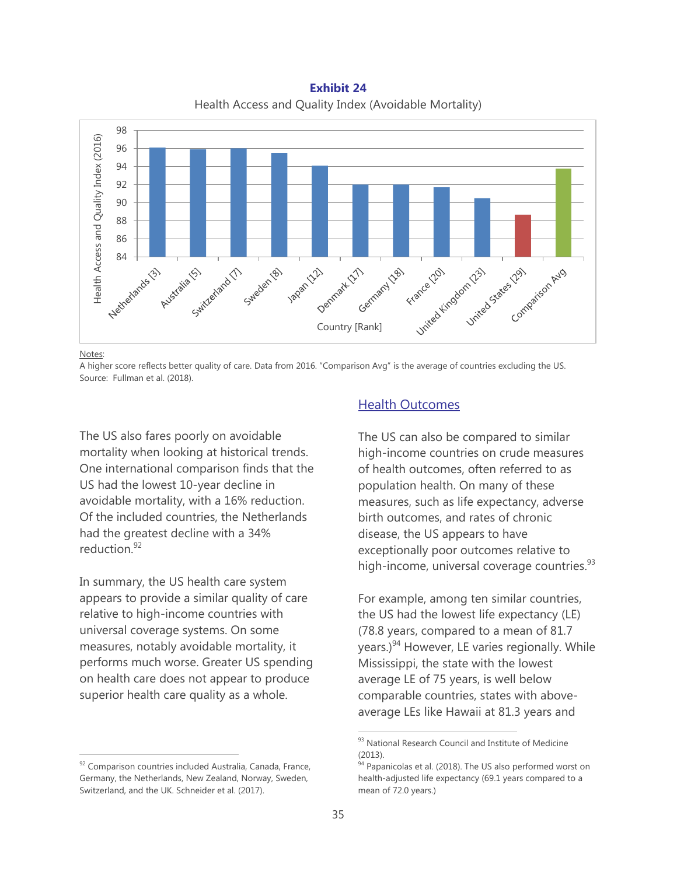**Exhibit 24** Health Access and Quality Index (Avoidable Mortality)



Notes:

 $\overline{a}$ 

A higher score reflects better quality of care. Data from 2016. "Comparison Avg" is the average of countries excluding the US. Source: Fullman et al. (2018).

The US also fares poorly on avoidable mortality when looking at historical trends. One international comparison finds that the US had the lowest 10-year decline in avoidable mortality, with a 16% reduction. Of the included countries, the Netherlands had the greatest decline with a 34% reduction.<sup>92</sup>

In summary, the US health care system appears to provide a similar quality of care relative to high-income countries with universal coverage systems. On some measures, notably avoidable mortality, it performs much worse. Greater US spending on health care does not appear to produce superior health care quality as a whole.

# Health Outcomes

The US can also be compared to similar high-income countries on crude measures of health outcomes, often referred to as population health. On many of these measures, such as life expectancy, adverse birth outcomes, and rates of chronic disease, the US appears to have exceptionally poor outcomes relative to high-income, universal coverage countries. $^{93}$ 

For example, among ten similar countries, the US had the lowest life expectancy (LE) (78.8 years, compared to a mean of 81.7 years.)<sup>94</sup> However, LE varies regionally. While Mississippi, the state with the lowest average LE of 75 years, is well below comparable countries, states with aboveaverage LEs like Hawaii at 81.3 years and

<sup>92</sup> Comparison countries included Australia, Canada, France, Germany, the Netherlands, New Zealand, Norway, Sweden, Switzerland, and the UK. Schneider et al. (2017).

<sup>93</sup> National Research Council and Institute of Medicine (2013).

<sup>&</sup>lt;sup>94</sup> Papanicolas et al. (2018). The US also performed worst on health-adjusted life expectancy (69.1 years compared to a mean of 72.0 years.)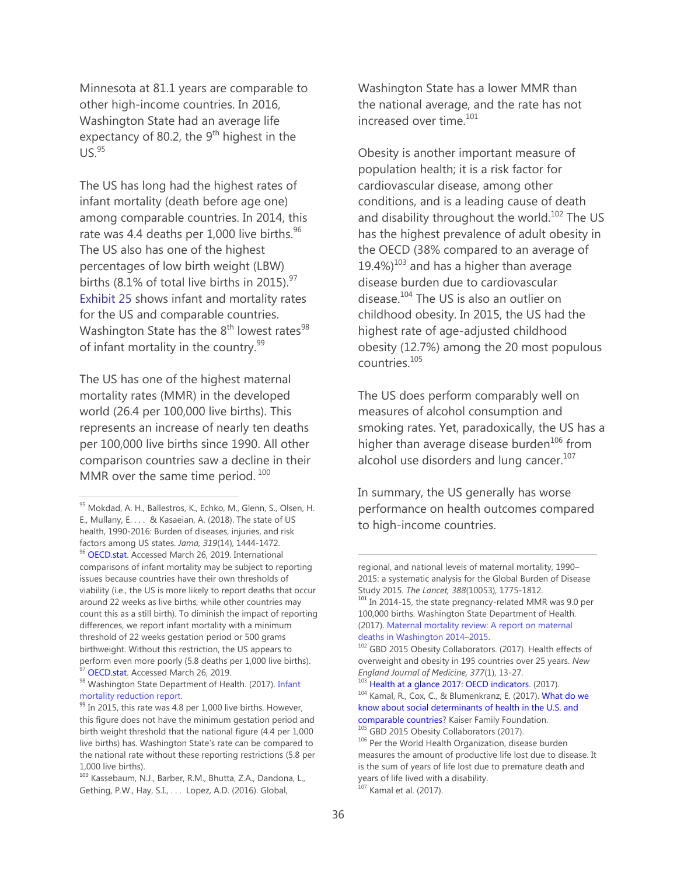Minnesota at 81.1 years are comparable to other high-income countries. In 2016, Washington State had an average life expectancy of 80.2, the 9<sup>th</sup> highest in the  $US.<sup>95</sup>$ 

The US has long had the highest rates of infant mortality (death before age one) among comparable countries. In 2014, this rate was 4.4 deaths per 1,000 live births.<sup>96</sup> The US also has one of the highest percentages of low birth weight (LBW) births (8.1% of total live births in 2015). $97$ Exhibit 25 shows infant and mortality rates for the US and comparable countries. Washington State has the  $8<sup>th</sup>$  lowest rates<sup>98</sup> of infant mortality in the country.<sup>99</sup>

The US has one of the highest maternal mortality rates (MMR) in the developed world (26.4 per 100,000 live births). This represents an increase of nearly ten deaths per 100,000 live births since 1990. All other comparison countries saw a decline in their MMR over the same time period.  $100$ 

 $\overline{a}$ 

Washington State has a lower MMR than the national average, and the rate has not increased over time.<sup>101</sup>

Obesity is another important measure of population health; it is a risk factor for cardiovascular disease, among other conditions, and is a leading cause of death and disability throughout the world.<sup>102</sup> The US has the highest prevalence of adult obesity in the OECD (38% compared to an average of 19.4%) $103$  and has a higher than average disease burden due to cardiovascular disease. $104$  The US is also an outlier on childhood obesity. In 2015, the US had the highest rate of age-adjusted childhood obesity (12.7%) among the 20 most populous  $countries$ <sup>105</sup>

The US does perform comparably well on measures of alcohol consumption and smoking rates. Yet, paradoxically, the US has a higher than average disease burden<sup>106</sup> from alcohol use disorders and lung cancer.<sup>107</sup>

In summary, the US generally has worse performance on health outcomes compared to high-income countries.

<sup>95</sup> Mokdad, A. H., Ballestros, K., Echko, M., Glenn, S., Olsen, H. E., Mullany, E. . . . & Kasaeian, A. (2018). The state of US health, 1990-2016: Burden of diseases, injuries, and risk factors among US states. *Jama, 319*(14), 1444-1472. <sup>96</sup> [OECD.stat.](https://stats.oecd.org/) Accessed March 26, 2019. International comparisons of infant mortality may be subject to reporting issues because countries have their own thresholds of viability (i.e., the US is more likely to report deaths that occur around 22 weeks as live births, while other countries may count this as a still birth). To diminish the impact of reporting differences, we report infant mortality with a minimum threshold of 22 weeks gestation period or 500 grams birthweight. Without this restriction, the US appears to perform even more poorly (5.8 deaths per 1,000 live births). <sup>97</sup> [OECD.stat.](https://stats.oecd.org/) Accessed March 26, 2019.

<sup>98</sup> Washington State Department of Health. (2017). Infant [mortality reduction report.](https://www.doh.wa.gov/Portals/1/Documents/Pubs/140-157-InfantMortalityReductionReport.pdf)

<sup>&</sup>lt;sup>99</sup> In 2015, this rate was 4.8 per 1,000 live births. However, this figure does not have the minimum gestation period and birth weight threshold that the national figure (4.4 per 1,000 live births) has. Washington State's rate can be compared to the national rate without these reporting restrictions (5.8 per 1,000 live births).

<sup>100</sup> Kassebaum, N.J., Barber, R.M., Bhutta, Z.A., Dandona, L., Gething, P.W., Hay, S.I., . . . Lopez, A.D. (2016). Global,

regional, and national levels of maternal mortality, 1990– 2015: a systematic analysis for the Global Burden of Disease Study 2015. *The Lancet, 388*(10053), 1775-1812.

<sup>&</sup>lt;sup>101</sup> In 2014-15, the state pregnancy-related MMR was 9.0 per 100,000 births. Washington State Department of Health. (2017). [Maternal mortality review: A report on maternal](https://www.doh.wa.gov/Portals/1/Documents/Pubs/140-154-MMRReport.pdf)  [deaths in Washington 2014](https://www.doh.wa.gov/Portals/1/Documents/Pubs/140-154-MMRReport.pdf)–2015.

<sup>102</sup> GBD 2015 Obesity Collaborators. (2017). Health effects of overweight and obesity in 195 countries over 25 years. *New England Journal of Medicine, 377*(1), 13-27.

<sup>&</sup>lt;sup>103</sup> [Health at a glance 2017: OECD indicators.](http://www.oecd.org/health/health-at-a-glance.htm) (2017). <sup>104</sup> Kamal, R., Cox, C., & Blumenkranz, E. (2017). [What do we](https://www.healthsystemtracker.org/chart-collection/know-social-determinants-health-u-s-comparable-countries/#item-start)  [know about social determinants of health in the U.S. and](https://www.healthsystemtracker.org/chart-collection/know-social-determinants-health-u-s-comparable-countries/#item-start)  [comparable countries?](https://www.healthsystemtracker.org/chart-collection/know-social-determinants-health-u-s-comparable-countries/#item-start) Kaiser Family Foundation. <sup>105</sup> GBD 2015 Obesity Collaborators (2017).

<sup>106</sup> Per the World Health Organization, disease burden measures the amount of productive life lost due to disease. It is the sum of years of life lost due to premature death and years of life lived with a disability.  $107$  Kamal et al. (2017).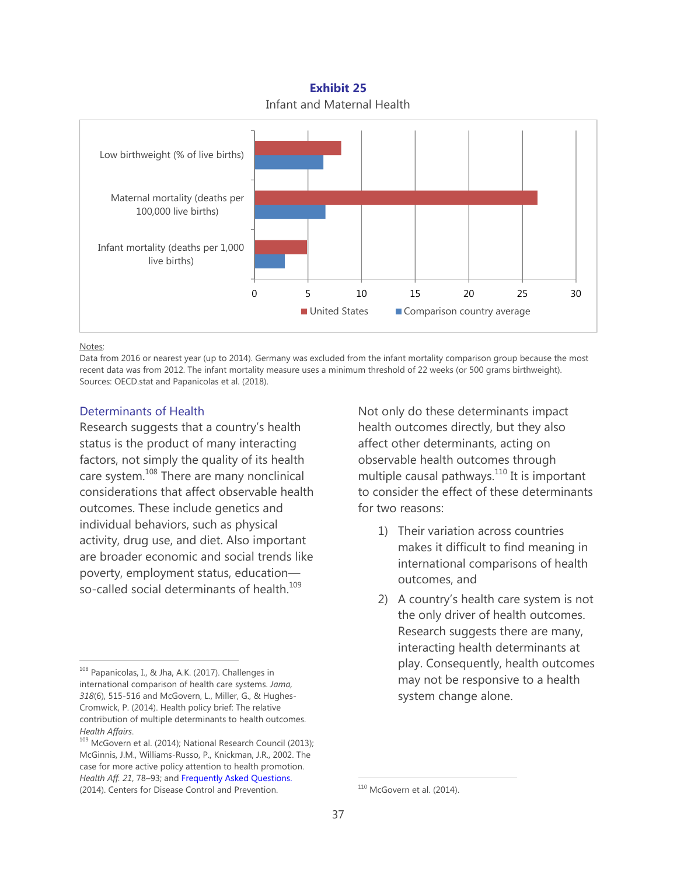**Exhibit 25** Infant and Maternal Health



Notes:

Data from 2016 or nearest year (up to 2014). Germany was excluded from the infant mortality comparison group because the most recent data was from 2012. The infant mortality measure uses a minimum threshold of 22 weeks (or 500 grams birthweight). Sources: OECD.stat and Papanicolas et al. (2018).

# Determinants of Health

Research suggests that a country's health status is the product of many interacting factors, not simply the quality of its health care system.<sup>108</sup> There are many nonclinical considerations that affect observable health outcomes. These include genetics and individual behaviors, such as physical activity, drug use, and diet. Also important are broader economic and social trends like poverty, employment status, education so-called social determinants of health.<sup>109</sup>

Not only do these determinants impact health outcomes directly, but they also affect other determinants, acting on observable health outcomes through multiple causal pathways.<sup>110</sup> It is important to consider the effect of these determinants for two reasons:

- 1) Their variation across countries makes it difficult to find meaning in international comparisons of health outcomes, and
- 2) A country's health care system is not the only driver of health outcomes. Research suggests there are many, interacting health determinants at play. Consequently, health outcomes may not be responsive to a health system change alone.

<sup>108</sup> Papanicolas, I., & Jha, A.K. (2017). Challenges in international comparison of health care systems. *Jama, 318*(6), 515-516 and McGovern, L., Miller, G., & Hughes-Cromwick, P. (2014). Health policy brief: The relative contribution of multiple determinants to health outcomes.<br>Health Affairs.

<sup>&</sup>lt;sup>109</sup> McGovern et al. (2014); National Research Council (2013); McGinnis, J.M., Williams-Russo, P., Knickman, J.R., 2002. The case for more active policy attention to health promotion. *Health Aff. 21*, 78–93; and Frequently Asked Questions. (2014). Centers for Disease Control and Prevention.

 $110$  McGovern et al. (2014).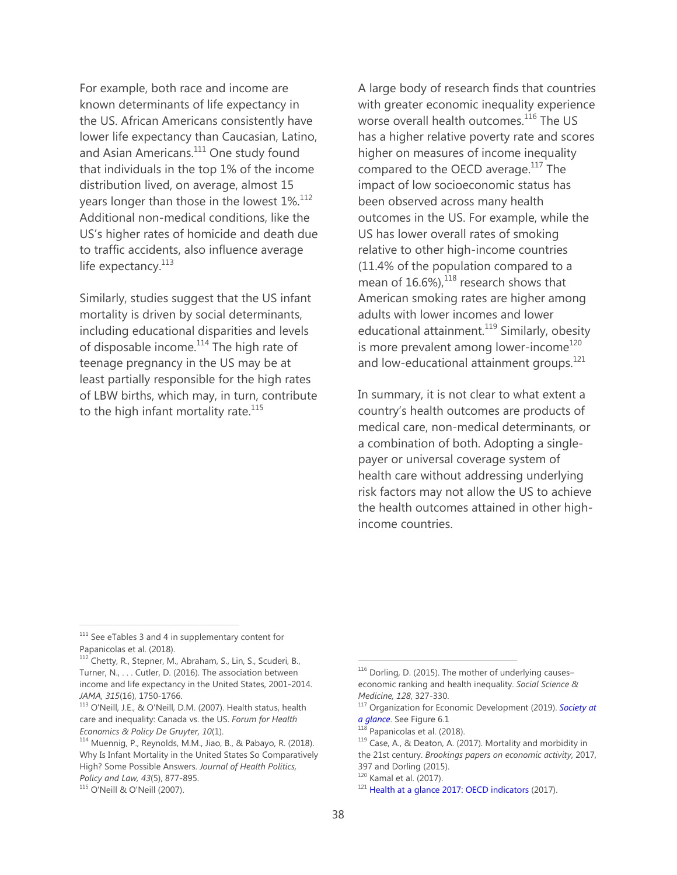For example, both race and income are known determinants of life expectancy in the US. African Americans consistently have lower life expectancy than Caucasian, Latino, and Asian Americans.<sup>111</sup> One study found that individuals in the top 1% of the income distribution lived, on average, almost 15 years longer than those in the lowest 1%.<sup>112</sup> Additional non-medical conditions, like the US's higher rates of homicide and death due to traffic accidents, also influence average life expectancy. $113$ 

Similarly, studies suggest that the US infant mortality is driven by social determinants, including educational disparities and levels of disposable income.<sup>114</sup> The high rate of teenage pregnancy in the US may be at least partially responsible for the high rates of LBW births, which may, in turn, contribute to the high infant mortality rate. $115$ 

A large body of research finds that countries with greater economic inequality experience worse overall health outcomes.<sup>116</sup> The US has a higher relative poverty rate and scores higher on measures of income inequality compared to the OECD average.<sup>117</sup> The impact of low socioeconomic status has been observed across many health outcomes in the US. For example, while the US has lower overall rates of smoking relative to other high-income countries (11.4% of the population compared to a mean of  $16.6\%$ ), $^{118}$  research shows that American smoking rates are higher among adults with lower incomes and lower educational attainment.<sup>119</sup> Similarly, obesity is more prevalent among lower-income<sup>120</sup> and low-educational attainment groups.<sup>121</sup>

In summary, it is not clear to what extent a country's health outcomes are products of medical care, non-medical determinants, or a combination of both. Adopting a singlepayer or universal coverage system of health care without addressing underlying risk factors may not allow the US to achieve the health outcomes attained in other highincome countries.

<sup>112</sup> Chetty, R., Stepner, M., Abraham, S., Lin, S., Scuderi, B., Turner, N., . . . Cutler, D. (2016). The association between income and life expectancy in the United States, 2001-2014.

 $\overline{a}$ 

<sup>&</sup>lt;sup>111</sup> See eTables 3 and 4 in supplementary content for Papanicolas et al. (2018).

*JAMA, 315*(16), 1750-1766.<br><sup>113</sup> O'Neill, J.E., & O'Neill, D.M. (2007). Health status, health care and inequality: Canada vs. the US. *Forum for Health* 

*Economics & Policy De Gruyter, 10*(1). 114 Muennig, P., Reynolds, M.M., Jiao, B., & Pabayo, R. (2018). Why Is Infant Mortality in the United States So Comparatively High? Some Possible Answers. *Journal of Health Politics, Policy and Law, 43*(5), 877-895.<br><sup>115</sup> O'Neill & O'Neill (2007).

<sup>116</sup> Dorling, D. (2015). The mother of underlying causeseconomic ranking and health inequality. *Social Science &* 

*Medicine, 128, 327-330.*<br><sup>117</sup> Organization for Economic Development (2019). *Society at a glance.* See Figure 6.1

<sup>&</sup>lt;sup>118</sup> Papanicolas et al. (2018).<br><sup>119</sup> Case, A., & Deaton, A. (2017). Mortality and morbidity in the 21st century. *Brookings papers on economic activity*, 2017, 397 and Dorling (2015).<br><sup>120</sup> Kamal et al. (2017).

 $121$  Health at a glance 2017: OECD indicators (2017).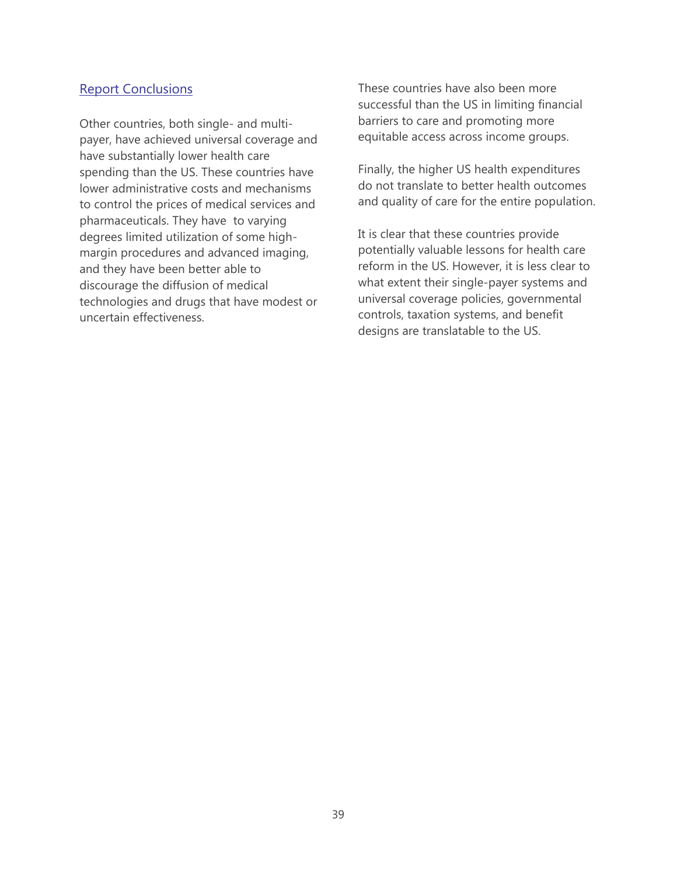# Report Conclusions

Other countries, both single- and multipayer, have achieved universal coverage and have substantially lower health care spending than the US. These countries have lower administrative costs and mechanisms to control the prices of medical services and pharmaceuticals. They have to varying degrees limited utilization of some highmargin procedures and advanced imaging, and they have been better able to discourage the diffusion of medical technologies and drugs that have modest or uncertain effectiveness.

These countries have also been more successful than the US in limiting financial barriers to care and promoting more equitable access across income groups.

Finally, the higher US health expenditures do not translate to better health outcomes and quality of care for the entire population.

It is clear that these countries provide potentially valuable lessons for health care reform in the US. However, it is less clear to what extent their single-payer systems and universal coverage policies, governmental controls, taxation systems, and benefit designs are translatable to the US.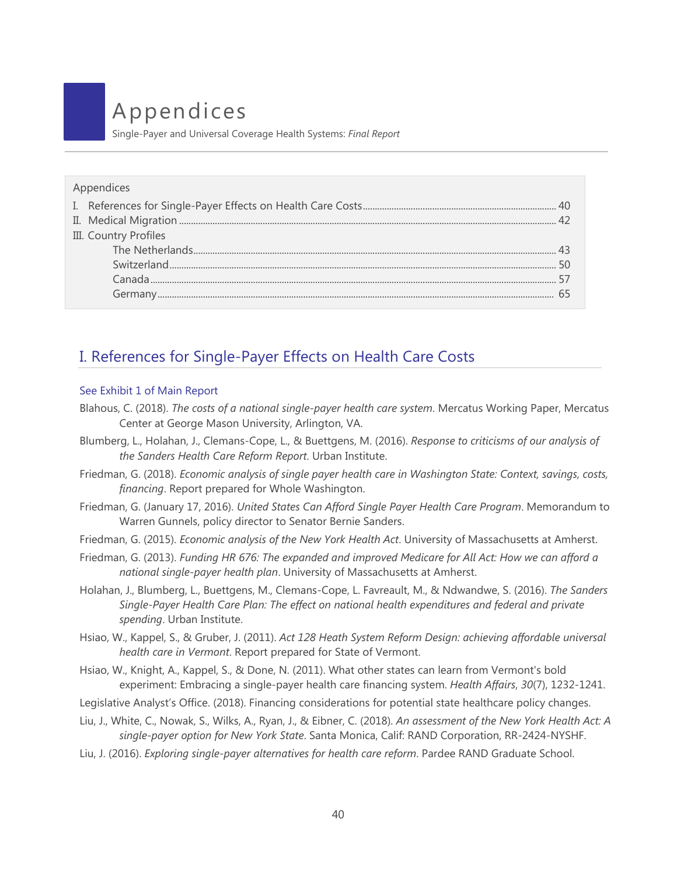# Appendices

Single-Payer and Universal Coverage Health Systems: *Final Report*

| Appendices            |  |
|-----------------------|--|
|                       |  |
|                       |  |
| III. Country Profiles |  |
|                       |  |
|                       |  |
|                       |  |
|                       |  |

# I. References for Single-Payer Effects on Health Care Costs

# See Exhibit 1 of Main Report

- Blahous, C. (2018). *The costs of a national single-payer health care system*. Mercatus Working Paper, Mercatus Center at George Mason University, Arlington, VA.
- Blumberg, L., Holahan, J., Clemans-Cope, L., & Buettgens, M. (2016). *Response to criticisms of our analysis of the Sanders Health Care Reform Report*. Urban Institute.
- Friedman, G. (2018). *Economic analysis of single payer health care in Washington State: Context, savings, costs, financing*. Report prepared for Whole Washington.
- Friedman, G. (January 17, 2016). *United States Can Afford Single Payer Health Care Program*. Memorandum to Warren Gunnels, policy director to Senator Bernie Sanders.
- Friedman, G. (2015). *Economic analysis of the New York Health Act*. University of Massachusetts at Amherst.
- Friedman, G. (2013). *Funding HR 676: The expanded and improved Medicare for All Act: How we can afford a national single-payer health plan*. University of Massachusetts at Amherst.
- Holahan, J., Blumberg, L., Buettgens, M., Clemans-Cope, L. Favreault, M., & Ndwandwe, S. (2016). *The Sanders Single-Payer Health Care Plan: The effect on national health expenditures and federal and private spending*. Urban Institute.
- Hsiao, W., Kappel, S., & Gruber, J. (2011). *Act 128 Heath System Reform Design: achieving affordable universal health care in Vermont*. Report prepared for State of Vermont.
- Hsiao, W., Knight, A., Kappel, S., & Done, N. (2011). What other states can learn from Vermont's bold experiment: Embracing a single-payer health care financing system. *Health Affairs*, *30*(7), 1232-1241.
- Legislative Analyst's Office. (2018). Financing considerations for potential state healthcare policy changes.
- Liu, J., White, C., Nowak, S., Wilks, A., Ryan, J., & Eibner, C. (2018). *An assessment of the New York Health Act: A single-payer option for New York State*. Santa Monica, Calif: RAND Corporation, RR-2424-NYSHF.
- Liu, J. (2016). *Exploring single-payer alternatives for health care reform*. Pardee RAND Graduate School.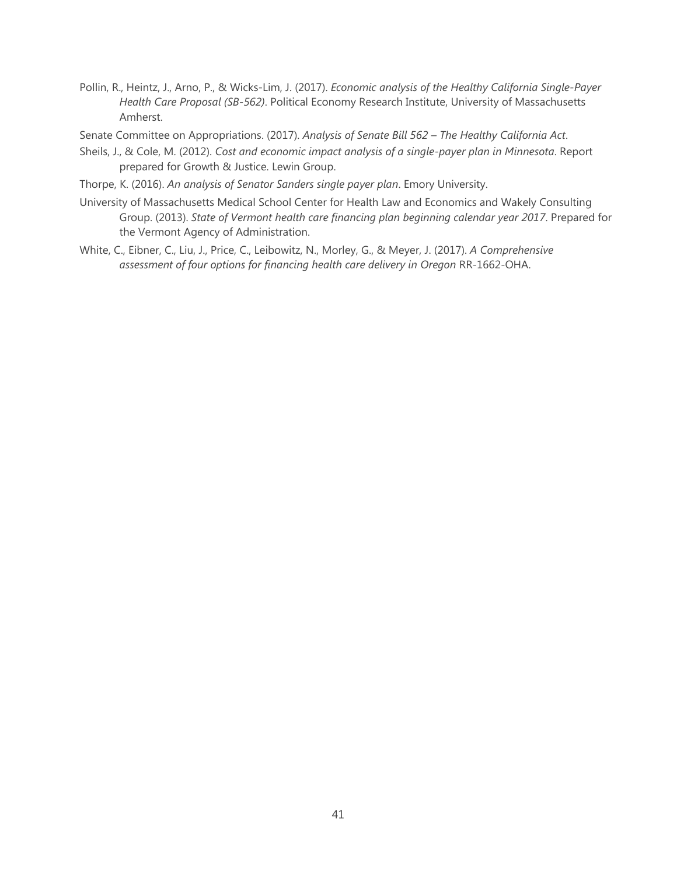- Pollin, R., Heintz, J., Arno, P., & Wicks-Lim, J. (2017). *Economic analysis of the Healthy California Single-Payer Health Care Proposal (SB-562)*. Political Economy Research Institute, University of Massachusetts Amherst.
- Senate Committee on Appropriations. (2017). *Analysis of Senate Bill 562 – The Healthy California Act*.
- Sheils, J., & Cole, M. (2012). *Cost and economic impact analysis of a single-payer plan in Minnesota*. Report prepared for Growth & Justice. Lewin Group.
- Thorpe, K. (2016). *An analysis of Senator Sanders single payer plan*. Emory University.
- University of Massachusetts Medical School Center for Health Law and Economics and Wakely Consulting Group. (2013). *State of Vermont health care financing plan beginning calendar year 2017*. Prepared for the Vermont Agency of Administration.
- White, C., Eibner, C., Liu, J., Price, C., Leibowitz, N., Morley, G., & Meyer, J. (2017). *A Comprehensive assessment of four options for financing health care delivery in Oregon* RR-1662-OHA.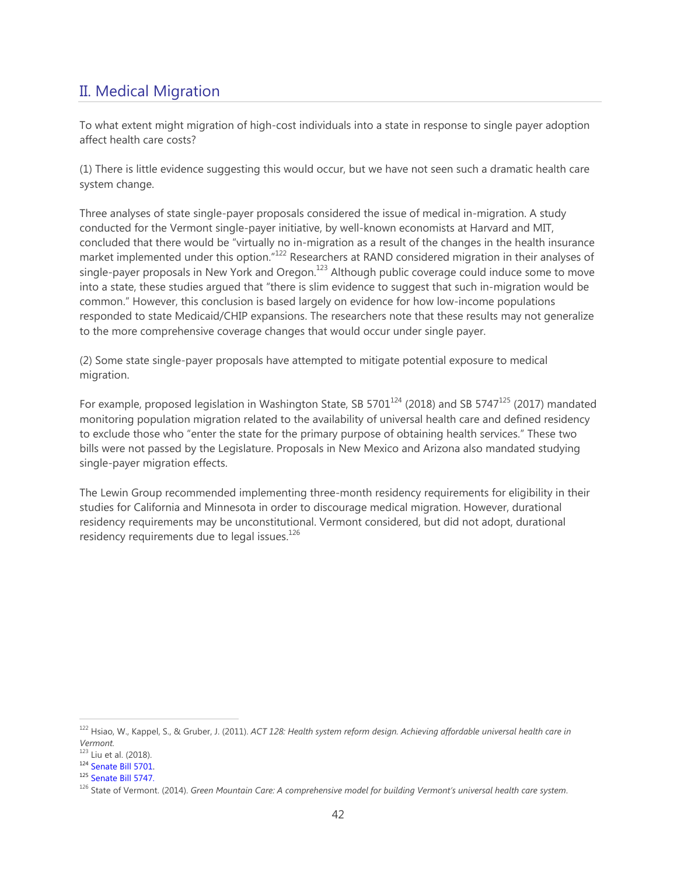# <span id="page-41-0"></span>II. Medical Migration

To what extent might migration of high-cost individuals into a state in response to single payer adoption affect health care costs?

(1) There is little evidence suggesting this would occur, but we have not seen such a dramatic health care system change.

Three analyses of state single-payer proposals considered the issue of medical in-migration. A study conducted for the Vermont single-payer initiative, by well-known economists at Harvard and MIT, concluded that there would be "virtually no in-migration as a result of the changes in the health insurance market implemented under this option."<sup>122</sup> Researchers at RAND considered migration in their analyses of single-payer proposals in New York and Oregon.<sup>123</sup> Although public coverage could induce some to move into a state, these studies argued that "there is slim evidence to suggest that such in-migration would be common." However, this conclusion is based largely on evidence for how low-income populations responded to state Medicaid/CHIP expansions. The researchers note that these results may not generalize to the more comprehensive coverage changes that would occur under single payer.

(2) Some state single-payer proposals have attempted to mitigate potential exposure to medical migration.

For example, proposed legislation in Washington State, SB 5701 $^{124}$  (2018) and SB 5747 $^{125}$  (2017) mandated monitoring population migration related to the availability of universal health care and defined residency to exclude those who "enter the state for the primary purpose of obtaining health services." These two bills were not passed by the Legislature. Proposals in New Mexico and Arizona also mandated studying single-payer migration effects.

The Lewin Group recommended implementing three-month residency requirements for eligibility in their studies for California and Minnesota in order to discourage medical migration. However, durational residency requirements may be unconstitutional. Vermont considered, but did not adopt, durational residency requirements due to legal issues. $126$ 

<sup>122</sup> Hsiao, W., Kappel, S., & Gruber, J. (2011). *ACT 128: Health system reform design. Achieving affordable universal health care in Vermont.*

<sup>123</sup> Liu et al. (2018).

<sup>124</sup> [Senate Bill 5701.](https://app.leg.wa.gov/billsummary?BillNumber=5701&Year=2017&Initiative=false)

<sup>125</sup> [Senate Bill 5747.](https://app.leg.wa.gov/billsummary?BillNumber=5747&Initiative=false&Year=2017)

<sup>126</sup> State of Vermont. (2014). *Green Mountain Care: A comprehensive model for building Vermont's universal health care system*.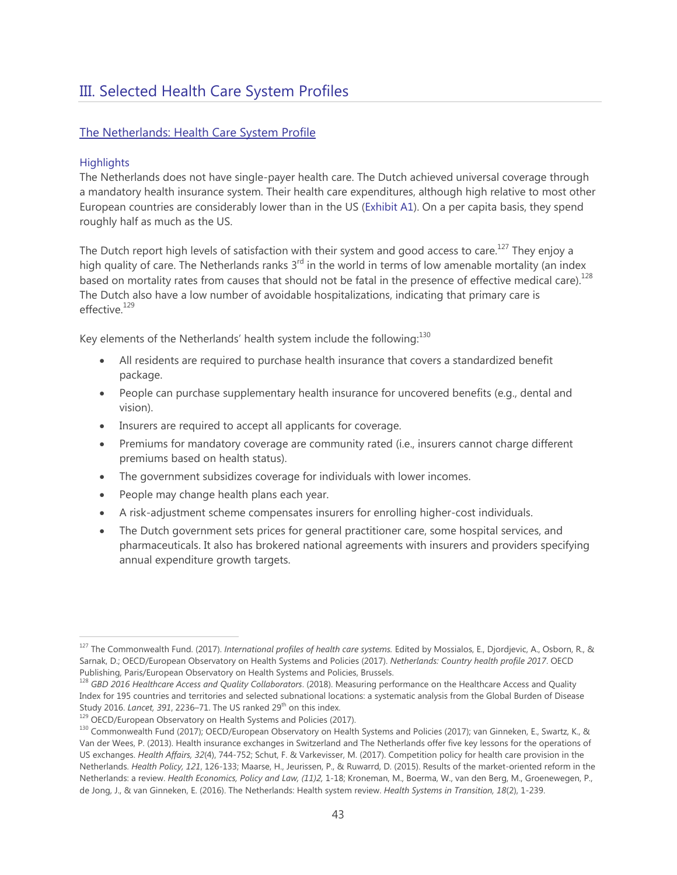# <span id="page-42-0"></span>III. Selected Health Care System Profiles

# The Netherlands: Health Care System Profile

# **Highlights**

 $\overline{a}$ 

The Netherlands does not have single-payer health care. The Dutch achieved universal coverage through a mandatory health insurance system. Their health care expenditures, although high relative to most other European countries are considerably lower than in the US (Exhibit A1). On a per capita basis, they spend roughly half as much as the US.

The Dutch report high levels of satisfaction with their system and good access to care.<sup>127</sup> They enjoy a high quality of care. The Netherlands ranks  $3<sup>rd</sup>$  in the world in terms of low amenable mortality (an index based on mortality rates from causes that should not be fatal in the presence of effective medical care).<sup>128</sup> The Dutch also have a low number of avoidable hospitalizations, indicating that primary care is effective.<sup>129</sup>

Key elements of the Netherlands' health system include the following: $^{130}$ 

- All residents are required to purchase health insurance that covers a standardized benefit package.
- People can purchase supplementary health insurance for uncovered benefits (e.g., dental and vision).
- Insurers are required to accept all applicants for coverage.
- Premiums for mandatory coverage are community rated (i.e., insurers cannot charge different premiums based on health status).
- The government subsidizes coverage for individuals with lower incomes.
- People may change health plans each year.
- A risk-adjustment scheme compensates insurers for enrolling higher-cost individuals.
- The Dutch government sets prices for general practitioner care, some hospital services, and pharmaceuticals. It also has brokered national agreements with insurers and providers specifying annual expenditure growth targets.

<sup>127</sup> The Commonwealth Fund. (2017). *International profiles of health care systems.* Edited by Mossialos, E., Djordjevic, A., Osborn, R., & Sarnak, D.; OECD/European Observatory on Health Systems and Policies (2017). *Netherlands: Country health profile 2017*. OECD Publishing, Paris/European Observatory on Health Systems and Policies, Brussels.

<sup>128</sup> *GBD 2016 Healthcare Access and Quality Collaborators*. (2018). Measuring performance on the Healthcare Access and Quality Index for 195 countries and territories and selected subnational locations: a systematic analysis from the Global Burden of Disease Study 2016. *Lancet, 391*, 2236–71. The US ranked 29<sup>th</sup> on this index.

<sup>&</sup>lt;sup>129</sup> OECD/European Observatory on Health Systems and Policies (2017).

<sup>130</sup> Commonwealth Fund (2017); OECD/European Observatory on Health Systems and Policies (2017); van Ginneken, E., Swartz, K., & Van der Wees, P. (2013). Health insurance exchanges in Switzerland and The Netherlands offer five key lessons for the operations of US exchanges. *Health Affairs, 32*(4), 744-752; Schut, F. & Varkevisser, M. (2017). Competition policy for health care provision in the Netherlands. *Health Policy, 121*, 126-133; Maarse, H., Jeurissen, P., & Ruwarrd, D. (2015). Results of the market-oriented reform in the Netherlands: a review. *Health Economics, Policy and Law, (11)2,* 1-18; Kroneman, M., Boerma, W., van den Berg, M., Groenewegen, P., de Jong, J., & van Ginneken, E. (2016). The Netherlands: Health system review. *Health Systems in Transition, 18*(2), 1-239.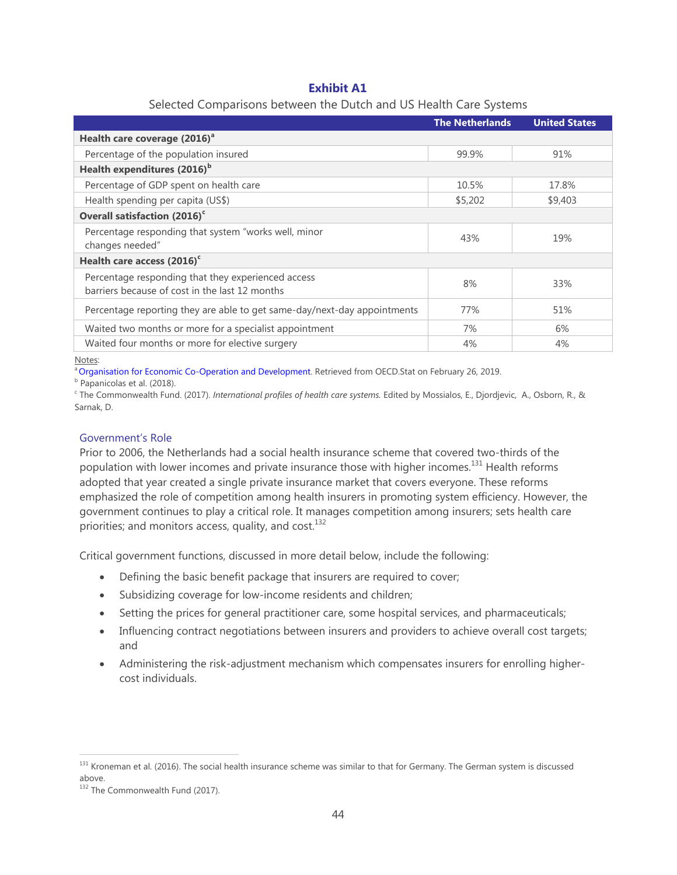# **Exhibit A1**

| Selected Comparisons between the Dutch and US Health Care Systems |  |  |  |  |  |
|-------------------------------------------------------------------|--|--|--|--|--|

|                                                                          | <b>The Netherlands</b> | <b>United States</b> |  |
|--------------------------------------------------------------------------|------------------------|----------------------|--|
| Health care coverage (2016) <sup>a</sup>                                 |                        |                      |  |
| Percentage of the population insured                                     | 99.9%                  | 91%                  |  |
| Health expenditures (2016) <sup>b</sup>                                  |                        |                      |  |
| Percentage of GDP spent on health care                                   | 10.5%                  | 17.8%                |  |
| Health spending per capita (US\$)                                        | \$5,202                | \$9,403              |  |
| Overall satisfaction (2016) <sup>c</sup>                                 |                        |                      |  |
| Percentage responding that system "works well, minor                     | 43%                    | 19%                  |  |
| changes needed"                                                          |                        |                      |  |
| Health care access (2016) <sup>c</sup>                                   |                        |                      |  |
| Percentage responding that they experienced access                       | 8%                     | 33%                  |  |
| barriers because of cost in the last 12 months                           |                        |                      |  |
| Percentage reporting they are able to get same-day/next-day appointments | 77%                    | 51%                  |  |
| Waited two months or more for a specialist appointment                   | 7%                     | 6%                   |  |
| Waited four months or more for elective surgery                          | 4%                     | 4%                   |  |

Notes:

<sup>a</sup> [Organisation for Economic Co-Operation and Development.](https://stats.oecd.org/) Retrieved from OECD.Stat on February 26, 2019.

<sup>b</sup> Papanicolas et al. (2018).

c The Commonwealth Fund. (2017). *International profiles of health care systems.* Edited by Mossialos, E., Djordjevic, A., Osborn, R., & Sarnak, D.

# Government's Role

Prior to 2006, the Netherlands had a social health insurance scheme that covered two-thirds of the population with lower incomes and private insurance those with higher incomes.<sup>131</sup> Health reforms adopted that year created a single private insurance market that covers everyone. These reforms emphasized the role of competition among health insurers in promoting system efficiency. However, the government continues to play a critical role. It manages competition among insurers; sets health care priorities; and monitors access, quality, and cost.<sup>132</sup>

Critical government functions, discussed in more detail below, include the following:

- Defining the basic benefit package that insurers are required to cover;
- Subsidizing coverage for low-income residents and children;
- Setting the prices for general practitioner care, some hospital services, and pharmaceuticals;
- Influencing contract negotiations between insurers and providers to achieve overall cost targets; and
- Administering the risk-adjustment mechanism which compensates insurers for enrolling highercost individuals.

<sup>132</sup> The Commonwealth Fund (2017).

 $131$  Kroneman et al. (2016). The social health insurance scheme was similar to that for Germany. The German system is discussed above.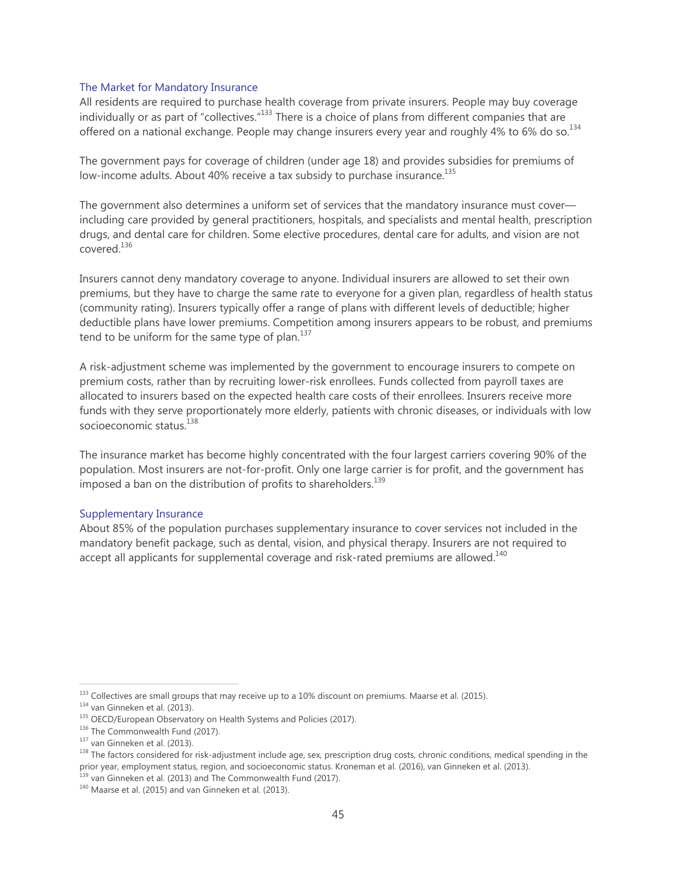#### The Market for Mandatory Insurance

All residents are required to purchase health coverage from private insurers. People may buy coverage individually or as part of "collectives."<sup>133</sup> There is a choice of plans from different companies that are offered on a national exchange. People may change insurers every year and roughly 4% to 6% do so.<sup>134</sup>

The government pays for coverage of children (under age 18) and provides subsidies for premiums of low-income adults. About 40% receive a tax subsidy to purchase insurance.<sup>135</sup>

The government also determines a uniform set of services that the mandatory insurance must cover including care provided by general practitioners, hospitals, and specialists and mental health, prescription drugs, and dental care for children. Some elective procedures, dental care for adults, and vision are not covered.136

Insurers cannot deny mandatory coverage to anyone. Individual insurers are allowed to set their own premiums, but they have to charge the same rate to everyone for a given plan, regardless of health status (community rating). Insurers typically offer a range of plans with different levels of deductible; higher deductible plans have lower premiums. Competition among insurers appears to be robust, and premiums tend to be uniform for the same type of plan. $137$ 

A risk-adjustment scheme was implemented by the government to encourage insurers to compete on premium costs, rather than by recruiting lower-risk enrollees. Funds collected from payroll taxes are allocated to insurers based on the expected health care costs of their enrollees. Insurers receive more funds with they serve proportionately more elderly, patients with chronic diseases, or individuals with low socioeconomic status.<sup>138</sup>

The insurance market has become highly concentrated with the four largest carriers covering 90% of the population. Most insurers are not-for-profit. Only one large carrier is for profit, and the government has imposed a ban on the distribution of profits to shareholders.<sup>139</sup>

#### Supplementary Insurance

About 85% of the population purchases supplementary insurance to cover services not included in the mandatory benefit package, such as dental, vision, and physical therapy. Insurers are not required to accept all applicants for supplemental coverage and risk-rated premiums are allowed.<sup>140</sup>

<sup>&</sup>lt;sup>133</sup> Collectives are small groups that may receive up to a 10% discount on premiums. Maarse et al. (2015).<br><sup>134</sup> van Ginneken et al. (2013).<br><sup>135</sup> OECD/European Observatory on Health Systems and Policies (2017).<br><sup>136</sup> The prior year, employment status, region, and socioeconomic status. Kroneman et al. (2016), van Ginneken et al. (2013).<br><sup>139</sup> van Ginneken et al. (2013) and The Commonwealth Fund (2017).<br><sup>140</sup> Maarse et al. (2015) and van Gin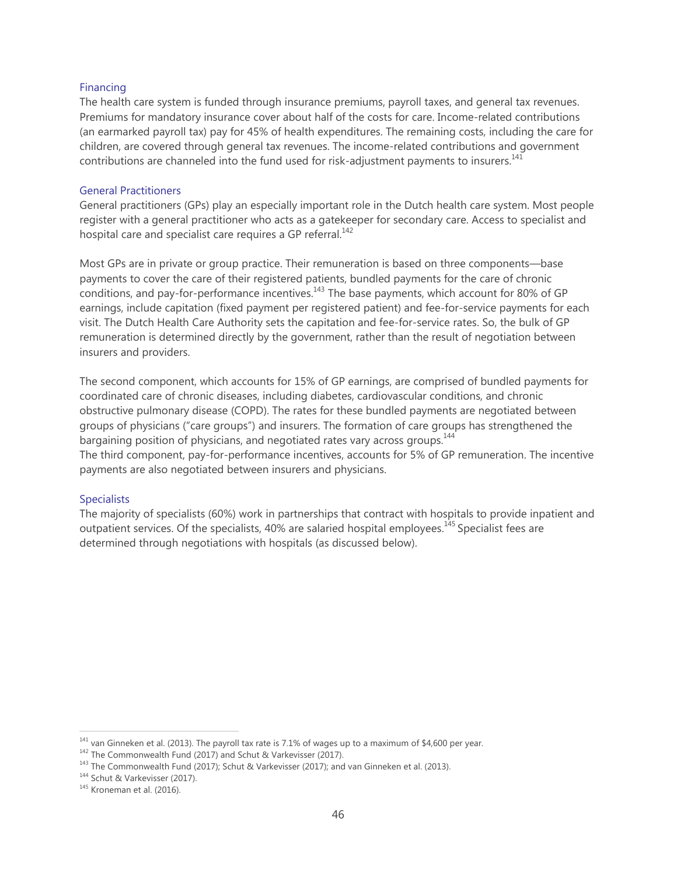#### Financing

The health care system is funded through insurance premiums, payroll taxes, and general tax revenues. Premiums for mandatory insurance cover about half of the costs for care. Income-related contributions (an earmarked payroll tax) pay for 45% of health expenditures. The remaining costs, including the care for children, are covered through general tax revenues. The income-related contributions and government contributions are channeled into the fund used for risk-adjustment payments to insurers.<sup>141</sup>

#### General Practitioners

General practitioners (GPs) play an especially important role in the Dutch health care system. Most people register with a general practitioner who acts as a gatekeeper for secondary care. Access to specialist and hospital care and specialist care requires a GP referral.<sup>142</sup>

Most GPs are in private or group practice. Their remuneration is based on three components—base payments to cover the care of their registered patients, bundled payments for the care of chronic conditions, and pay-for-performance incentives.<sup>143</sup> The base payments, which account for 80% of GP earnings, include capitation (fixed payment per registered patient) and fee-for-service payments for each visit. The Dutch Health Care Authority sets the capitation and fee-for-service rates. So, the bulk of GP remuneration is determined directly by the government, rather than the result of negotiation between insurers and providers.

The second component, which accounts for 15% of GP earnings, are comprised of bundled payments for coordinated care of chronic diseases, including diabetes, cardiovascular conditions, and chronic obstructive pulmonary disease (COPD). The rates for these bundled payments are negotiated between groups of physicians ("care groups") and insurers. The formation of care groups has strengthened the bargaining position of physicians, and negotiated rates vary across groups.<sup>144</sup> The third component, pay-for-performance incentives, accounts for 5% of GP remuneration. The incentive payments are also negotiated between insurers and physicians.

#### **Specialists**

The majority of specialists (60%) work in partnerships that contract with hospitals to provide inpatient and outpatient services. Of the specialists, 40% are salaried hospital employees.<sup>145</sup> Specialist fees are determined through negotiations with hospitals (as discussed below).

<sup>&</sup>lt;sup>141</sup> van Ginneken et al. (2013). The payroll tax rate is 7.1% of wages up to a maximum of \$4,600 per year.<br><sup>142</sup> The Commonwealth Fund (2017) and Schut & Varkevisser (2017).<br><sup>143</sup> The Commonwealth Fund (2017); Schut & Va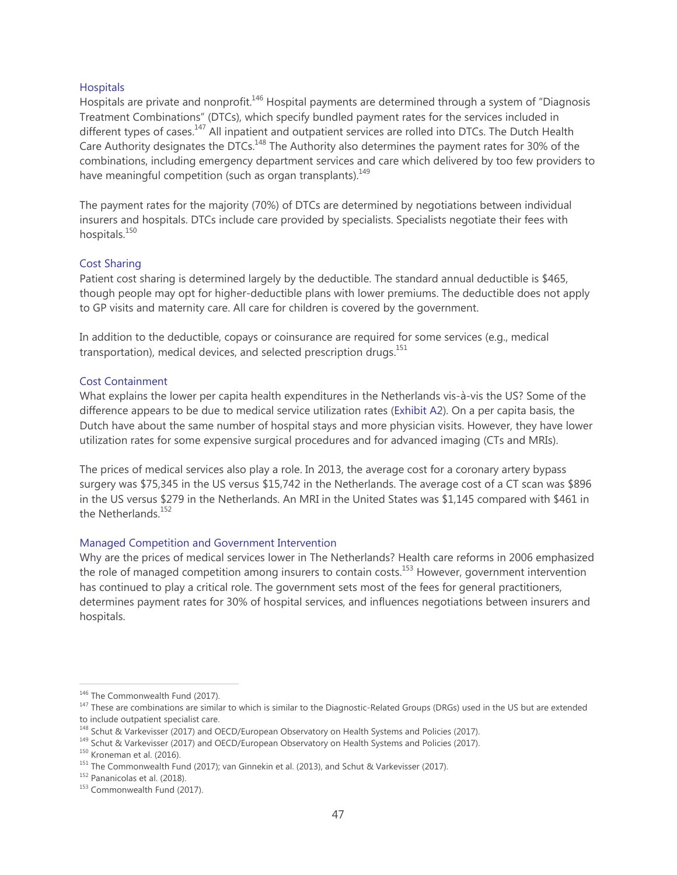# **Hospitals**

Hospitals are private and nonprofit.146 Hospital payments are determined through a system of "Diagnosis Treatment Combinations" (DTCs), which specify bundled payment rates for the services included in different types of cases.<sup>147</sup> All inpatient and outpatient services are rolled into DTCs. The Dutch Health Care Authority designates the DTCs.<sup>148</sup> The Authority also determines the payment rates for 30% of the combinations, including emergency department services and care which delivered by too few providers to have meaningful competition (such as organ transplants).<sup>149</sup>

The payment rates for the majority (70%) of DTCs are determined by negotiations between individual insurers and hospitals. DTCs include care provided by specialists. Specialists negotiate their fees with hospitals.<sup>150</sup>

# Cost Sharing

Patient cost sharing is determined largely by the deductible. The standard annual deductible is \$465, though people may opt for higher-deductible plans with lower premiums. The deductible does not apply to GP visits and maternity care. All care for children is covered by the government.

In addition to the deductible, copays or coinsurance are required for some services (e.g., medical transportation), medical devices, and selected prescription drugs.<sup>151</sup>

#### Cost Containment

What explains the lower per capita health expenditures in the Netherlands vis-à-vis the US? Some of the difference appears to be due to medical service utilization rates (Exhibit A2). On a per capita basis, the Dutch have about the same number of hospital stays and more physician visits. However, they have lower utilization rates for some expensive surgical procedures and for advanced imaging (CTs and MRIs).

The prices of medical services also play a role. In 2013, the average cost for a coronary artery bypass surgery was \$75,345 in the US versus \$15,742 in the Netherlands. The average cost of a CT scan was \$896 in the US versus \$279 in the Netherlands. An MRI in the United States was \$1,145 compared with \$461 in the Netherlands.<sup>152</sup>

# Managed Competition and Government Intervention

Why are the prices of medical services lower in The Netherlands? Health care reforms in 2006 emphasized the role of managed competition among insurers to contain costs.<sup>153</sup> However, government intervention has continued to play a critical role. The government sets most of the fees for general practitioners, determines payment rates for 30% of hospital services, and influences negotiations between insurers and hospitals.

<sup>&</sup>lt;sup>146</sup> The Commonwealth Fund (2017).<br><sup>147</sup> These are combinations are similar to which is similar to the Diagnostic-Related Groups (DRGs) used in the US but are extended to include outpatient specialist care.<br><sup>148</sup> Schut & Varkevisser (2017) and OECD/European Observatory on Health Systems and Policies (2017).

<sup>&</sup>lt;sup>149</sup> Schut & Varkevisser (2017) and OECD/European Observatory on Health Systems and Policies (2017).<br><sup>150</sup> Kroneman et al. (2016).<br><sup>151</sup> The Commonwealth Fund (2017); van Ginnekin et al. (2013), and Schut & Varkevisser (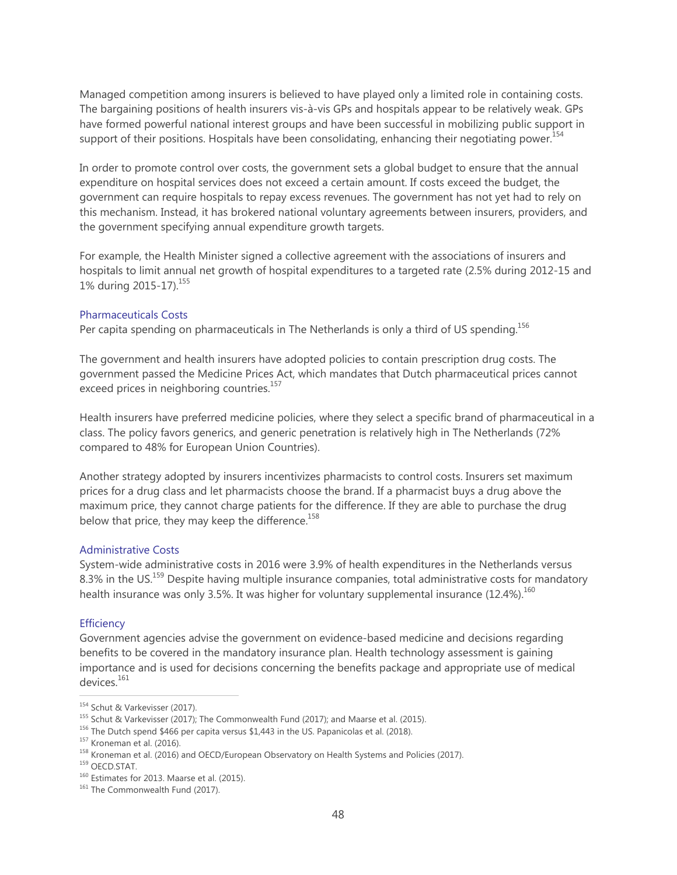Managed competition among insurers is believed to have played only a limited role in containing costs. The bargaining positions of health insurers vis-à-vis GPs and hospitals appear to be relatively weak. GPs have formed powerful national interest groups and have been successful in mobilizing public support in support of their positions. Hospitals have been consolidating, enhancing their negotiating power.<sup>154</sup>

In order to promote control over costs, the government sets a global budget to ensure that the annual expenditure on hospital services does not exceed a certain amount. If costs exceed the budget, the government can require hospitals to repay excess revenues. The government has not yet had to rely on this mechanism. Instead, it has brokered national voluntary agreements between insurers, providers, and the government specifying annual expenditure growth targets.

For example, the Health Minister signed a collective agreement with the associations of insurers and hospitals to limit annual net growth of hospital expenditures to a targeted rate (2.5% during 2012-15 and 1% during 2015-17).<sup>155</sup>

# Pharmaceuticals Costs

Per capita spending on pharmaceuticals in The Netherlands is only a third of US spending.<sup>156</sup>

The government and health insurers have adopted policies to contain prescription drug costs. The government passed the Medicine Prices Act, which mandates that Dutch pharmaceutical prices cannot exceed prices in neighboring countries.<sup>157</sup>

Health insurers have preferred medicine policies, where they select a specific brand of pharmaceutical in a class. The policy favors generics, and generic penetration is relatively high in The Netherlands (72% compared to 48% for European Union Countries).

Another strategy adopted by insurers incentivizes pharmacists to control costs. Insurers set maximum prices for a drug class and let pharmacists choose the brand. If a pharmacist buys a drug above the maximum price, they cannot charge patients for the difference. If they are able to purchase the drug below that price, they may keep the difference.<sup>158</sup>

#### Administrative Costs

System-wide administrative costs in 2016 were 3.9% of health expenditures in the Netherlands versus 8.3% in the US.<sup>159</sup> Despite having multiple insurance companies, total administrative costs for mandatory health insurance was only 3.5%. It was higher for voluntary supplemental insurance  $(12.4\%)$ .<sup>160</sup>

# **Efficiency**

Government agencies advise the government on evidence-based medicine and decisions regarding benefits to be covered in the mandatory insurance plan. Health technology assessment is gaining importance and is used for decisions concerning the benefits package and appropriate use of medical devices.<sup>161</sup>

<sup>&</sup>lt;sup>154</sup> Schut & Varkevisser (2017).<br>
<sup>155</sup> Schut & Varkevisser (2017); The Commonwealth Fund (2017); and Maarse et al. (2015).<br>
<sup>156</sup> The Dutch spend \$466 per capita versus \$1,443 in the US. Papanicolas et al. (2018).<br>
<sup>157</sup>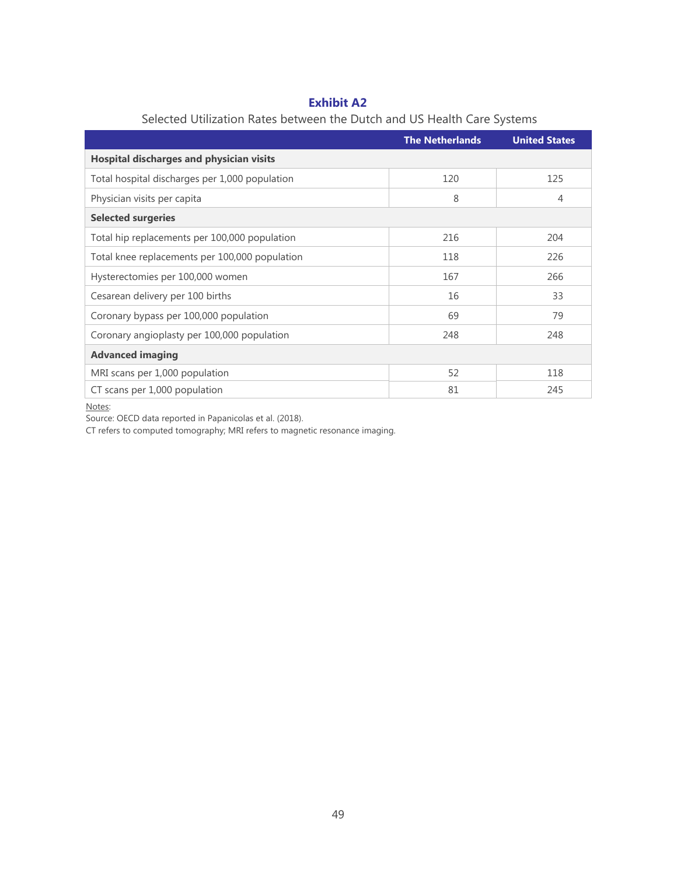# **Exhibit A2**

|                                                 | <b>The Netherlands</b> | <b>United States</b> |  |
|-------------------------------------------------|------------------------|----------------------|--|
| <b>Hospital discharges and physician visits</b> |                        |                      |  |
| Total hospital discharges per 1,000 population  | 120                    | 125                  |  |
| Physician visits per capita                     | 8                      | 4                    |  |
| <b>Selected surgeries</b>                       |                        |                      |  |
| Total hip replacements per 100,000 population   | 216                    | 204                  |  |
| Total knee replacements per 100,000 population  | 118                    | 226                  |  |
| Hysterectomies per 100,000 women                | 167                    | 266                  |  |
| Cesarean delivery per 100 births                | 16                     | 33                   |  |
| Coronary bypass per 100,000 population          | 69                     | 79                   |  |
| Coronary angioplasty per 100,000 population     | 248                    | 248                  |  |
| <b>Advanced imaging</b>                         |                        |                      |  |
| MRI scans per 1,000 population                  | 52                     | 118                  |  |
| CT scans per 1,000 population                   | 81                     | 245                  |  |

# Selected Utilization Rates between the Dutch and US Health Care Systems

Notes:

Source: OECD data reported in Papanicolas et al. (2018).

CT refers to computed tomography; MRI refers to magnetic resonance imaging.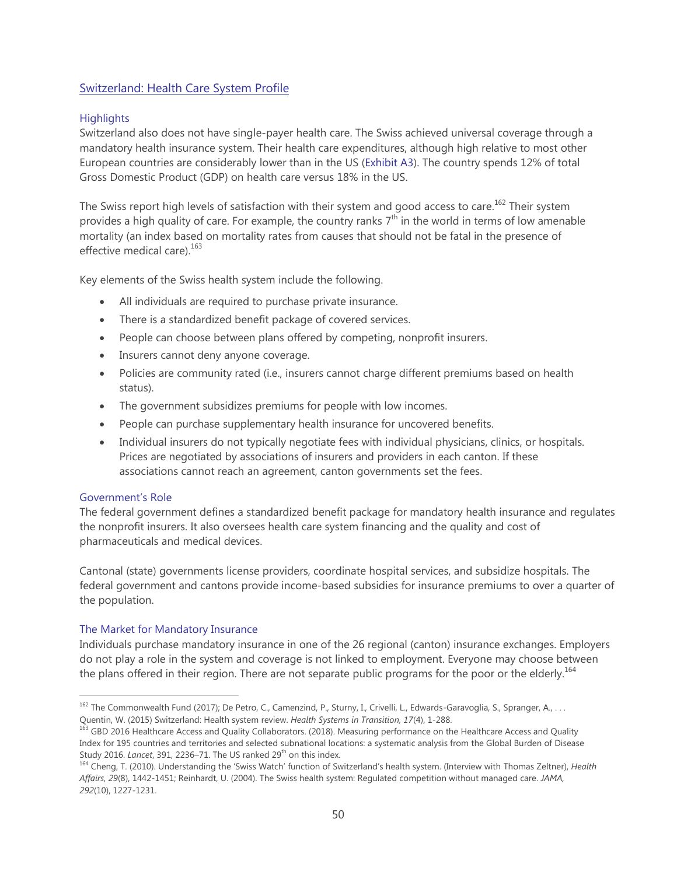# <span id="page-49-0"></span>Switzerland: Health Care System Profile

# **Highlights**

Switzerland also does not have single-payer health care. The Swiss achieved universal coverage through a mandatory health insurance system. Their health care expenditures, although high relative to most other European countries are considerably lower than in the US (Exhibit A3). The country spends 12% of total Gross Domestic Product (GDP) on health care versus 18% in the US.

The Swiss report high levels of satisfaction with their system and good access to care.<sup>162</sup> Their system provides a high quality of care. For example, the country ranks  $7<sup>th</sup>$  in the world in terms of low amenable mortality (an index based on mortality rates from causes that should not be fatal in the presence of effective medical care).<sup>163</sup>

Key elements of the Swiss health system include the following.

- All individuals are required to purchase private insurance.
- There is a standardized benefit package of covered services.
- People can choose between plans offered by competing, nonprofit insurers.
- Insurers cannot deny anyone coverage.
- Policies are community rated (i.e., insurers cannot charge different premiums based on health status).
- The government subsidizes premiums for people with low incomes.
- People can purchase supplementary health insurance for uncovered benefits.
- Individual insurers do not typically negotiate fees with individual physicians, clinics, or hospitals. Prices are negotiated by associations of insurers and providers in each canton. If these associations cannot reach an agreement, canton governments set the fees.

# Government's Role

 $\overline{a}$ 

The federal government defines a standardized benefit package for mandatory health insurance and regulates the nonprofit insurers. It also oversees health care system financing and the quality and cost of pharmaceuticals and medical devices.

Cantonal (state) governments license providers, coordinate hospital services, and subsidize hospitals. The federal government and cantons provide income-based subsidies for insurance premiums to over a quarter of the population.

# The Market for Mandatory Insurance

Individuals purchase mandatory insurance in one of the 26 regional (canton) insurance exchanges. Employers do not play a role in the system and coverage is not linked to employment. Everyone may choose between the plans offered in their region. There are not separate public programs for the poor or the elderly.<sup>164</sup>

<sup>&</sup>lt;sup>162</sup> The Commonwealth Fund (2017); De Petro, C., Camenzind, P., Sturny, I., Crivelli, L., Edwards-Garavoglia, S., Spranger, A., . . . Quentin, W. (2015) Switzerland: Health system review. *Health Systems in Transition, 17*(4), 1-288.

<sup>&</sup>lt;sup>163</sup> GBD 2016 Healthcare Access and Quality Collaborators. (2018). Measuring performance on the Healthcare Access and Quality Index for 195 countries and territories and selected subnational locations: a systematic analysis from the Global Burden of Disease Study 2016. *Lancet*, 391, 2236–71. The US ranked 29<sup>th</sup> on this index.

<sup>164</sup> Cheng, T. (2010). Understanding the 'Swiss Watch' function of Switzerland's health system. (Interview with Thomas Zeltner), *Health Affairs, 29*(8), 1442-1451; Reinhardt, U. (2004). The Swiss health system: Regulated competition without managed care. *JAMA, 292*(10), 1227-1231.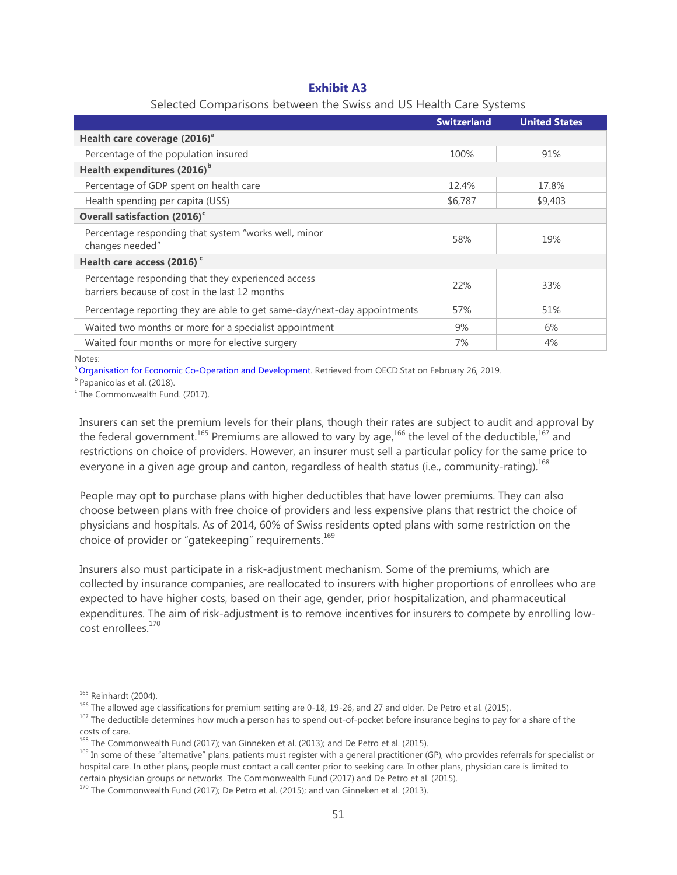# **Exhibit A3**

|                                                                                                      | <b>Switzerland</b> | <b>United States</b> |
|------------------------------------------------------------------------------------------------------|--------------------|----------------------|
| Health care coverage (2016) <sup>a</sup>                                                             |                    |                      |
| Percentage of the population insured                                                                 | 100%               | 91%                  |
| Health expenditures (2016) <sup>b</sup>                                                              |                    |                      |
| Percentage of GDP spent on health care                                                               | 12.4%              | 17.8%                |
| Health spending per capita (US\$)                                                                    | \$6,787            | \$9,403              |
| Overall satisfaction (2016) <sup>c</sup>                                                             |                    |                      |
| Percentage responding that system "works well, minor<br>changes needed"                              | 58%                | 19%                  |
|                                                                                                      |                    |                      |
| Health care access (2016) <sup>c</sup>                                                               |                    |                      |
| Percentage responding that they experienced access<br>barriers because of cost in the last 12 months | 22%                | 33%                  |
| Percentage reporting they are able to get same-day/next-day appointments                             | 57%                | 51%                  |
| Waited two months or more for a specialist appointment                                               | 9%                 | 6%                   |
| Waited four months or more for elective surgery                                                      | 7%                 | 4%                   |

#### Selected Comparisons between the Swiss and US Health Care Systems

Notes:

<sup>a</sup> [Organisation for Economic Co-Operation and Development.](https://stats.oecd.org/) Retrieved from OECD.Stat on February 26, 2019.

**b** Papanicolas et al. (2018).

<sup>c</sup>The Commonwealth Fund. (2017).

Insurers can set the premium levels for their plans, though their rates are subject to audit and approval by the federal government.<sup>165</sup> Premiums are allowed to vary by age,<sup>166</sup> the level of the deductible,<sup>167</sup> and restrictions on choice of providers. However, an insurer must sell a particular policy for the same price to everyone in a given age group and canton, regardless of health status (i.e., community-rating).<sup>168</sup>

People may opt to purchase plans with higher deductibles that have lower premiums. They can also choose between plans with free choice of providers and less expensive plans that restrict the choice of physicians and hospitals. As of 2014, 60% of Swiss residents opted plans with some restriction on the choice of provider or "gatekeeping" requirements. $169$ 

Insurers also must participate in a risk-adjustment mechanism. Some of the premiums, which are collected by insurance companies, are reallocated to insurers with higher proportions of enrollees who are expected to have higher costs, based on their age, gender, prior hospitalization, and pharmaceutical expenditures. The aim of risk-adjustment is to remove incentives for insurers to compete by enrolling lowcost enrollees.<sup>170</sup>

<sup>167</sup> The deductible determines how much a person has to spend out-of-pocket before insurance begins to pay for a share of the costs of care.

<sup>165</sup> Reinhardt (2004).

<sup>&</sup>lt;sup>166</sup> The allowed age classifications for premium setting are 0-18, 19-26, and 27 and older. De Petro et al. (2015).

<sup>&</sup>lt;sup>168</sup> The Commonwealth Fund (2017); van Ginneken et al. (2013); and De Petro et al. (2015).

<sup>&</sup>lt;sup>169</sup> In some of these "alternative" plans, patients must register with a general practitioner (GP), who provides referrals for specialist or hospital care. In other plans, people must contact a call center prior to seeking care. In other plans, physician care is limited to certain physician groups or networks. The Commonwealth Fund (2017) and De Petro et al. (2015).

<sup>&</sup>lt;sup>170</sup> The Commonwealth Fund (2017); De Petro et al. (2015); and van Ginneken et al. (2013).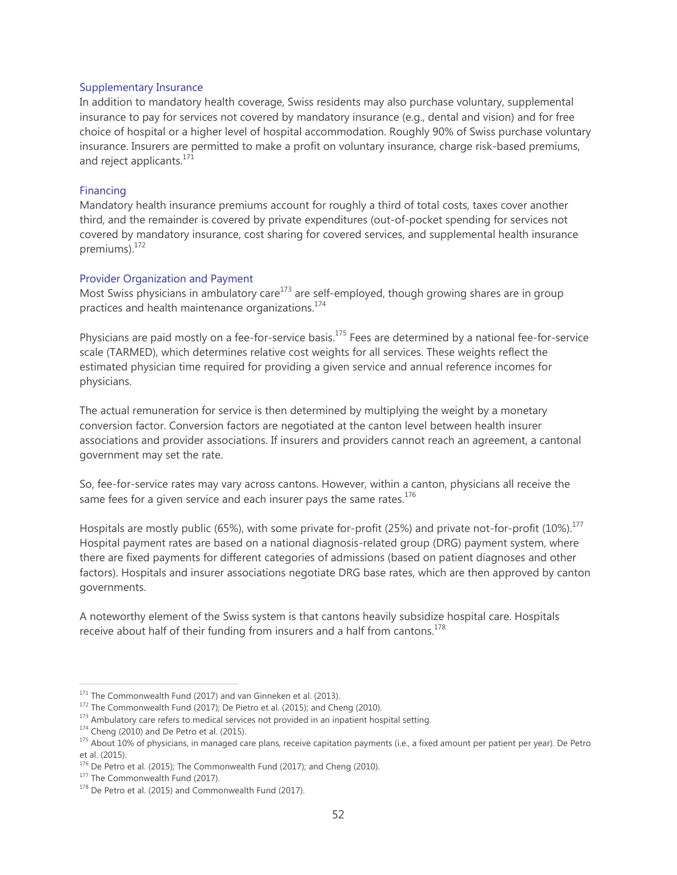#### Supplementary Insurance

In addition to mandatory health coverage, Swiss residents may also purchase voluntary, supplemental insurance to pay for services not covered by mandatory insurance (e.g., dental and vision) and for free choice of hospital or a higher level of hospital accommodation. Roughly 90% of Swiss purchase voluntary insurance. Insurers are permitted to make a profit on voluntary insurance, charge risk-based premiums, and reject applicants.<sup>171</sup>

#### Financing

Mandatory health insurance premiums account for roughly a third of total costs, taxes cover another third, and the remainder is covered by private expenditures (out-of-pocket spending for services not covered by mandatory insurance, cost sharing for covered services, and supplemental health insurance premiums).<sup>172</sup>

### Provider Organization and Payment

Most Swiss physicians in ambulatory care<sup>173</sup> are self-employed, though growing shares are in group practices and health maintenance organizations.<sup>174</sup>

Physicians are paid mostly on a fee-for-service basis.<sup>175</sup> Fees are determined by a national fee-for-service scale (TARMED), which determines relative cost weights for all services. These weights reflect the estimated physician time required for providing a given service and annual reference incomes for physicians.

The actual remuneration for service is then determined by multiplying the weight by a monetary conversion factor. Conversion factors are negotiated at the canton level between health insurer associations and provider associations. If insurers and providers cannot reach an agreement, a cantonal government may set the rate.

So, fee-for-service rates may vary across cantons. However, within a canton, physicians all receive the same fees for a given service and each insurer pays the same rates. $176$ 

Hospitals are mostly public (65%), with some private for-profit (25%) and private not-for-profit (10%).<sup>177</sup> Hospital payment rates are based on a national diagnosis-related group (DRG) payment system, where there are fixed payments for different categories of admissions (based on patient diagnoses and other factors). Hospitals and insurer associations negotiate DRG base rates, which are then approved by canton governments.

A noteworthy element of the Swiss system is that cantons heavily subsidize hospital care. Hospitals receive about half of their funding from insurers and a half from cantons.<sup>178</sup>

<sup>&</sup>lt;sup>171</sup> The Commonwealth Fund (2017) and van Ginneken et al. (2013).

 $172$  The Commonwealth Fund (2017); De Pietro et al. (2015); and Cheng (2010).

<sup>&</sup>lt;sup>173</sup> Ambulatory care refers to medical services not provided in an inpatient hospital setting.

 $174$  Cheng (2010) and De Petro et al. (2015).

<sup>175</sup> About 10% of physicians, in managed care plans, receive capitation payments (i.e., a fixed amount per patient per year). De Petro et al. (2015).

<sup>&</sup>lt;sup>176</sup> De Petro et al. (2015); The Commonwealth Fund (2017); and Cheng (2010).

<sup>&</sup>lt;sup>177</sup> The Commonwealth Fund (2017).

 $178$  De Petro et al. (2015) and Commonwealth Fund (2017).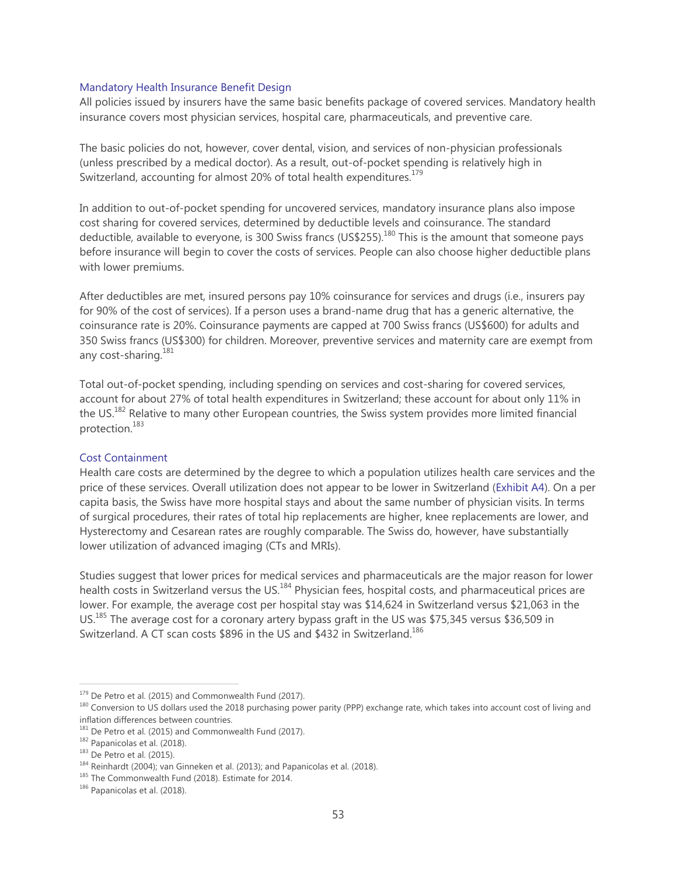#### Mandatory Health Insurance Benefit Design

All policies issued by insurers have the same basic benefits package of covered services. Mandatory health insurance covers most physician services, hospital care, pharmaceuticals, and preventive care.

The basic policies do not, however, cover dental, vision, and services of non-physician professionals (unless prescribed by a medical doctor). As a result, out-of-pocket spending is relatively high in Switzerland, accounting for almost 20% of total health expenditures.<sup>179</sup>

In addition to out-of-pocket spending for uncovered services, mandatory insurance plans also impose cost sharing for covered services, determined by deductible levels and coinsurance. The standard deductible, available to everyone, is 300 Swiss francs (US\$255).<sup>180</sup> This is the amount that someone pays before insurance will begin to cover the costs of services. People can also choose higher deductible plans with lower premiums.

After deductibles are met, insured persons pay 10% coinsurance for services and drugs (i.e., insurers pay for 90% of the cost of services). If a person uses a brand-name drug that has a generic alternative, the coinsurance rate is 20%. Coinsurance payments are capped at 700 Swiss francs (US\$600) for adults and 350 Swiss francs (US\$300) for children. Moreover, preventive services and maternity care are exempt from any cost-sharing.<sup>181</sup>

Total out-of-pocket spending, including spending on services and cost-sharing for covered services, account for about 27% of total health expenditures in Switzerland; these account for about only 11% in the US.<sup>182</sup> Relative to many other European countries, the Swiss system provides more limited financial protection.<sup>183</sup>

#### Cost Containment

Health care costs are determined by the degree to which a population utilizes health care services and the price of these services. Overall utilization does not appear to be lower in Switzerland (Exhibit A4). On a per capita basis, the Swiss have more hospital stays and about the same number of physician visits. In terms of surgical procedures, their rates of total hip replacements are higher, knee replacements are lower, and Hysterectomy and Cesarean rates are roughly comparable. The Swiss do, however, have substantially lower utilization of advanced imaging (CTs and MRIs).

Studies suggest that lower prices for medical services and pharmaceuticals are the major reason for lower health costs in Switzerland versus the US.<sup>184</sup> Physician fees, hospital costs, and pharmaceutical prices are lower. For example, the average cost per hospital stay was \$14,624 in Switzerland versus \$21,063 in the US.<sup>185</sup> The average cost for a coronary artery bypass graft in the US was \$75,345 versus \$36,509 in Switzerland. A CT scan costs \$896 in the US and \$432 in Switzerland.<sup>186</sup>

<sup>&</sup>lt;sup>179</sup> De Petro et al. (2015) and Commonwealth Fund (2017).

<sup>180</sup> Conversion to US dollars used the 2018 purchasing power parity (PPP) exchange rate, which takes into account cost of living and inflation differences between countries.

 $181$  De Petro et al. (2015) and Commonwealth Fund (2017).

<sup>182</sup> Papanicolas et al. (2018).

<sup>183</sup> De Petro et al. (2015).

 $184$  Reinhardt (2004); van Ginneken et al. (2013); and Papanicolas et al. (2018).

<sup>185</sup> The Commonwealth Fund (2018). Estimate for 2014.

<sup>186</sup> Papanicolas et al. (2018).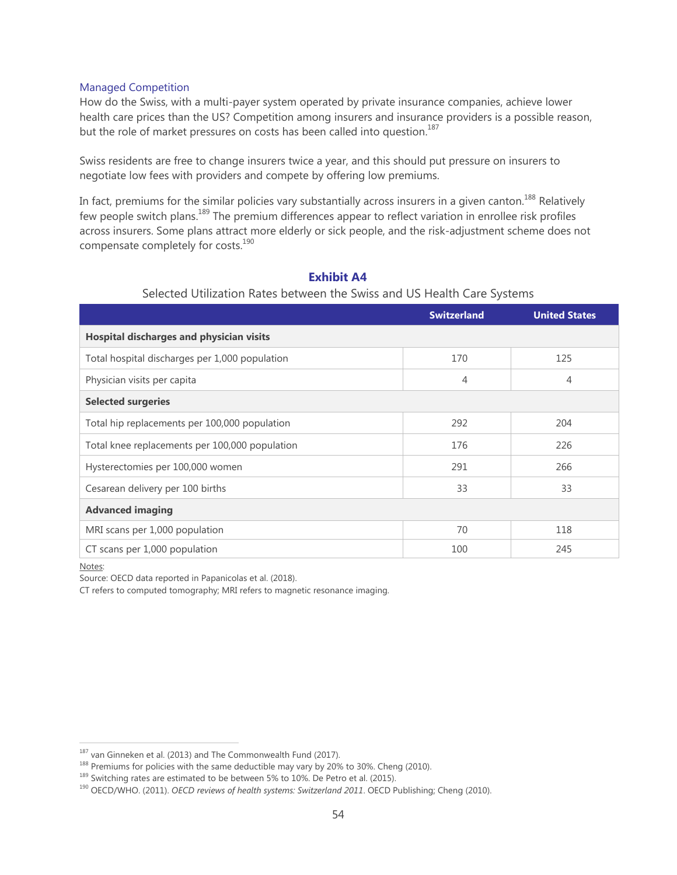# Managed Competition

How do the Swiss, with a multi-payer system operated by private insurance companies, achieve lower health care prices than the US? Competition among insurers and insurance providers is a possible reason, but the role of market pressures on costs has been called into question.<sup>187</sup>

Swiss residents are free to change insurers twice a year, and this should put pressure on insurers to negotiate low fees with providers and compete by offering low premiums.

In fact, premiums for the similar policies vary substantially across insurers in a given canton.<sup>188</sup> Relatively few people switch plans.<sup>189</sup> The premium differences appear to reflect variation in enrollee risk profiles across insurers. Some plans attract more elderly or sick people, and the risk-adjustment scheme does not compensate completely for costs.<sup>190</sup>

|                                                | <b>Switzerland</b> | <b>United States</b> |  |
|------------------------------------------------|--------------------|----------------------|--|
| Hospital discharges and physician visits       |                    |                      |  |
| Total hospital discharges per 1,000 population | 170                | 125                  |  |
| Physician visits per capita                    | $\overline{4}$     | 4                    |  |
| <b>Selected surgeries</b>                      |                    |                      |  |
| Total hip replacements per 100,000 population  | 292                | 204                  |  |
| Total knee replacements per 100,000 population | 176                | 226                  |  |
| Hysterectomies per 100,000 women               | 291                | 266                  |  |
| Cesarean delivery per 100 births               | 33                 | 33                   |  |
| <b>Advanced imaging</b>                        |                    |                      |  |
| MRI scans per 1,000 population                 | 70                 | 118                  |  |
| CT scans per 1,000 population                  | 100                | 245                  |  |

# **Exhibit A4**

# Selected Utilization Rates between the Swiss and US Health Care Systems

Notes:

 $\overline{a}$ 

Source: OECD data reported in Papanicolas et al. (2018).

CT refers to computed tomography; MRI refers to magnetic resonance imaging.

<sup>&</sup>lt;sup>187</sup> van Ginneken et al. (2013) and The Commonwealth Fund (2017).

<sup>&</sup>lt;sup>188</sup> Premiums for policies with the same deductible may vary by 20% to 30%. Cheng (2010).

<sup>&</sup>lt;sup>189</sup> Switching rates are estimated to be between 5% to 10%. De Petro et al. (2015).

<sup>190</sup> OECD/WHO. (2011). *OECD reviews of health systems: Switzerland 2011*. OECD Publishing; Cheng (2010).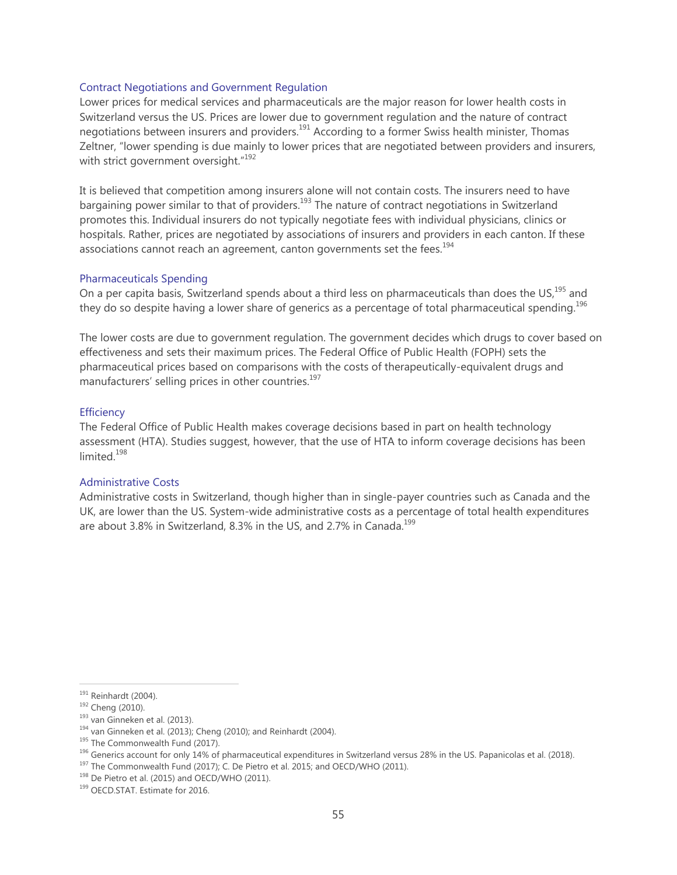#### Contract Negotiations and Government Regulation

Lower prices for medical services and pharmaceuticals are the major reason for lower health costs in Switzerland versus the US. Prices are lower due to government regulation and the nature of contract negotiations between insurers and providers.<sup>191</sup> According to a former Swiss health minister, Thomas Zeltner, "lower spending is due mainly to lower prices that are negotiated between providers and insurers, with strict government oversight." $192$ 

It is believed that competition among insurers alone will not contain costs. The insurers need to have bargaining power similar to that of providers.<sup>193</sup> The nature of contract negotiations in Switzerland promotes this. Individual insurers do not typically negotiate fees with individual physicians, clinics or hospitals. Rather, prices are negotiated by associations of insurers and providers in each canton. If these associations cannot reach an agreement, canton governments set the fees.<sup>194</sup>

### Pharmaceuticals Spending

On a per capita basis, Switzerland spends about a third less on pharmaceuticals than does the US,<sup>195</sup> and they do so despite having a lower share of generics as a percentage of total pharmaceutical spending.<sup>196</sup>

The lower costs are due to government regulation. The government decides which drugs to cover based on effectiveness and sets their maximum prices. The Federal Office of Public Health (FOPH) sets the pharmaceutical prices based on comparisons with the costs of therapeutically-equivalent drugs and manufacturers' selling prices in other countries.<sup>197</sup>

#### **Efficiency**

The Federal Office of Public Health makes coverage decisions based in part on health technology assessment (HTA). Studies suggest, however, that the use of HTA to inform coverage decisions has been limited<sup>198</sup>

#### Administrative Costs

Administrative costs in Switzerland, though higher than in single-payer countries such as Canada and the UK, are lower than the US. System-wide administrative costs as a percentage of total health expenditures are about 3.8% in Switzerland, 8.3% in the US, and 2.7% in Canada.<sup>199</sup>

 $\overline{a}$ 

<sup>197</sup> The Commonwealth Fund (2017); C. De Pietro et al. 2015; and OECD/WHO (2011).

<sup>191</sup> Reinhardt (2004).

<sup>&</sup>lt;sup>192</sup> Cheng (2010).

<sup>&</sup>lt;sup>193</sup> van Ginneken et al. (2013).

 $194$  van Ginneken et al. (2013); Cheng (2010); and Reinhardt (2004).

<sup>&</sup>lt;sup>195</sup> The Commonwealth Fund (2017).

<sup>&</sup>lt;sup>196</sup> Generics account for only 14% of pharmaceutical expenditures in Switzerland versus 28% in the US. Papanicolas et al. (2018).

<sup>&</sup>lt;sup>198</sup> De Pietro et al. (2015) and OECD/WHO (2011).

<sup>&</sup>lt;sup>199</sup> OECD.STAT. Estimate for 2016.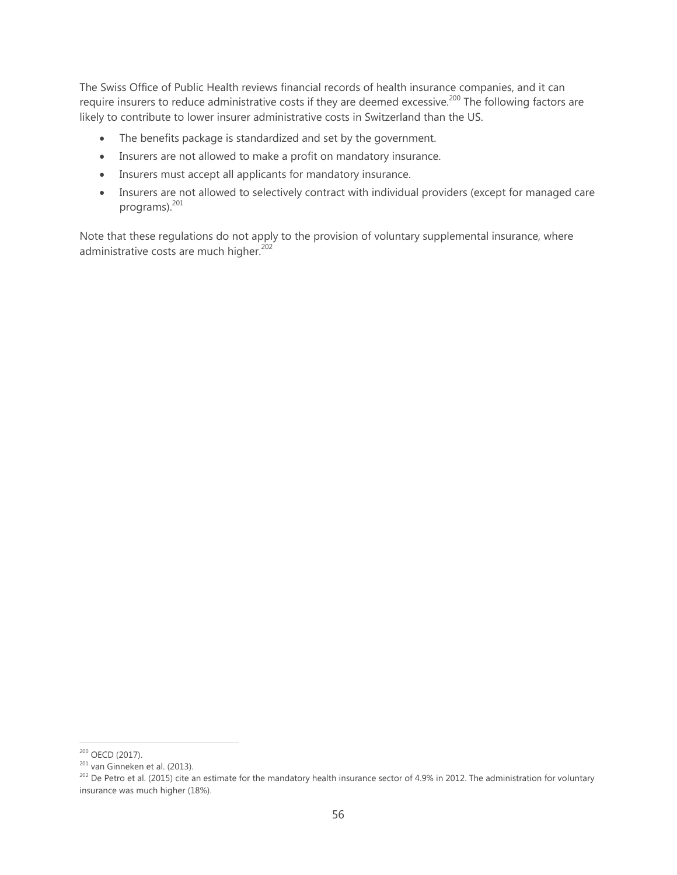The Swiss Office of Public Health reviews financial records of health insurance companies, and it can require insurers to reduce administrative costs if they are deemed excessive.<sup>200</sup> The following factors are likely to contribute to lower insurer administrative costs in Switzerland than the US.

- The benefits package is standardized and set by the government.
- Insurers are not allowed to make a profit on mandatory insurance.
- Insurers must accept all applicants for mandatory insurance.
- Insurers are not allowed to selectively contract with individual providers (except for managed care programs).<sup>201</sup>

Note that these regulations do not apply to the provision of voluntary supplemental insurance, where administrative costs are much higher.<sup>202</sup>

<sup>&</sup>lt;sup>200</sup> OECD (2017).

 $201$  van Ginneken et al. (2013).

<sup>&</sup>lt;sup>202</sup> De Petro et al. (2015) cite an estimate for the mandatory health insurance sector of 4.9% in 2012. The administration for voluntary insurance was much higher (18%).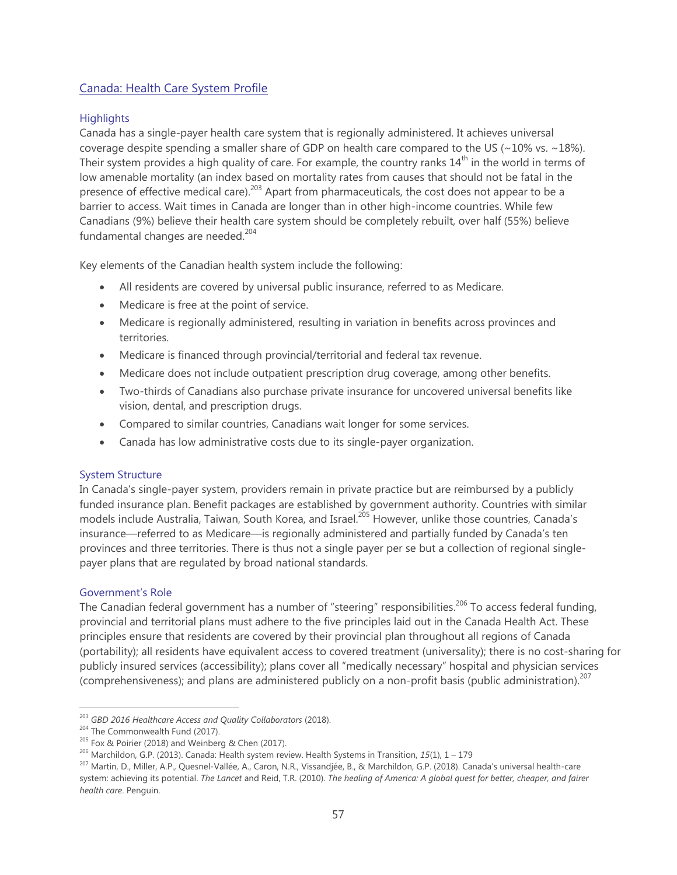# <span id="page-56-0"></span>Canada: Health Care System Profile

# **Highlights**

Canada has a single-payer health care system that is regionally administered. It achieves universal coverage despite spending a smaller share of GDP on health care compared to the US ( $\sim$ 10% vs.  $\sim$ 18%). Their system provides a high quality of care. For example, the country ranks  $14<sup>th</sup>$  in the world in terms of low amenable mortality (an index based on mortality rates from causes that should not be fatal in the presence of effective medical care).<sup>203</sup> Apart from pharmaceuticals, the cost does not appear to be a barrier to access. Wait times in Canada are longer than in other high-income countries. While few Canadians (9%) believe their health care system should be completely rebuilt, over half (55%) believe fundamental changes are needed. $204$ 

Key elements of the Canadian health system include the following:

- All residents are covered by universal public insurance, referred to as Medicare.
- Medicare is free at the point of service.
- Medicare is regionally administered, resulting in variation in benefits across provinces and territories.
- Medicare is financed through provincial/territorial and federal tax revenue.
- Medicare does not include outpatient prescription drug coverage, among other benefits.
- Two-thirds of Canadians also purchase private insurance for uncovered universal benefits like vision, dental, and prescription drugs.
- Compared to similar countries, Canadians wait longer for some services.
- Canada has low administrative costs due to its single-payer organization.

# System Structure

In Canada's single-payer system, providers remain in private practice but are reimbursed by a publicly funded insurance plan. Benefit packages are established by government authority. Countries with similar models include Australia, Taiwan, South Korea, and Israel.<sup>205</sup> However, unlike those countries, Canada's insurance—referred to as Medicare—is regionally administered and partially funded by Canada's ten provinces and three territories. There is thus not a single payer per se but a collection of regional singlepayer plans that are regulated by broad national standards.

# Government's Role

 $\overline{a}$ 

The Canadian federal government has a number of "steering" responsibilities.<sup>206</sup> To access federal funding, provincial and territorial plans must adhere to the five principles laid out in the Canada Health Act. These principles ensure that residents are covered by their provincial plan throughout all regions of Canada (portability); all residents have equivalent access to covered treatment (universality); there is no cost-sharing for publicly insured services (accessibility); plans cover all "medically necessary" hospital and physician services (comprehensiveness); and plans are administered publicly on a non-profit basis (public administration).<sup>207</sup>

<sup>203</sup> *GBD 2016 Healthcare Access and Quality Collaborators* (2018).

<sup>&</sup>lt;sup>204</sup> The Commonwealth Fund (2017).

<sup>205</sup> Fox & Poirier (2018) and Weinberg & Chen (2017).

<sup>206</sup> Marchildon, G.P. (2013). Canada: Health system review. Health Systems in Transition, *15*(1), 1 – 179

<sup>207</sup> Martin, D., Miller, A.P., Quesnel-Vallée, A., Caron, N.R., Vissandjée, B., & Marchildon, G.P. (2018). Canada's universal health-care system: achieving its potential. *The Lancet* and Reid, T.R. (2010). *The healing of America: A global quest for better, cheaper, and fairer health care*. Penguin.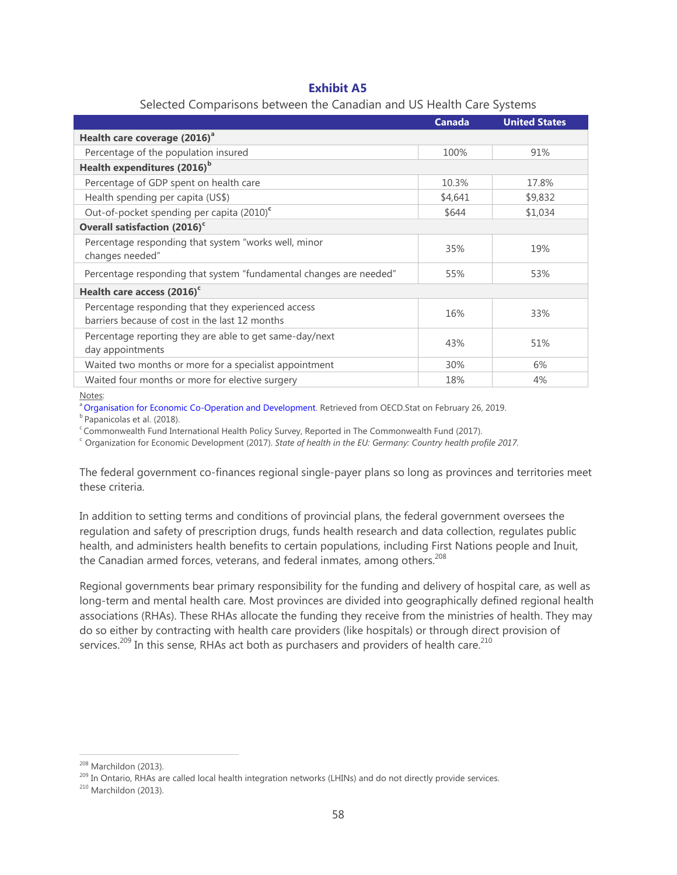# **Exhibit A5**

| <b>Canada</b> | <b>United States</b> |
|---------------|----------------------|
|               |                      |
|               |                      |
| 100%          | 91%                  |
|               |                      |
| 10.3%         | 17.8%                |
| \$4,641       | \$9,832              |
| \$644         | \$1,034              |
|               |                      |
| 35%           | 19%                  |
| 55%           | 53%                  |
|               |                      |
| 16%           | 33%                  |
| 43%           | 51%                  |
| 30%           | 6%                   |
| 18%           | 4%                   |
|               |                      |

### Selected Comparisons between the Canadian and US Health Care Systems

Notes:

[Organisation for Economic Co-Operation and Development.](https://stats.oecd.org/) Retrieved from OECD.Stat on February 26, 2019.

<sup>b</sup> Papanicolas et al. (2018).

 $c$ Commonwealth Fund International Health Policy Survey, Reported in The Commonwealth Fund (2017).

<sup>c</sup> Organization for Economic Development (2017). *State of health in the EU: Germany: Country health profile 2017.* 

The federal government co-finances regional single-payer plans so long as provinces and territories meet these criteria.

In addition to setting terms and conditions of provincial plans, the federal government oversees the regulation and safety of prescription drugs, funds health research and data collection, regulates public health, and administers health benefits to certain populations, including First Nations people and Inuit, the Canadian armed forces, veterans, and federal inmates, among others.<sup>208</sup>

Regional governments bear primary responsibility for the funding and delivery of hospital care, as well as long-term and mental health care. Most provinces are divided into geographically defined regional health associations (RHAs). These RHAs allocate the funding they receive from the ministries of health. They may do so either by contracting with health care providers (like hospitals) or through direct provision of services.<sup>209</sup> In this sense, RHAs act both as purchasers and providers of health care.<sup>210</sup>

<sup>208</sup> Marchildon (2013).

<sup>&</sup>lt;sup>209</sup> In Ontario, RHAs are called local health integration networks (LHINs) and do not directly provide services.

<sup>210</sup> Marchildon (2013).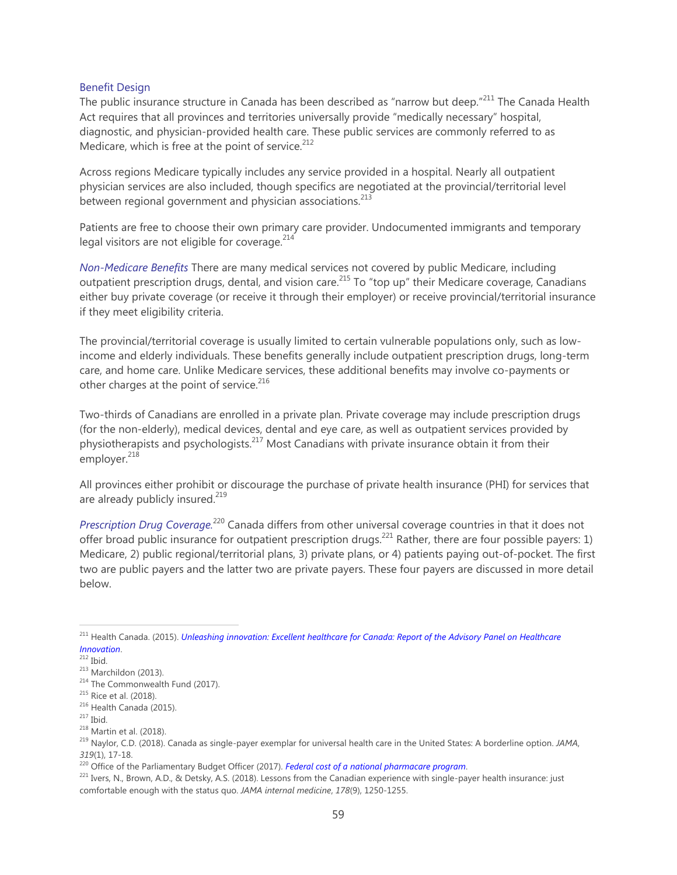#### Benefit Design

The public insurance structure in Canada has been described as "narrow but deep."<sup>211</sup> The Canada Health Act requires that all provinces and territories universally provide "medically necessary" hospital, diagnostic, and physician-provided health care. These public services are commonly referred to as Medicare, which is free at the point of service. $^{212}$ 

Across regions Medicare typically includes any service provided in a hospital. Nearly all outpatient physician services are also included, though specifics are negotiated at the provincial/territorial level between regional government and physician associations. $^{213}$ 

Patients are free to choose their own primary care provider. Undocumented immigrants and temporary legal visitors are not eligible for coverage. $214$ 

*Non-Medicare Benefits* There are many medical services not covered by public Medicare, including outpatient prescription drugs, dental, and vision care.<sup>215</sup> To "top up" their Medicare coverage, Canadians either buy private coverage (or receive it through their employer) or receive provincial/territorial insurance if they meet eligibility criteria.

The provincial/territorial coverage is usually limited to certain vulnerable populations only, such as lowincome and elderly individuals. These benefits generally include outpatient prescription drugs, long-term care, and home care. Unlike Medicare services, these additional benefits may involve co-payments or other charges at the point of service.<sup>216</sup>

Two-thirds of Canadians are enrolled in a private plan. Private coverage may include prescription drugs (for the non-elderly), medical devices, dental and eye care, as well as outpatient services provided by physiotherapists and psychologists.<sup>217</sup> Most Canadians with private insurance obtain it from their employer. $218$ 

All provinces either prohibit or discourage the purchase of private health insurance (PHI) for services that are already publicly insured.<sup>219</sup>

*Prescription Drug Coverage.*<sup>220</sup> Canada differs from other universal coverage countries in that it does not offer broad public insurance for outpatient prescription drugs.<sup>221</sup> Rather, there are four possible payers: 1) Medicare, 2) public regional/territorial plans, 3) private plans, or 4) patients paying out-of-pocket. The first two are public payers and the latter two are private payers. These four payers are discussed in more detail below.

<sup>211</sup> Health Canada. (2015). *[Unleashing innovation: Excellent healthcare for Canada: Report of the Advisory Panel on Healthcare](http://healthycanadians.gc.ca/publications/health-system-systeme-sante/report-healthcare-innovation-rapport-soins/alt/report-healthcare-innovation-rapport-soins-eng.pdf)  [Innovation](http://healthycanadians.gc.ca/publications/health-system-systeme-sante/report-healthcare-innovation-rapport-soins/alt/report-healthcare-innovation-rapport-soins-eng.pdf)*.

 $212$  Ibid.

 $213$  Marchildon (2013).

<sup>&</sup>lt;sup>214</sup> The Commonwealth Fund (2017).

<sup>&</sup>lt;sup>215</sup> Rice et al. (2018).

<sup>&</sup>lt;sup>216</sup> Health Canada (2015).

 $217$  Ibid.

<sup>218</sup> Martin et al. (2018).

<sup>219</sup> Naylor, C.D. (2018). Canada as single-payer exemplar for universal health care in the United States: A borderline option. *JAMA*, *319*(1), 17-18.

<sup>220</sup> Office of the Parliamentary Budget Officer (2017). *[Federal cost of a national pharmacare program](https://www.pbo-dpb.gc.ca/web/default/files/Documents/Reports/2017/Pharmacare/Pharmacare_EN_2017_11_07.pdf)*.

<sup>221</sup> Ivers, N., Brown, A.D., & Detsky, A.S. (2018). Lessons from the Canadian experience with single-payer health insurance: just comfortable enough with the status quo. *JAMA internal medicine*, *178*(9), 1250-1255.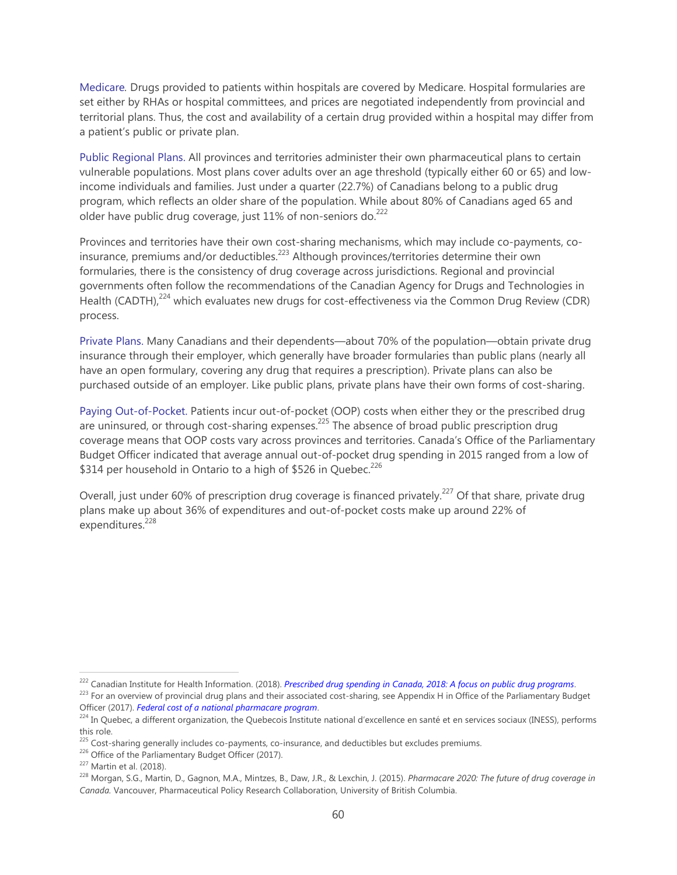Medicare*.* Drugs provided to patients within hospitals are covered by Medicare. Hospital formularies are set either by RHAs or hospital committees, and prices are negotiated independently from provincial and territorial plans. Thus, the cost and availability of a certain drug provided within a hospital may differ from a patient's public or private plan.

Public Regional Plans. All provinces and territories administer their own pharmaceutical plans to certain vulnerable populations. Most plans cover adults over an age threshold (typically either 60 or 65) and lowincome individuals and families. Just under a quarter (22.7%) of Canadians belong to a public drug program, which reflects an older share of the population. While about 80% of Canadians aged 65 and older have public drug coverage, just  $11\%$  of non-seniors do.<sup>222</sup>

Provinces and territories have their own cost-sharing mechanisms, which may include co-payments, coinsurance, premiums and/or deductibles.<sup>223</sup> Although provinces/territories determine their own formularies, there is the consistency of drug coverage across jurisdictions. Regional and provincial governments often follow the recommendations of the Canadian Agency for Drugs and Technologies in Health (CADTH),<sup>224</sup> which evaluates new drugs for cost-effectiveness via the Common Drug Review (CDR) process.

Private Plans. Many Canadians and their dependents—about 70% of the population—obtain private drug insurance through their employer, which generally have broader formularies than public plans (nearly all have an open formulary, covering any drug that requires a prescription). Private plans can also be purchased outside of an employer. Like public plans, private plans have their own forms of cost-sharing.

Paying Out-of-Pocket. Patients incur out-of-pocket (OOP) costs when either they or the prescribed drug are uninsured, or through cost-sharing expenses.<sup>225</sup> The absence of broad public prescription drug coverage means that OOP costs vary across provinces and territories. Canada's Office of the Parliamentary Budget Officer indicated that average annual out-of-pocket drug spending in 2015 ranged from a low of \$314 per household in Ontario to a high of \$526 in Quebec.<sup>226</sup>

Overall, just under 60% of prescription drug coverage is financed privately.<sup>227</sup> Of that share, private drug plans make up about 36% of expenditures and out-of-pocket costs make up around 22% of expenditures.<sup>228</sup>

<sup>222</sup> Canadian Institute for Health Information. (2018). *[Prescribed drug spending in Canada, 2018: A focus on public drug programs](https://www.cihi.ca/sites/default/files/document/pdex-report-2018-en-web.pdf)*.

<sup>&</sup>lt;sup>223</sup> For an overview of provincial drug plans and their associated cost-sharing, see Appendix H in Office of the Parliamentary Budget Officer (2017). *[Federal cost of a national pharmacare program](https://www.pbo-dpb.gc.ca/en/blog/news/Pharmacare)*.

<sup>&</sup>lt;sup>224</sup> In Quebec, a different organization, the Quebecois Institute national d'excellence en santé et en services sociaux (INESS), performs this role.

<sup>&</sup>lt;sup>225</sup> Cost-sharing generally includes co-payments, co-insurance, and deductibles but excludes premiums.

<sup>&</sup>lt;sup>226</sup> Office of the Parliamentary Budget Officer (2017).

<sup>227</sup> Martin et al. (2018).

<sup>228</sup> Morgan, S.G., Martin, D., Gagnon, M.A., Mintzes, B., Daw, J.R., & Lexchin, J. (2015). *Pharmacare 2020: The future of drug coverage in Canada.* Vancouver, Pharmaceutical Policy Research Collaboration, University of British Columbia.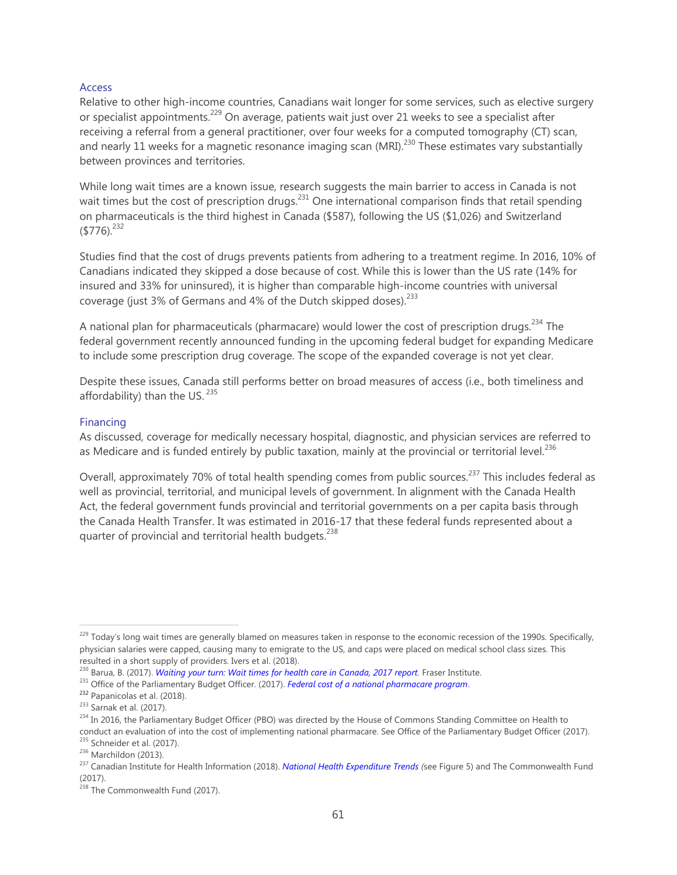#### Access

Relative to other high-income countries, Canadians wait longer for some services, such as elective surgery or specialist appointments.<sup>229</sup> On average, patients wait just over 21 weeks to see a specialist after receiving a referral from a general practitioner, over four weeks for a computed tomography (CT) scan, and nearly 11 weeks for a magnetic resonance imaging scan (MRI).<sup>230</sup> These estimates vary substantially between provinces and territories.

While long wait times are a known issue, research suggests the main barrier to access in Canada is not wait times but the cost of prescription drugs.<sup>231</sup> One international comparison finds that retail spending on pharmaceuticals is the third highest in Canada (\$587), following the US (\$1,026) and Switzerland  $(5776)^{232}$ 

Studies find that the cost of drugs prevents patients from adhering to a treatment regime. In 2016, 10% of Canadians indicated they skipped a dose because of cost. While this is lower than the US rate (14% for insured and 33% for uninsured), it is higher than comparable high-income countries with universal coverage (just 3% of Germans and 4% of the Dutch skipped doses).<sup>233</sup>

A national plan for pharmaceuticals (pharmacare) would lower the cost of prescription drugs.<sup>234</sup> The federal government recently announced funding in the upcoming federal budget for expanding Medicare to include some prescription drug coverage. The scope of the expanded coverage is not yet clear.

Despite these issues, Canada still performs better on broad measures of access (i.e., both timeliness and affordability) than the US.  $235$ 

#### Financing

As discussed, coverage for medically necessary hospital, diagnostic, and physician services are referred to as Medicare and is funded entirely by public taxation, mainly at the provincial or territorial level.<sup>236</sup>

Overall, approximately 70% of total health spending comes from public sources.<sup>237</sup> This includes federal as well as provincial, territorial, and municipal levels of government. In alignment with the Canada Health Act, the federal government funds provincial and territorial governments on a per capita basis through the Canada Health Transfer. It was estimated in 2016-17 that these federal funds represented about a quarter of provincial and territorial health budgets.<sup>238</sup>

<sup>&</sup>lt;sup>229</sup> Today's long wait times are generally blamed on measures taken in response to the economic recession of the 1990s. Specifically, physician salaries were capped, causing many to emigrate to the US, and caps were placed on medical school class sizes. This resulted in a short supply of providers. Ivers et al. (2018).

<sup>230</sup> Barua, B. (2017). *[Waiting your turn: Wait times for health care in Canada, 2017 report.](https://www.fraserinstitute.org/studies/waiting-your-turn-wait-times-for-health-care-in-canada-2017)* Fraser Institute.

<sup>231</sup> Office of the Parliamentary Budget Officer. (2017). *[Federal cost of a national pharmacare program](https://www.pbo-dpb.gc.ca/en/blog/news/Pharmacare)*.

<sup>232</sup> Papanicolas et al. (2018).

<sup>233</sup> Sarnak et al. (2017).

 $^{234}$  In 2016, the Parliamentary Budget Officer (PBO) was directed by the House of Commons Standing Committee on Health to conduct an evaluation of into the cost of implementing national pharmacare. See Office of the Parliamentary Budget Officer (2017). <sup>235</sup> Schneider et al. (2017).

<sup>236</sup> Marchildon (2013).

<sup>237</sup> Canadian Institute for Health Information (2018). *[National Health Expenditure Trends](https://www.cihi.ca/sites/default/files/document/nhex-trends-narrative-report-2018-en-web.pdf) (*see Figure 5) and The Commonwealth Fund (2017).

 $238$  The Commonwealth Fund (2017).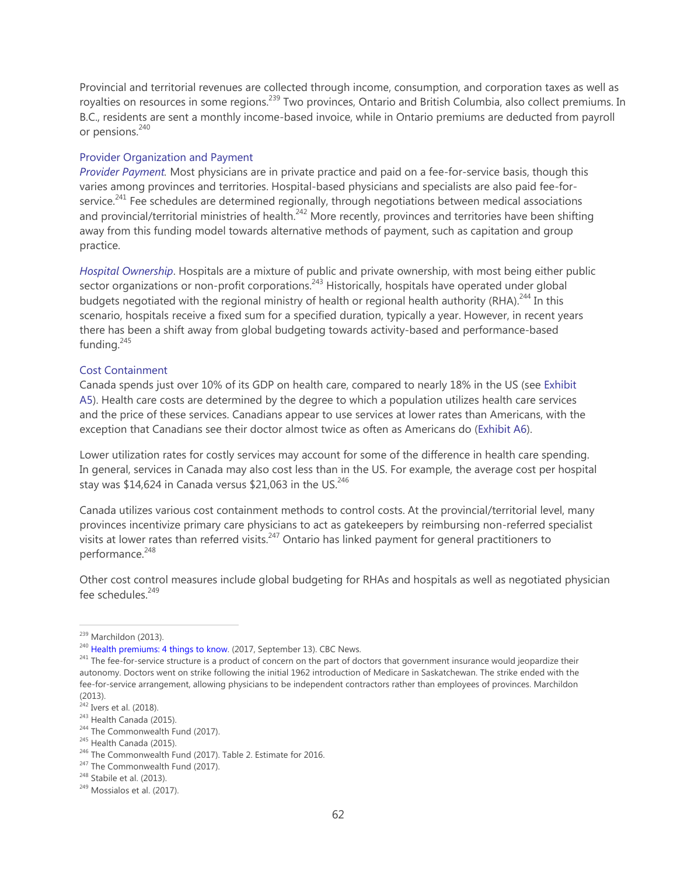Provincial and territorial revenues are collected through income, consumption, and corporation taxes as well as royalties on resources in some regions.<sup>239</sup> Two provinces, Ontario and British Columbia, also collect premiums. In B.C., residents are sent a monthly income-based invoice, while in Ontario premiums are deducted from payroll or pensions.<sup>240</sup>

# Provider Organization and Payment

*Provider Payment.* Most physicians are in private practice and paid on a fee-for-service basis, though this varies among provinces and territories. Hospital-based physicians and specialists are also paid fee-forservice.<sup>241</sup> Fee schedules are determined regionally, through negotiations between medical associations and provincial/territorial ministries of health.<sup>242</sup> More recently, provinces and territories have been shifting away from this funding model towards alternative methods of payment, such as capitation and group practice.

*Hospital Ownership*. Hospitals are a mixture of public and private ownership, with most being either public sector organizations or non-profit corporations.<sup>243</sup> Historically, hospitals have operated under global budgets negotiated with the regional ministry of health or regional health authority (RHA).<sup>244</sup> In this scenario, hospitals receive a fixed sum for a specified duration, typically a year. However, in recent years there has been a shift away from global budgeting towards activity-based and performance-based funding. $245$ 

#### Cost Containment

Canada spends just over 10% of its GDP on health care, compared to nearly 18% in the US (see Exhibit A5). Health care costs are determined by the degree to which a population utilizes health care services and the price of these services. Canadians appear to use services at lower rates than Americans, with the exception that Canadians see their doctor almost twice as often as Americans do (Exhibit A6).

Lower utilization rates for costly services may account for some of the difference in health care spending. In general, services in Canada may also cost less than in the US. For example, the average cost per hospital stay was \$14,624 in Canada versus \$21,063 in the US. $^{246}$ 

Canada utilizes various cost containment methods to control costs. At the provincial/territorial level, many provinces incentivize primary care physicians to act as gatekeepers by reimbursing non-referred specialist visits at lower rates than referred visits.<sup>247</sup> Ontario has linked payment for general practitioners to performance.<sup>248</sup>

Other cost control measures include global budgeting for RHAs and hospitals as well as negotiated physician fee schedules.<sup>249</sup>

<sup>&</sup>lt;sup>239</sup> Marchildon (2013).

<sup>&</sup>lt;sup>240</sup> [Health premiums: 4 things to know.](https://www.cbc.ca/news/canada/manitoba/health-premiums-4-things-to-know-1.4288467) (2017, September 13). CBC News.

<sup>&</sup>lt;sup>241</sup> The fee-for-service structure is a product of concern on the part of doctors that government insurance would jeopardize their autonomy. Doctors went on strike following the initial 1962 introduction of Medicare in Saskatchewan. The strike ended with the fee-for-service arrangement, allowing physicians to be independent contractors rather than employees of provinces. Marchildon (2013).

 $242$  Ivers et al. (2018).

<sup>&</sup>lt;sup>243</sup> Health Canada (2015).

<sup>&</sup>lt;sup>244</sup> The Commonwealth Fund (2017).

<sup>&</sup>lt;sup>245</sup> Health Canada (2015).

<sup>&</sup>lt;sup>246</sup> The Commonwealth Fund (2017). Table 2. Estimate for 2016.

<sup>&</sup>lt;sup>247</sup> The Commonwealth Fund (2017).

<sup>248</sup> Stabile et al. (2013).

<sup>249</sup> Mossialos et al. (2017).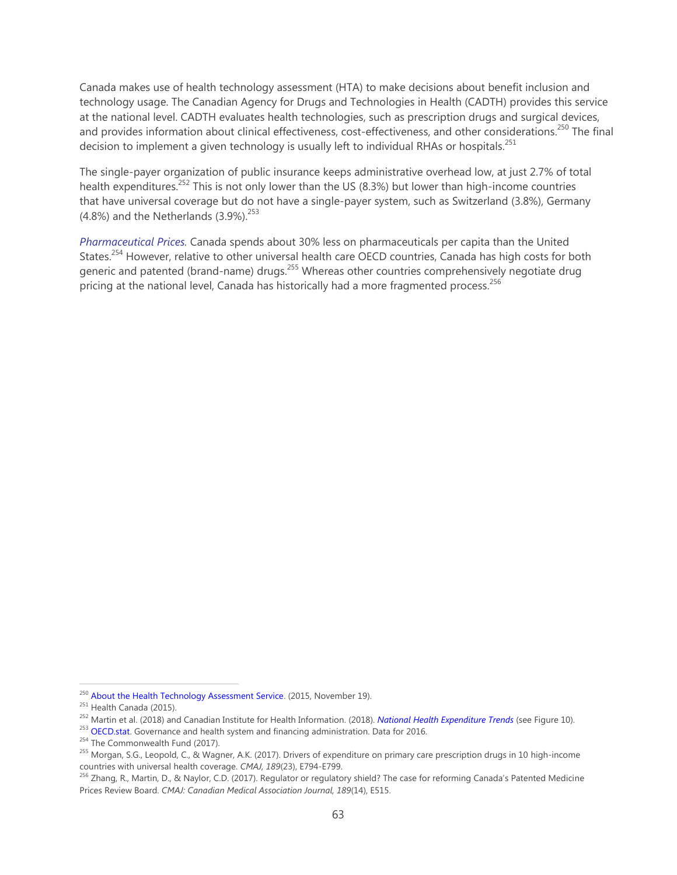Canada makes use of health technology assessment (HTA) to make decisions about benefit inclusion and technology usage. The Canadian Agency for Drugs and Technologies in Health (CADTH) provides this service at the national level. CADTH evaluates health technologies, such as prescription drugs and surgical devices, and provides information about clinical effectiveness, cost-effectiveness, and other considerations.<sup>250</sup> The final decision to implement a given technology is usually left to individual RHAs or hospitals.<sup>251</sup>

The single-payer organization of public insurance keeps administrative overhead low, at just 2.7% of total health expenditures.<sup>252</sup> This is not only lower than the US (8.3%) but lower than high-income countries that have universal coverage but do not have a single-payer system, such as Switzerland (3.8%), Germany (4.8%) and the Netherlands  $(3.9\%)^{253}$ 

*Pharmaceutical Prices.* Canada spends about 30% less on pharmaceuticals per capita than the United States.<sup>254</sup> However, relative to other universal health care OECD countries, Canada has high costs for both generic and patented (brand-name) drugs.<sup>255</sup> Whereas other countries comprehensively negotiate drug pricing at the national level, Canada has historically had a more fragmented process.<sup>256</sup>

<sup>&</sup>lt;sup>250</sup> [About the Health Technology Assessment Service.](https://www.cadth.ca/about-cadth/what-we-do/products-services/hta) (2015, November 19).

<sup>&</sup>lt;sup>251</sup> Health Canada (2015).

<sup>252</sup> Martin et al. (2018) and Canadian Institute for Health Information. (2018). *[National Health Expenditure Trends](https://www.cihi.ca/sites/default/files/document/nhex-trends-narrative-report-2018-en-web.pdf)* (see Figure 10).

 $253$  OECD stat. Governance and health system and financing administration. Data for 2016.

<sup>&</sup>lt;sup>254</sup> The Commonwealth Fund (2017).

 $^{255}$  Morgan, S.G., Leopold, C., & Wagner, A.K. (2017). Drivers of expenditure on primary care prescription drugs in 10 high-income countries with universal health coverage. *CMAJ, 189*(23), E794-E799.

<sup>&</sup>lt;sup>256</sup> Zhang, R., Martin, D., & Naylor, C.D. (2017). Regulator or regulatory shield? The case for reforming Canada's Patented Medicine Prices Review Board. *CMAJ: Canadian Medical Association Journal, 189*(14), E515.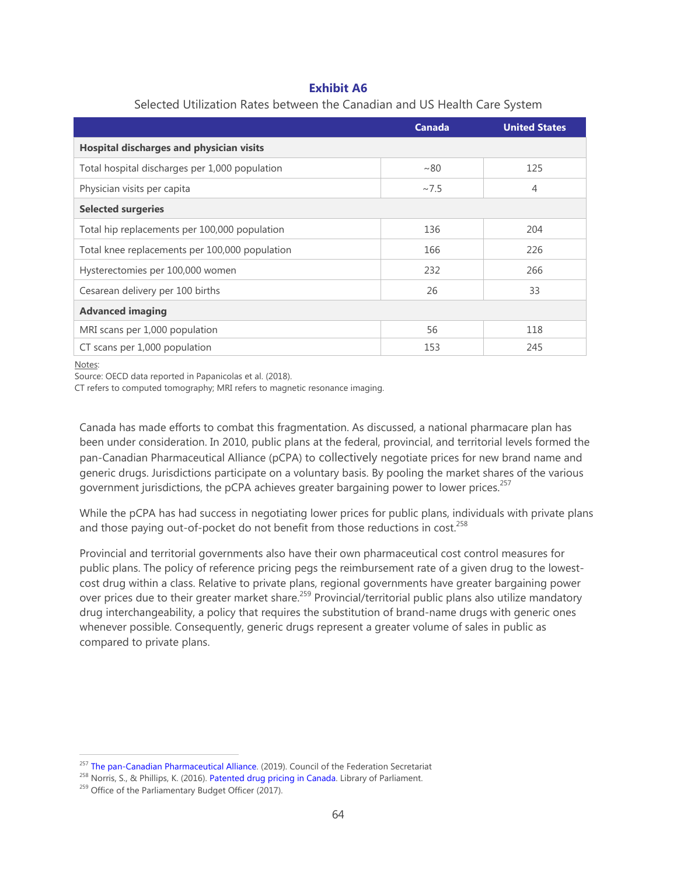# **Exhibit A6**

|                                                 | <b>Canada</b> | <b>United States</b> |  |  |
|-------------------------------------------------|---------------|----------------------|--|--|
| <b>Hospital discharges and physician visits</b> |               |                      |  |  |
| Total hospital discharges per 1,000 population  | ~100          | 125                  |  |  |
| Physician visits per capita                     | ~27.5         | $\overline{4}$       |  |  |
| <b>Selected surgeries</b>                       |               |                      |  |  |
| Total hip replacements per 100,000 population   | 136           | 204                  |  |  |
| Total knee replacements per 100,000 population  | 166           | 226                  |  |  |
| Hysterectomies per 100,000 women                | 232           | 266                  |  |  |
| Cesarean delivery per 100 births                | 26            | 33                   |  |  |
| <b>Advanced imaging</b>                         |               |                      |  |  |
| MRI scans per 1,000 population                  | 56            | 118                  |  |  |
| CT scans per 1,000 population                   | 153           | 245                  |  |  |

### Selected Utilization Rates between the Canadian and US Health Care System

Notes:

 $\overline{a}$ 

Source: OECD data reported in Papanicolas et al. (2018).

CT refers to computed tomography; MRI refers to magnetic resonance imaging.

Canada has made efforts to combat this fragmentation. As discussed, a national pharmacare plan has been under consideration. In 2010, public plans at the federal, provincial, and territorial levels formed the pan-Canadian Pharmaceutical Alliance (pCPA) to collectively negotiate prices for new brand name and generic drugs. Jurisdictions participate on a voluntary basis. By pooling the market shares of the various government jurisdictions, the pCPA achieves greater bargaining power to lower prices.<sup>257</sup>

While the pCPA has had success in negotiating lower prices for public plans, individuals with private plans and those paying out-of-pocket do not benefit from those reductions in  $cost.^{258}$ 

Provincial and territorial governments also have their own pharmaceutical cost control measures for public plans. The policy of reference pricing pegs the reimbursement rate of a given drug to the lowestcost drug within a class. Relative to private plans, regional governments have greater bargaining power over prices due to their greater market share.<sup>259</sup> Provincial/territorial public plans also utilize mandatory drug interchangeability, a policy that requires the substitution of brand-name drugs with generic ones whenever possible. Consequently, generic drugs represent a greater volume of sales in public as compared to private plans.

<sup>&</sup>lt;sup>257</sup> [The pan-Canadian Pharmaceutical Alliance.](http://www.canadaspremiers.ca/pan-canadian-pharmaceutical-alliance/) (2019). Council of the Federation Secretariat

<sup>&</sup>lt;sup>258</sup> Norris, S., & Phillips, K. (2016)[. Patented drug pricing in Canada.](https://hillnotes.ca/2016/02/10/patented-drug-pricing-in-canada/) Library of Parliament.

<sup>&</sup>lt;sup>259</sup> Office of the Parliamentary Budget Officer (2017).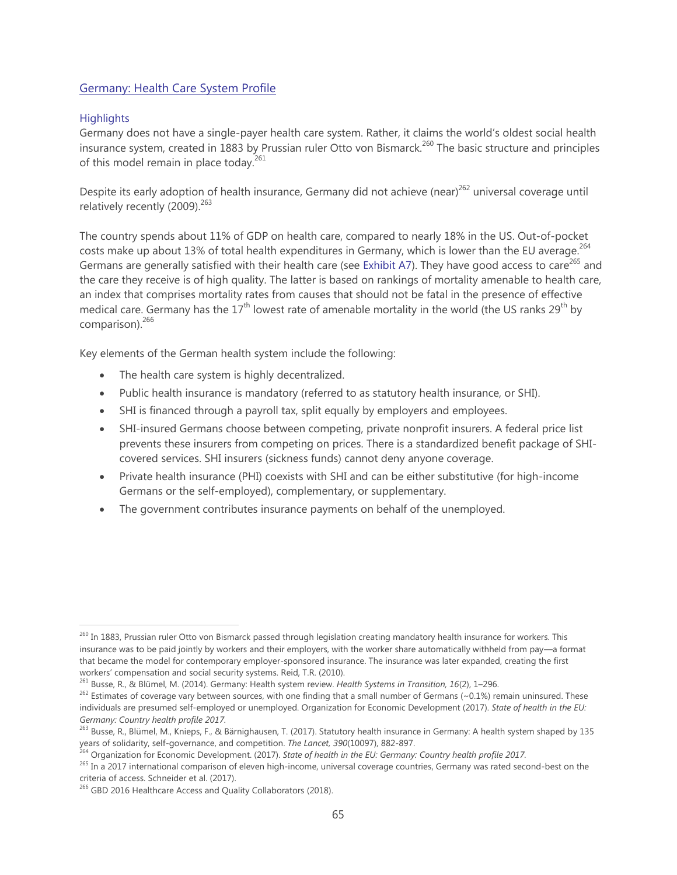# <span id="page-64-0"></span>Germany: Health Care System Profile

# **Highlights**

 $\overline{a}$ 

Germany does not have a single-payer health care system. Rather, it claims the world's oldest social health insurance system, created in 1883 by Prussian ruler Otto von Bismarck.<sup>260</sup> The basic structure and principles of this model remain in place today.<sup>261</sup>

Despite its early adoption of health insurance, Germany did not achieve (near)<sup>262</sup> universal coverage until relatively recently (2009).<sup>263</sup>

The country spends about 11% of GDP on health care, compared to nearly 18% in the US. Out-of-pocket costs make up about 13% of total health expenditures in Germany, which is lower than the EU average.<sup>264</sup> Germans are generally satisfied with their health care (see Exhibit A7). They have good access to care<sup>265</sup> and the care they receive is of high quality. The latter is based on rankings of mortality amenable to health care, an index that comprises mortality rates from causes that should not be fatal in the presence of effective medical care. Germany has the  $17<sup>th</sup>$  lowest rate of amenable mortality in the world (the US ranks 29<sup>th</sup> by comparison).<sup>266</sup>

Key elements of the German health system include the following:

- The health care system is highly decentralized.
- Public health insurance is mandatory (referred to as statutory health insurance, or SHI).
- SHI is financed through a payroll tax, split equally by employers and employees.
- SHI-insured Germans choose between competing, private nonprofit insurers. A federal price list prevents these insurers from competing on prices. There is a standardized benefit package of SHIcovered services. SHI insurers (sickness funds) cannot deny anyone coverage.
- Private health insurance (PHI) coexists with SHI and can be either substitutive (for high-income Germans or the self-employed), complementary, or supplementary.
- The government contributes insurance payments on behalf of the unemployed.

<sup>&</sup>lt;sup>260</sup> In 1883, Prussian ruler Otto von Bismarck passed through legislation creating mandatory health insurance for workers. This insurance was to be paid jointly by workers and their employers, with the worker share automatically withheld from pay—a format that became the model for contemporary employer-sponsored insurance. The insurance was later expanded, creating the first workers' compensation and social security systems. Reid, T.R. (2010).

<sup>261</sup> Busse, R., & Blümel, M. (2014). Germany: Health system review. *Health Systems in Transition, 16*(2), 1–296.

 $262$  Estimates of coverage vary between sources, with one finding that a small number of Germans (~0.1%) remain uninsured. These individuals are presumed self-employed or unemployed. Organization for Economic Development (2017). *State of health in the EU: Germany: Country health profile 2017.*

<sup>263</sup> Busse, R., Blümel, M., Knieps, F., & Bärnighausen, T. (2017). Statutory health insurance in Germany: A health system shaped by 135 years of solidarity, self-governance, and competition. *The Lancet, 390*(10097), 882-897.

<sup>264</sup> Organization for Economic Development. (2017). *State of health in the EU: Germany: Country health profile 2017.*

<sup>&</sup>lt;sup>265</sup> In a 2017 international comparison of eleven high-income, universal coverage countries, Germany was rated second-best on the criteria of access. Schneider et al. (2017).

<sup>&</sup>lt;sup>266</sup> GBD 2016 Healthcare Access and Quality Collaborators (2018).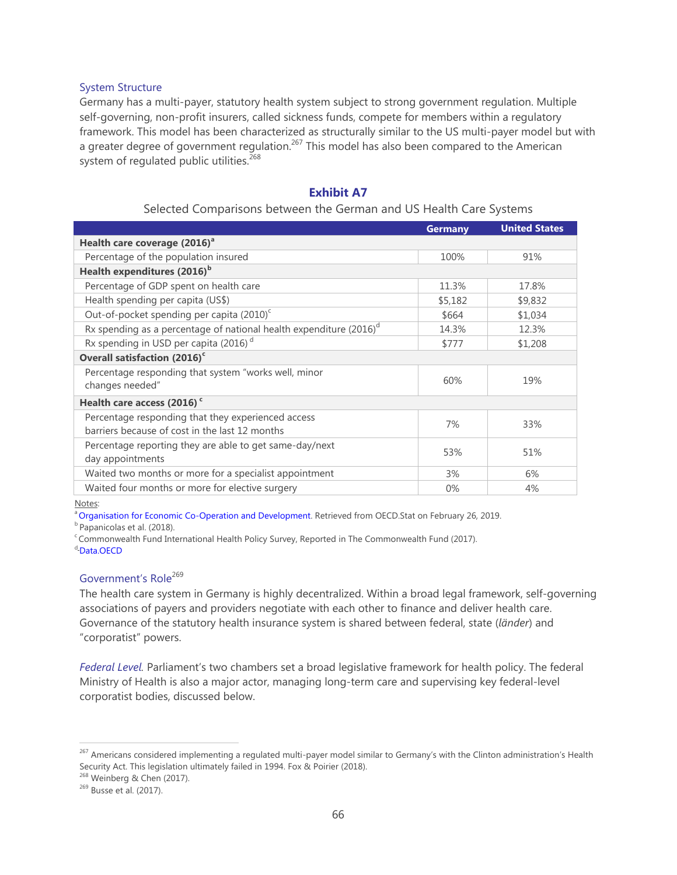#### System Structure

Germany has a multi-payer, statutory health system subject to strong government regulation. Multiple self-governing, non-profit insurers, called sickness funds, compete for members within a regulatory framework. This model has been characterized as structurally similar to the US multi-payer model but with a greater degree of government regulation.<sup>267</sup> This model has also been compared to the American system of regulated public utilities.<sup>268</sup>

# **Exhibit A7**

# Selected Comparisons between the German and US Health Care Systems

| <b>Germany</b> | <b>United States</b> |
|----------------|----------------------|
|                |                      |
| 100%           | 91%                  |
|                |                      |
| 11.3%          | 17.8%                |
| \$5,182        | \$9,832              |
| \$664          | \$1,034              |
| 14.3%          | 12.3%                |
| \$777          | \$1,208              |
|                |                      |
| 60%            | 19%                  |
|                |                      |
| 7%             | 33%                  |
| 53%            | 51%                  |
| 3%             | 6%                   |
| 0%             | 4%                   |
|                |                      |

Notes:

<sup>a</sup> [Organisation for Economic Co-Operation and Development.](https://stats.oecd.org/) Retrieved from OECD.Stat on February 26, 2019.

<sup>b</sup> Papanicolas et al. (2018).

<sup>c</sup> Commonwealth Fund International Health Policy Survey, Reported in The Commonwealth Fund (2017).

d-[Data.OECD](https://data.oecd.org/healthres/pharmaceutical-spending.htm#indicator-chart)

# Government's Role<sup>269</sup>

The health care system in Germany is highly decentralized. Within a broad legal framework, self-governing associations of payers and providers negotiate with each other to finance and deliver health care. Governance of the statutory health insurance system is shared between federal, state (*länder*) and "corporatist" powers.

*Federal Level.* Parliament's two chambers set a broad legislative framework for health policy. The federal Ministry of Health is also a major actor, managing long-term care and supervising key federal-level corporatist bodies, discussed below.

<sup>268</sup> Weinberg & Chen (2017).

<sup>&</sup>lt;sup>267</sup> Americans considered implementing a regulated multi-payer model similar to Germany's with the Clinton administration's Health Security Act. This legislation ultimately failed in 1994. Fox & Poirier (2018).

<sup>269</sup> Busse et al. (2017).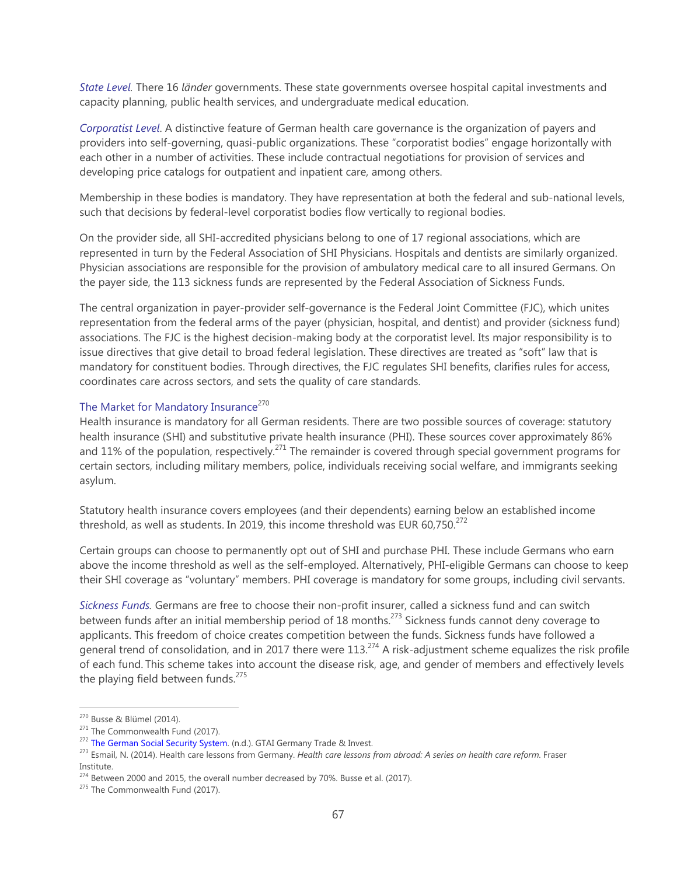*State Level.* There 16 *länder* governments. These state governments oversee hospital capital investments and capacity planning, public health services, and undergraduate medical education.

*Corporatist Level*. A distinctive feature of German health care governance is the organization of payers and providers into self-governing, quasi-public organizations. These "corporatist bodies" engage horizontally with each other in a number of activities. These include contractual negotiations for provision of services and developing price catalogs for outpatient and inpatient care, among others.

Membership in these bodies is mandatory. They have representation at both the federal and sub-national levels, such that decisions by federal-level corporatist bodies flow vertically to regional bodies.

On the provider side, all SHI-accredited physicians belong to one of 17 regional associations, which are represented in turn by the Federal Association of SHI Physicians. Hospitals and dentists are similarly organized. Physician associations are responsible for the provision of ambulatory medical care to all insured Germans. On the payer side, the 113 sickness funds are represented by the Federal Association of Sickness Funds.

The central organization in payer-provider self-governance is the Federal Joint Committee (FJC), which unites representation from the federal arms of the payer (physician, hospital, and dentist) and provider (sickness fund) associations. The FJC is the highest decision-making body at the corporatist level. Its major responsibility is to issue directives that give detail to broad federal legislation. These directives are treated as "soft" law that is mandatory for constituent bodies. Through directives, the FJC regulates SHI benefits, clarifies rules for access, coordinates care across sectors, and sets the quality of care standards.

# The Market for Mandatory Insurance<sup>270</sup>

Health insurance is mandatory for all German residents. There are two possible sources of coverage: statutory health insurance (SHI) and substitutive private health insurance (PHI). These sources cover approximately 86% and 11% of the population, respectively.<sup>271</sup> The remainder is covered through special government programs for certain sectors, including military members, police, individuals receiving social welfare, and immigrants seeking asylum.

Statutory health insurance covers employees (and their dependents) earning below an established income threshold, as well as students. In 2019, this income threshold was EUR 60,750. $^{272}$ 

Certain groups can choose to permanently opt out of SHI and purchase PHI. These include Germans who earn above the income threshold as well as the self-employed. Alternatively, PHI-eligible Germans can choose to keep their SHI coverage as "voluntary" members. PHI coverage is mandatory for some groups, including civil servants.

*Sickness Funds.* Germans are free to choose their non-profit insurer, called a sickness fund and can switch between funds after an initial membership period of 18 months.<sup>273</sup> Sickness funds cannot deny coverage to applicants. This freedom of choice creates competition between the funds. Sickness funds have followed a general trend of consolidation, and in 2017 there were  $113^{274}$  A risk-adjustment scheme equalizes the risk profile of each fund. This scheme takes into account the disease risk, age, and gender of members and effectively levels the playing field between funds. $275$ 

<sup>&</sup>lt;sup>270</sup> Busse & Blümel (2014).<br><sup>271</sup> The Commonwealth Fund (2017).<br><sup>272</sup> The German Social Security System. (n.d.). GTAI Germany Trade & Invest.<br><sup>273</sup> Esmail, N. (2014). Health care lessons from Germany. *Health care lessons* Institute.

<sup>&</sup>lt;sup>274</sup> Between 2000 and 2015, the overall number decreased by 70%. Busse et al. (2017).  $275$  The Commonwealth Fund (2017).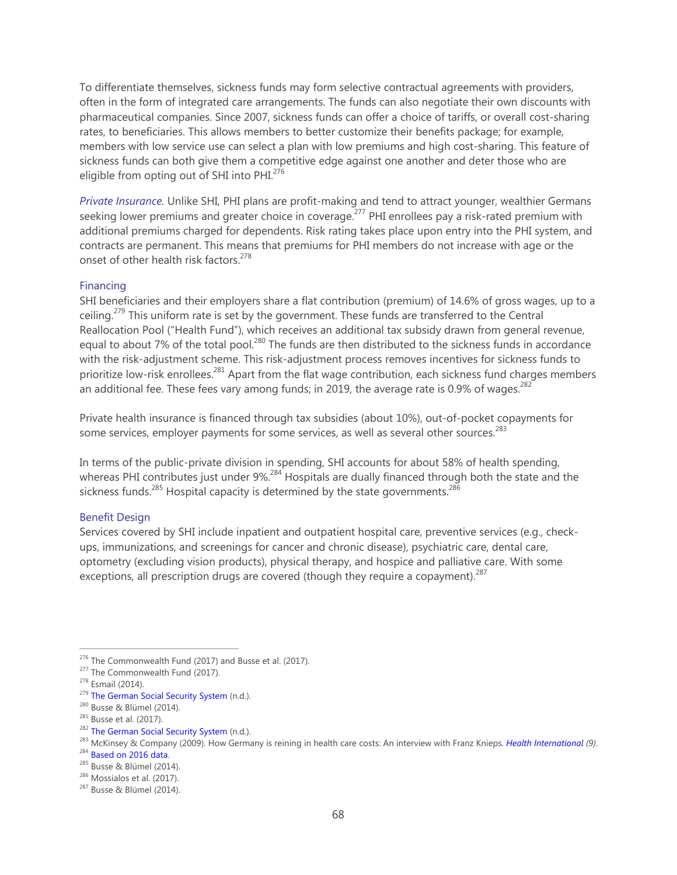To differentiate themselves, sickness funds may form selective contractual agreements with providers, often in the form of integrated care arrangements. The funds can also negotiate their own discounts with pharmaceutical companies. Since 2007, sickness funds can offer a choice of tariffs, or overall cost-sharing rates, to beneficiaries. This allows members to better customize their benefits package; for example, members with low service use can select a plan with low premiums and high cost-sharing. This feature of sickness funds can both give them a competitive edge against one another and deter those who are eligible from opting out of SHI into PHI.<sup>276</sup>

*Private Insurance.* Unlike SHI, PHI plans are profit-making and tend to attract younger, wealthier Germans seeking lower premiums and greater choice in coverage.<sup>277</sup> PHI enrollees pay a risk-rated premium with additional premiums charged for dependents. Risk rating takes place upon entry into the PHI system, and contracts are permanent. This means that premiums for PHI members do not increase with age or the onset of other health risk factors.<sup>278</sup>

#### Financing

SHI beneficiaries and their employers share a flat contribution (premium) of 14.6% of gross wages, up to a ceiling.<sup>279</sup> This uniform rate is set by the government. These funds are transferred to the Central Reallocation Pool ("Health Fund"), which receives an additional tax subsidy drawn from general revenue, equal to about 7% of the total pool.<sup>280</sup> The funds are then distributed to the sickness funds in accordance with the risk-adjustment scheme. This risk-adjustment process removes incentives for sickness funds to prioritize low-risk enrollees.<sup>281</sup> Apart from the flat wage contribution, each sickness fund charges members an additional fee. These fees vary among funds; in 2019, the average rate is 0.9% of wages. $^{282}$ 

Private health insurance is financed through tax subsidies (about 10%), out-of-pocket copayments for some services, employer payments for some services, as well as several other sources.<sup>283</sup>

In terms of the public-private division in spending, SHI accounts for about 58% of health spending, whereas PHI contributes just under 9%.<sup>284</sup> Hospitals are dually financed through both the state and the sickness funds.<sup>285</sup> Hospital capacity is determined by the state governments.<sup>286</sup>

# Benefit Design

Services covered by SHI include inpatient and outpatient hospital care, preventive services (e.g., checkups, immunizations, and screenings for cancer and chronic disease), psychiatric care, dental care, optometry (excluding vision products), physical therapy, and hospice and palliative care. With some exceptions, all prescription drugs are covered (though they require a copayment). $287$ 

<sup>&</sup>lt;sup>276</sup> The Commonwealth Fund (2017) and Busse et al. (2017).<br><sup>277</sup> The Commonwealth Fund (2017).<br><sup>278</sup> Esmail (2014).<br><sup>279</sup> The German Social Security System (n.d.).

<sup>&</sup>lt;sup>280</sup> Busse & Blümel (2014).<br><sup>281</sup> Busse et al. (2017).<br><sup>282</sup> The German Social Security System (n.d.).<br><sup>282</sup> The German Social Security System (n.d.).<br><sup>283</sup> McKinsey & Company (2009). How Germany is reining in health care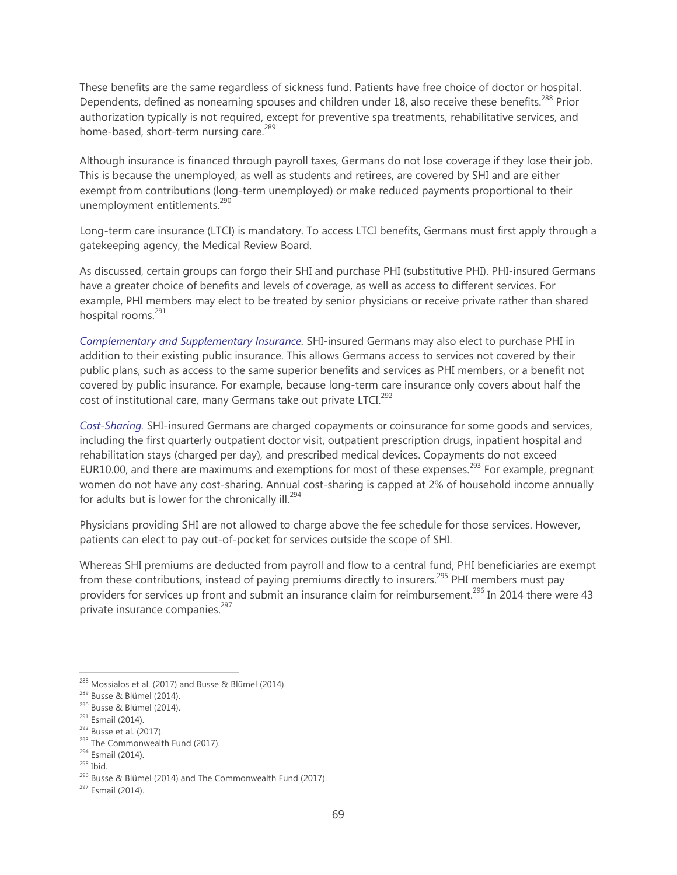These benefits are the same regardless of sickness fund. Patients have free choice of doctor or hospital. Dependents, defined as nonearning spouses and children under 18, also receive these benefits.<sup>288</sup> Prior authorization typically is not required, except for preventive spa treatments, rehabilitative services, and home-based, short-term nursing care.<sup>289</sup>

Although insurance is financed through payroll taxes, Germans do not lose coverage if they lose their job. This is because the unemployed, as well as students and retirees, are covered by SHI and are either exempt from contributions (long-term unemployed) or make reduced payments proportional to their unemployment entitlements.<sup>290</sup>

Long-term care insurance (LTCI) is mandatory. To access LTCI benefits, Germans must first apply through a gatekeeping agency, the Medical Review Board.

As discussed, certain groups can forgo their SHI and purchase PHI (substitutive PHI). PHI-insured Germans have a greater choice of benefits and levels of coverage, as well as access to different services. For example, PHI members may elect to be treated by senior physicians or receive private rather than shared hospital rooms.<sup>291</sup>

*Complementary and Supplementary Insurance.* SHI-insured Germans may also elect to purchase PHI in addition to their existing public insurance. This allows Germans access to services not covered by their public plans, such as access to the same superior benefits and services as PHI members, or a benefit not covered by public insurance. For example, because long-term care insurance only covers about half the cost of institutional care, many Germans take out private LTCI. $^{292}$ 

*Cost-Sharing.* SHI-insured Germans are charged copayments or coinsurance for some goods and services, including the first quarterly outpatient doctor visit, outpatient prescription drugs, inpatient hospital and rehabilitation stays (charged per day), and prescribed medical devices. Copayments do not exceed EUR10.00, and there are maximums and exemptions for most of these expenses.<sup>293</sup> For example, pregnant women do not have any cost-sharing. Annual cost-sharing is capped at 2% of household income annually for adults but is lower for the chronically ill.<sup>294</sup>

Physicians providing SHI are not allowed to charge above the fee schedule for those services. However, patients can elect to pay out-of-pocket for services outside the scope of SHI.

Whereas SHI premiums are deducted from payroll and flow to a central fund, PHI beneficiaries are exempt from these contributions, instead of paying premiums directly to insurers.<sup>295</sup> PHI members must pay providers for services up front and submit an insurance claim for reimbursement.<sup>296</sup> In 2014 there were 43 private insurance companies.<sup>297</sup>

<sup>288</sup> Mossialos et al. (2017) and Busse & Blümel (2014).

<sup>289</sup> Busse & Blümel (2014).

<sup>290</sup> Busse & Blümel (2014).

<sup>&</sup>lt;sup>291</sup> Esmail (2014).

<sup>292</sup> Busse et al. (2017).

<sup>&</sup>lt;sup>293</sup> The Commonwealth Fund (2017).

<sup>294</sup> Esmail (2014).

<sup>295</sup> Ibid.

<sup>296</sup> Busse & Blümel (2014) and The Commonwealth Fund (2017).

<sup>297</sup> Esmail (2014).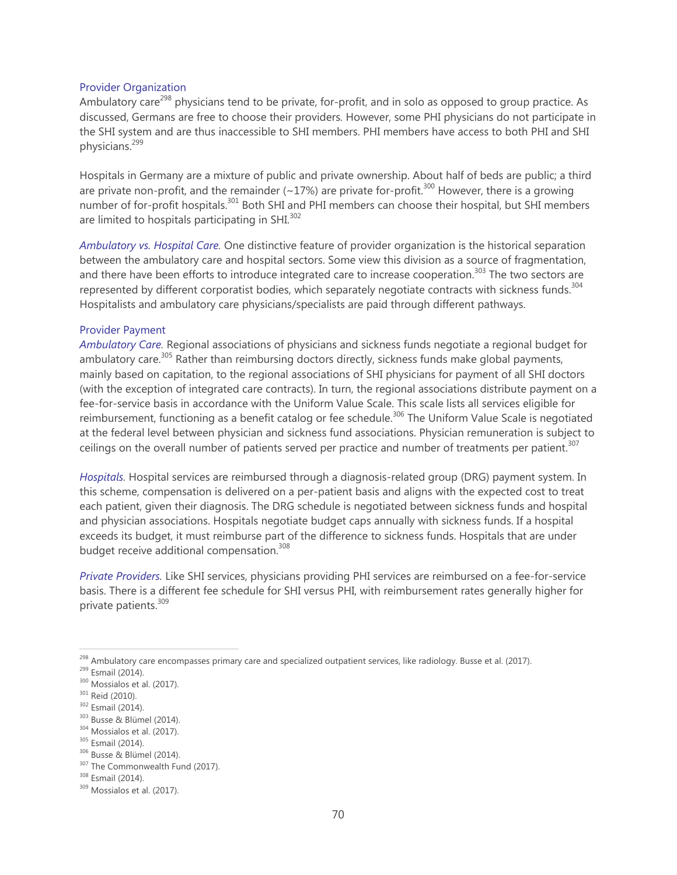#### Provider Organization

Ambulatory care<sup>298</sup> physicians tend to be private, for-profit, and in solo as opposed to group practice. As discussed, Germans are free to choose their providers. However, some PHI physicians do not participate in the SHI system and are thus inaccessible to SHI members. PHI members have access to both PHI and SHI physicians.<sup>299</sup>

Hospitals in Germany are a mixture of public and private ownership. About half of beds are public; a third are private non-profit, and the remainder ( $\sim$ 17%) are private for-profit.<sup>300</sup> However, there is a growing number of for-profit hospitals.<sup>301</sup> Both SHI and PHI members can choose their hospital, but SHI members are limited to hospitals participating in SHI. $^{302}$ 

*Ambulatory vs. Hospital Care.* One distinctive feature of provider organization is the historical separation between the ambulatory care and hospital sectors. Some view this division as a source of fragmentation, and there have been efforts to introduce integrated care to increase cooperation.<sup>303</sup> The two sectors are represented by different corporatist bodies, which separately negotiate contracts with sickness funds.<sup>304</sup> Hospitalists and ambulatory care physicians/specialists are paid through different pathways.

#### Provider Payment

*Ambulatory Care.* Regional associations of physicians and sickness funds negotiate a regional budget for ambulatory care. $305$  Rather than reimbursing doctors directly, sickness funds make global payments, mainly based on capitation, to the regional associations of SHI physicians for payment of all SHI doctors (with the exception of integrated care contracts). In turn, the regional associations distribute payment on a fee-for-service basis in accordance with the Uniform Value Scale. This scale lists all services eligible for reimbursement, functioning as a benefit catalog or fee schedule.<sup>306</sup> The Uniform Value Scale is negotiated at the federal level between physician and sickness fund associations. Physician remuneration is subject to ceilings on the overall number of patients served per practice and number of treatments per patient.<sup>307</sup>

*Hospitals.* Hospital services are reimbursed through a diagnosis-related group (DRG) payment system. In this scheme, compensation is delivered on a per-patient basis and aligns with the expected cost to treat each patient, given their diagnosis. The DRG schedule is negotiated between sickness funds and hospital and physician associations. Hospitals negotiate budget caps annually with sickness funds. If a hospital exceeds its budget, it must reimburse part of the difference to sickness funds. Hospitals that are under budget receive additional compensation.<sup>308</sup>

*Private Providers.* Like SHI services, physicians providing PHI services are reimbursed on a fee-for-service basis. There is a different fee schedule for SHI versus PHI, with reimbursement rates generally higher for private patients.<sup>309</sup>

<sup>&</sup>lt;sup>298</sup> Ambulatory care encompasses primary care and specialized outpatient services, like radiology. Busse et al. (2017).

<sup>&</sup>lt;sup>299</sup> Esmail (2014).

<sup>300</sup> Mossialos et al. (2017).

<sup>&</sup>lt;sup>301</sup> Reid (2010).

<sup>&</sup>lt;sup>302</sup> Esmail (2014).

<sup>303</sup> Busse & Blümel (2014).

<sup>304</sup> Mossialos et al. (2017).

<sup>305</sup> Esmail (2014).

<sup>306</sup> Busse & Blümel (2014).

<sup>&</sup>lt;sup>307</sup> The Commonwealth Fund (2017).

<sup>308</sup> Esmail (2014).

<sup>309</sup> Mossialos et al. (2017).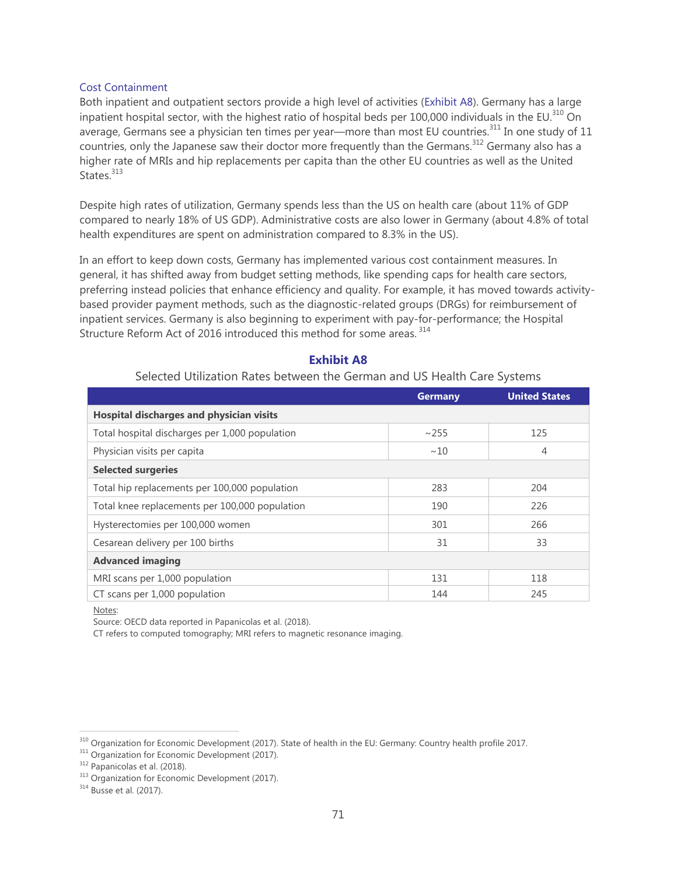#### Cost Containment

Both inpatient and outpatient sectors provide a high level of activities (Exhibit A8). Germany has a large inpatient hospital sector, with the highest ratio of hospital beds per 100,000 individuals in the EU.<sup>310</sup> On average, Germans see a physician ten times per year—more than most EU countries.<sup>311</sup> In one study of 11 countries, only the Japanese saw their doctor more frequently than the Germans.<sup>312</sup> Germany also has a higher rate of MRIs and hip replacements per capita than the other EU countries as well as the United States.<sup>313</sup>

Despite high rates of utilization, Germany spends less than the US on health care (about 11% of GDP compared to nearly 18% of US GDP). Administrative costs are also lower in Germany (about 4.8% of total health expenditures are spent on administration compared to 8.3% in the US).

In an effort to keep down costs, Germany has implemented various cost containment measures. In general, it has shifted away from budget setting methods, like spending caps for health care sectors, preferring instead policies that enhance efficiency and quality. For example, it has moved towards activitybased provider payment methods, such as the diagnostic-related groups (DRGs) for reimbursement of inpatient services. Germany is also beginning to experiment with pay-for-performance; the Hospital Structure Reform Act of 2016 introduced this method for some areas. 314

|                                                | <b>Germany</b> | <b>United States</b> |  |
|------------------------------------------------|----------------|----------------------|--|
| Hospital discharges and physician visits       |                |                      |  |
| Total hospital discharges per 1,000 population | ~255           | 125                  |  |
| Physician visits per capita                    | ~10            | 4                    |  |
| <b>Selected surgeries</b>                      |                |                      |  |
| Total hip replacements per 100,000 population  | 283            | 204                  |  |
| Total knee replacements per 100,000 population | 190            | 226                  |  |
| Hysterectomies per 100,000 women               | 301            | 266                  |  |
| Cesarean delivery per 100 births               | 31             | 33                   |  |
| <b>Advanced imaging</b>                        |                |                      |  |
| MRI scans per 1,000 population                 | 131            | 118                  |  |
| CT scans per 1,000 population                  | 144            | 245                  |  |

# **Exhibit A8**

# Selected Utilization Rates between the German and US Health Care Systems

Notes:

 $\overline{a}$ 

Source: OECD data reported in Papanicolas et al. (2018).

CT refers to computed tomography; MRI refers to magnetic resonance imaging.

<sup>&</sup>lt;sup>310</sup> Organization for Economic Development (2017). State of health in the EU: Germany: Country health profile 2017.

<sup>&</sup>lt;sup>311</sup> Organization for Economic Development (2017).

<sup>312</sup> Papanicolas et al. (2018).

<sup>&</sup>lt;sup>313</sup> Organization for Economic Development (2017).

<sup>&</sup>lt;sup>314</sup> Busse et al. (2017).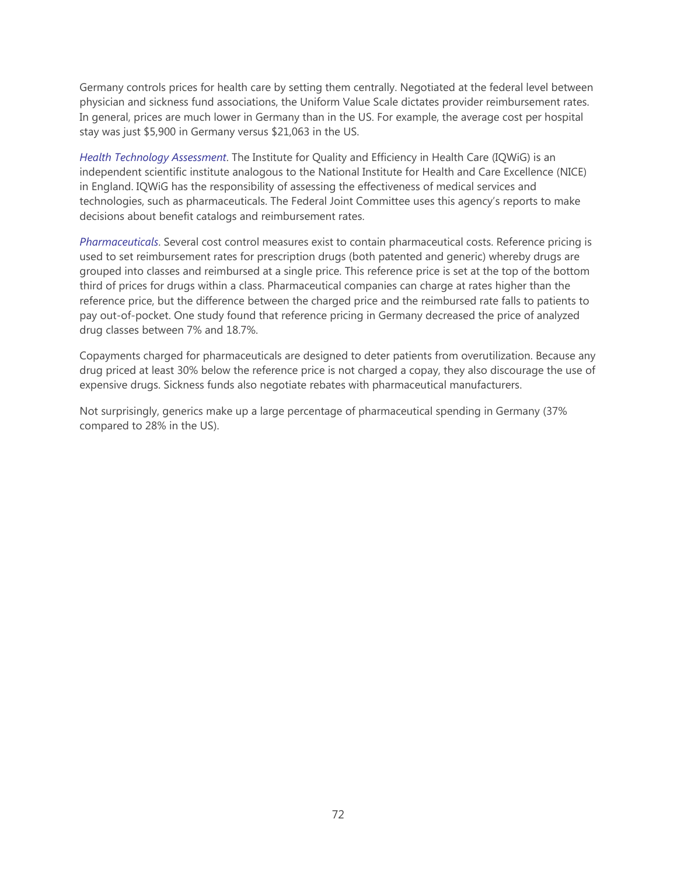Germany controls prices for health care by setting them centrally. Negotiated at the federal level between physician and sickness fund associations, the Uniform Value Scale dictates provider reimbursement rates. In general, prices are much lower in Germany than in the US. For example, the average cost per hospital stay was just \$5,900 in Germany versus \$21,063 in the US.

*Health Technology Assessment*. The Institute for Quality and Efficiency in Health Care (IQWiG) is an independent scientific institute analogous to the National Institute for Health and Care Excellence (NICE) in England. IQWiG has the responsibility of assessing the effectiveness of medical services and technologies, such as pharmaceuticals. The Federal Joint Committee uses this agency's reports to make decisions about benefit catalogs and reimbursement rates.

*Pharmaceuticals*. Several cost control measures exist to contain pharmaceutical costs. Reference pricing is used to set reimbursement rates for prescription drugs (both patented and generic) whereby drugs are grouped into classes and reimbursed at a single price. This reference price is set at the top of the bottom third of prices for drugs within a class. Pharmaceutical companies can charge at rates higher than the reference price, but the difference between the charged price and the reimbursed rate falls to patients to pay out-of-pocket. One study found that reference pricing in Germany decreased the price of analyzed drug classes between 7% and 18.7%.

Copayments charged for pharmaceuticals are designed to deter patients from overutilization. Because any drug priced at least 30% below the reference price is not charged a copay, they also discourage the use of expensive drugs. Sickness funds also negotiate rebates with pharmaceutical manufacturers.

Not surprisingly, generics make up a large percentage of pharmaceutical spending in Germany (37% compared to 28% in the US).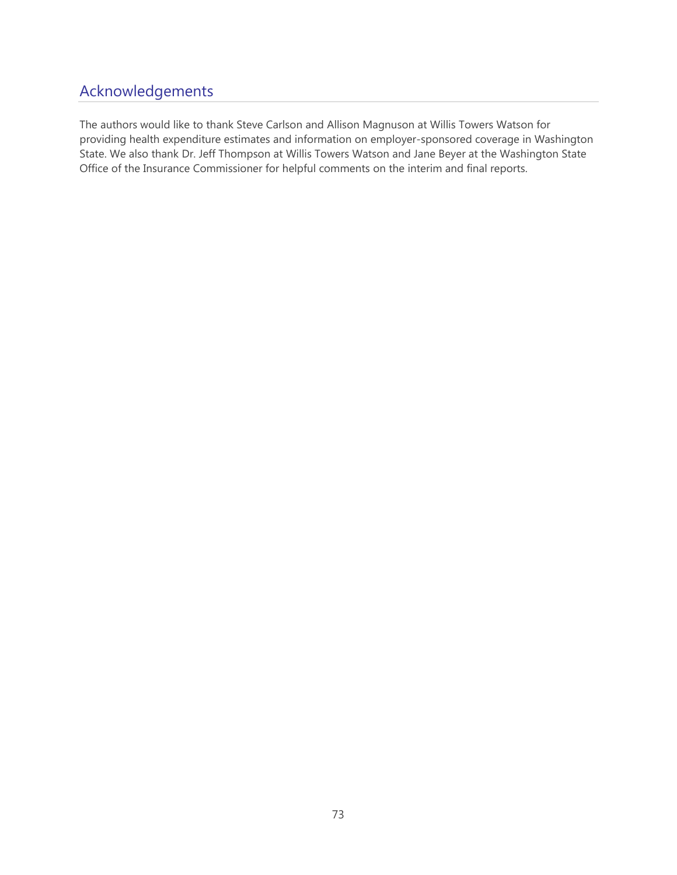## Acknowledgements

The authors would like to thank Steve Carlson and Allison Magnuson at Willis Towers Watson for providing health expenditure estimates and information on employer-sponsored coverage in Washington State. We also thank Dr. Jeff Thompson at Willis Towers Watson and Jane Beyer at the Washington State Office of the Insurance Commissioner for helpful comments on the interim and final reports.